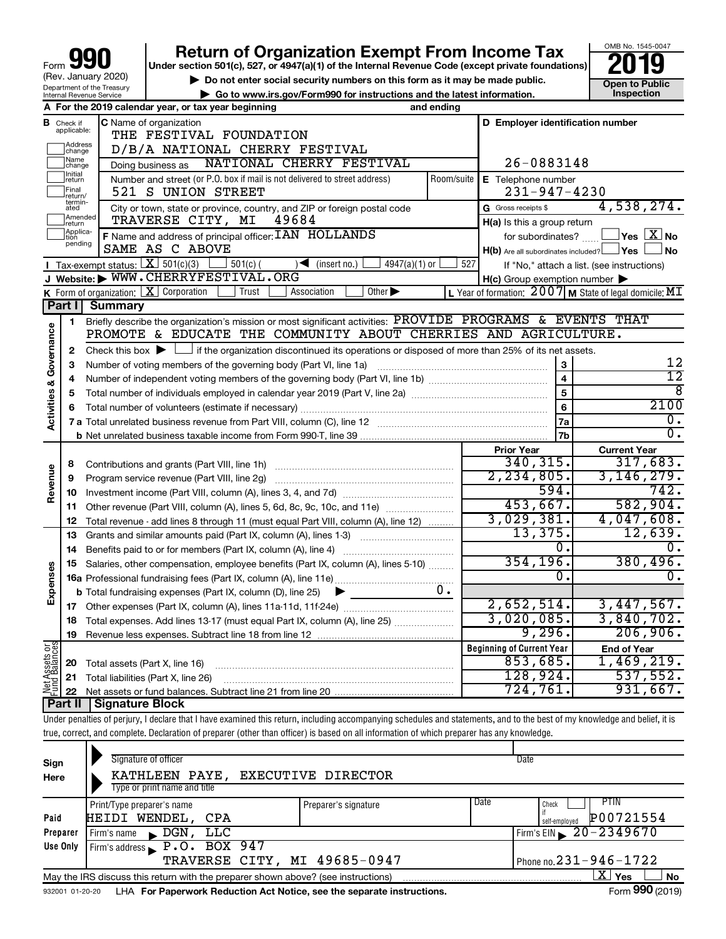| 990<br>Form                                            |
|--------------------------------------------------------|
| (Rev. January 2020)                                    |
| Department of the Treasury<br>Internal Revenue Service |

# **990 Return of Organization Exempt From Income Tax 2019 2019 2019**

**Under section 501(c), 527, or 4947(a)(1) of the Internal Revenue Code (except private foundations)**

OMB No. 1545-0047

|                                                                                                 | (Rev. January 2020)<br>$\triangleright$ Do not enter social security numbers on this form as it may be made public.<br>Department of the Treasury |                                                                                                    |                                                                                                                                                                            |            |                                                           |                                                  |  |  |  |  |
|-------------------------------------------------------------------------------------------------|---------------------------------------------------------------------------------------------------------------------------------------------------|----------------------------------------------------------------------------------------------------|----------------------------------------------------------------------------------------------------------------------------------------------------------------------------|------------|-----------------------------------------------------------|--------------------------------------------------|--|--|--|--|
|                                                                                                 |                                                                                                                                                   | Go to www.irs.gov/Form990 for instructions and the latest information.<br>Internal Revenue Service |                                                                                                                                                                            |            |                                                           |                                                  |  |  |  |  |
|                                                                                                 | A For the 2019 calendar year, or tax year beginning<br>and ending                                                                                 |                                                                                                    |                                                                                                                                                                            |            |                                                           |                                                  |  |  |  |  |
|                                                                                                 | <b>B</b> Check if applicable:                                                                                                                     |                                                                                                    | C Name of organization                                                                                                                                                     |            | D Employer identification number                          |                                                  |  |  |  |  |
|                                                                                                 | Address<br>change                                                                                                                                 |                                                                                                    | THE FESTIVAL FOUNDATION<br>D/B/A NATIONAL CHERRY FESTIVAL                                                                                                                  |            |                                                           |                                                  |  |  |  |  |
|                                                                                                 |                                                                                                                                                   |                                                                                                    |                                                                                                                                                                            |            |                                                           |                                                  |  |  |  |  |
|                                                                                                 | 26-0883148                                                                                                                                        |                                                                                                    |                                                                                                                                                                            |            |                                                           |                                                  |  |  |  |  |
|                                                                                                 | Initial<br> return                                                                                                                                |                                                                                                    | Number and street (or P.O. box if mail is not delivered to street address)                                                                                                 | Room/suite | E Telephone number                                        |                                                  |  |  |  |  |
| Final<br>$231 - 947 - 4230$<br>521 S UNION STREET<br>return/                                    |                                                                                                                                                   |                                                                                                    |                                                                                                                                                                            |            |                                                           |                                                  |  |  |  |  |
|                                                                                                 | termin-<br>ated                                                                                                                                   |                                                                                                    | City or town, state or province, country, and ZIP or foreign postal code                                                                                                   |            | G Gross receipts \$                                       | 4,538,274.                                       |  |  |  |  |
|                                                                                                 | Amended<br>return                                                                                                                                 |                                                                                                    | TRAVERSE CITY, MI<br>49684                                                                                                                                                 |            | H(a) Is this a group return                               | $\sqrt{\mathsf{Yes}\mathord{\;\mathbb{X}}\,}$ No |  |  |  |  |
| Applica-<br>Ition<br>F Name and address of principal officer: IAN HOLLANDS<br>for subordinates? |                                                                                                                                                   |                                                                                                    |                                                                                                                                                                            |            |                                                           |                                                  |  |  |  |  |
| pending<br>SAME AS C ABOVE<br>$H(b)$ Are all subordinates included? $\Box$ Yes                  |                                                                                                                                                   |                                                                                                    |                                                                                                                                                                            |            |                                                           |                                                  |  |  |  |  |
|                                                                                                 |                                                                                                                                                   |                                                                                                    | <b>I</b> Tax-exempt status: $X \ 501(c)(3)$<br>$501(c)$ (<br>$\blacktriangleleft$ (insert no.)<br>$4947(a)(1)$ or                                                          |            | 527<br>If "No," attach a list. (see instructions)         |                                                  |  |  |  |  |
|                                                                                                 |                                                                                                                                                   |                                                                                                    | J Website: WWW.CHERRYFESTIVAL.ORG                                                                                                                                          |            | $H(c)$ Group exemption number $\blacktriangleright$       |                                                  |  |  |  |  |
|                                                                                                 |                                                                                                                                                   |                                                                                                    | Other $\blacktriangleright$<br><b>K</b> Form of organization: $X$ Corporation<br>Association<br>Trust                                                                      |            | L Year of formation: $2007$ M State of legal domicile: MT |                                                  |  |  |  |  |
|                                                                                                 | Part I                                                                                                                                            | <b>Summary</b>                                                                                     |                                                                                                                                                                            |            |                                                           |                                                  |  |  |  |  |
|                                                                                                 | 1                                                                                                                                                 |                                                                                                    | Briefly describe the organization's mission or most significant activities: PROVIDE PROGRAMS & EVENTS THAT                                                                 |            |                                                           |                                                  |  |  |  |  |
|                                                                                                 |                                                                                                                                                   |                                                                                                    | PROMOTE & EDUCATE THE COMMUNITY ABOUT CHERRIES AND AGRICULTURE.                                                                                                            |            |                                                           |                                                  |  |  |  |  |
| & Governance                                                                                    | $\mathbf{2}$                                                                                                                                      |                                                                                                    | Check this box $\blacktriangleright$ $\Box$ if the organization discontinued its operations or disposed of more than 25% of its net assets.                                |            |                                                           |                                                  |  |  |  |  |
|                                                                                                 | З                                                                                                                                                 |                                                                                                    | Number of voting members of the governing body (Part VI, line 1a)                                                                                                          |            | 3                                                         | 12                                               |  |  |  |  |
|                                                                                                 | 4                                                                                                                                                 |                                                                                                    |                                                                                                                                                                            |            | $\overline{\mathbf{4}}$                                   | $\overline{12}$                                  |  |  |  |  |
|                                                                                                 | 5                                                                                                                                                 |                                                                                                    |                                                                                                                                                                            |            | 5                                                         | $\overline{8}$                                   |  |  |  |  |
|                                                                                                 | 6                                                                                                                                                 |                                                                                                    | 6                                                                                                                                                                          | 2100       |                                                           |                                                  |  |  |  |  |
| Activities                                                                                      |                                                                                                                                                   |                                                                                                    |                                                                                                                                                                            |            | 7a                                                        | $\overline{0}$ .                                 |  |  |  |  |
|                                                                                                 |                                                                                                                                                   |                                                                                                    |                                                                                                                                                                            |            | 7b                                                        | $\overline{\mathfrak{o}}$ .                      |  |  |  |  |
|                                                                                                 |                                                                                                                                                   |                                                                                                    |                                                                                                                                                                            |            | <b>Prior Year</b>                                         | <b>Current Year</b>                              |  |  |  |  |
|                                                                                                 | 8                                                                                                                                                 |                                                                                                    |                                                                                                                                                                            |            | 340, 315.                                                 | 317,683.                                         |  |  |  |  |
|                                                                                                 | 9                                                                                                                                                 |                                                                                                    | Program service revenue (Part VIII, line 2g)                                                                                                                               |            | 2,234,805.                                                | 3, 146, 279.                                     |  |  |  |  |
| Revenue                                                                                         | 10                                                                                                                                                |                                                                                                    |                                                                                                                                                                            |            | 594.                                                      | 742.                                             |  |  |  |  |
|                                                                                                 | 11                                                                                                                                                |                                                                                                    | Other revenue (Part VIII, column (A), lines 5, 6d, 8c, 9c, 10c, and 11e)                                                                                                   |            | 453,667.                                                  | 582,904.                                         |  |  |  |  |
|                                                                                                 | 12                                                                                                                                                |                                                                                                    | Total revenue - add lines 8 through 11 (must equal Part VIII, column (A), line 12)                                                                                         |            | 3,029,381.                                                | 4,047,608.                                       |  |  |  |  |
|                                                                                                 | 13                                                                                                                                                |                                                                                                    | Grants and similar amounts paid (Part IX, column (A), lines 1-3)                                                                                                           |            | 13,375.                                                   | 12,639.                                          |  |  |  |  |
|                                                                                                 | 14                                                                                                                                                |                                                                                                    |                                                                                                                                                                            |            | σ.                                                        | 0.                                               |  |  |  |  |
|                                                                                                 | 15                                                                                                                                                |                                                                                                    | Salaries, other compensation, employee benefits (Part IX, column (A), lines 5-10)                                                                                          |            | 354, 196.                                                 | 380,496.                                         |  |  |  |  |
|                                                                                                 |                                                                                                                                                   |                                                                                                    |                                                                                                                                                                            |            | 0.                                                        | 0.                                               |  |  |  |  |
| Expenses                                                                                        |                                                                                                                                                   |                                                                                                    | <b>b</b> Total fundraising expenses (Part IX, column (D), line 25)<br>▶                                                                                                    | υ.         |                                                           |                                                  |  |  |  |  |
|                                                                                                 |                                                                                                                                                   |                                                                                                    | 17 Other expenses (Part IX, column (A), lines 11a-11d, 11f-24e)                                                                                                            |            | 2,652,514.                                                | 3,447,567.                                       |  |  |  |  |
|                                                                                                 | 18                                                                                                                                                |                                                                                                    | Total expenses. Add lines 13-17 (must equal Part IX, column (A), line 25) <i></i>                                                                                          |            | 3,020,085.                                                | 3,840,702.                                       |  |  |  |  |
|                                                                                                 | 19                                                                                                                                                |                                                                                                    |                                                                                                                                                                            |            | 9,296.                                                    | 206,906.                                         |  |  |  |  |
| Net Assets or                                                                                   |                                                                                                                                                   |                                                                                                    |                                                                                                                                                                            |            | <b>Beginning of Current Year</b>                          | <b>End of Year</b>                               |  |  |  |  |
|                                                                                                 | 20                                                                                                                                                | Total assets (Part X, line 16)                                                                     |                                                                                                                                                                            |            | 853,685.                                                  | 1,469,219.                                       |  |  |  |  |
|                                                                                                 | 21                                                                                                                                                |                                                                                                    | Total liabilities (Part X, line 26)                                                                                                                                        |            | 128,924.                                                  | 537,552.                                         |  |  |  |  |
|                                                                                                 | 22                                                                                                                                                |                                                                                                    |                                                                                                                                                                            |            | 724,761.                                                  | 931,667.                                         |  |  |  |  |
|                                                                                                 | Part II                                                                                                                                           | <b>Signature Block</b>                                                                             |                                                                                                                                                                            |            |                                                           |                                                  |  |  |  |  |
|                                                                                                 |                                                                                                                                                   |                                                                                                    | Under penalties of perjury, I declare that I have examined this return, including accompanying schedules and statements, and to the best of my knowledge and belief, it is |            |                                                           |                                                  |  |  |  |  |
|                                                                                                 |                                                                                                                                                   |                                                                                                    | true, correct, and complete. Declaration of preparer (other than officer) is based on all information of which preparer has any knowledge.                                 |            |                                                           |                                                  |  |  |  |  |

| Sign<br>Here | Signature of officer<br>KATHLEEN PAYE, EXECUTIVE DIRECTOR<br>Type or print name and title                    |                      | Date |                                |  |  |  |  |
|--------------|--------------------------------------------------------------------------------------------------------------|----------------------|------|--------------------------------|--|--|--|--|
|              | Print/Type preparer's name                                                                                   | Preparer's signature | Date | PTIN<br>Check                  |  |  |  |  |
| Paid         | HEIDI WENDEL,<br>CPA                                                                                         |                      |      | P00721554<br>self-employed     |  |  |  |  |
| Preparer     | Firm's name $\longrightarrow$ DGN,<br>LLC                                                                    |                      |      | Firm's EIN $\sqrt{20-2349670}$ |  |  |  |  |
| Use Only     | Firm's address $\blacktriangleright$ P.O. BOX 947                                                            |                      |      |                                |  |  |  |  |
|              | TRAVERSE CITY, MI 49685-0947                                                                                 |                      |      | Phone no. $231 - 946 - 1722$   |  |  |  |  |
|              | $X \mid$<br>Yes<br>No<br>May the IRS discuss this return with the preparer shown above? (see instructions)   |                      |      |                                |  |  |  |  |
|              | Form 990 (2019)<br>LHA For Paperwork Reduction Act Notice, see the separate instructions.<br>932001 01-20-20 |                      |      |                                |  |  |  |  |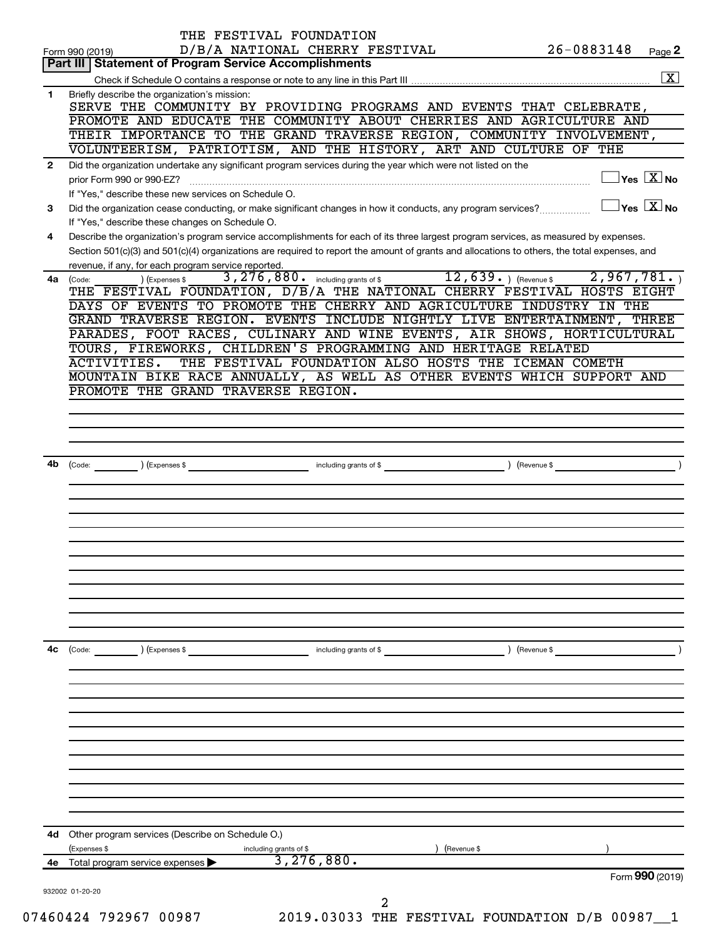|              | THE FESTIVAL FOUNDATION                                                                                                                                                                                                                                                                                                                                                                            |               |                                         |
|--------------|----------------------------------------------------------------------------------------------------------------------------------------------------------------------------------------------------------------------------------------------------------------------------------------------------------------------------------------------------------------------------------------------------|---------------|-----------------------------------------|
|              | D/B/A NATIONAL CHERRY FESTIVAL<br>Form 990 (2019)                                                                                                                                                                                                                                                                                                                                                  | 26-0883148    | Page 2                                  |
|              | Part III   Statement of Program Service Accomplishments                                                                                                                                                                                                                                                                                                                                            |               |                                         |
|              |                                                                                                                                                                                                                                                                                                                                                                                                    |               | $\overline{\mathbf{x}}$                 |
| $\mathbf{1}$ | Briefly describe the organization's mission:<br>SERVE THE COMMUNITY BY PROVIDING PROGRAMS AND EVENTS THAT CELEBRATE,<br>PROMOTE AND EDUCATE THE COMMUNITY ABOUT CHERRIES AND AGRICULTURE AND                                                                                                                                                                                                       |               |                                         |
|              | THEIR IMPORTANCE TO THE GRAND TRAVERSE REGION, COMMUNITY INVOLVEMENT,                                                                                                                                                                                                                                                                                                                              |               |                                         |
|              | VOLUNTEERISM, PATRIOTISM, AND THE HISTORY, ART AND CULTURE OF THE                                                                                                                                                                                                                                                                                                                                  |               |                                         |
| $\mathbf{2}$ | Did the organization undertake any significant program services during the year which were not listed on the                                                                                                                                                                                                                                                                                       |               |                                         |
|              | prior Form 990 or 990-EZ?<br>If "Yes," describe these new services on Schedule O.                                                                                                                                                                                                                                                                                                                  |               | $\Box$ Yes $[\overline{\mathrm{X}}]$ No |
| 3            | Did the organization cease conducting, or make significant changes in how it conducts, any program services?                                                                                                                                                                                                                                                                                       |               | $\Box$ Yes $\boxed{\mathrm{X}}$ No      |
|              | If "Yes," describe these changes on Schedule O.                                                                                                                                                                                                                                                                                                                                                    |               |                                         |
| 4            | Describe the organization's program service accomplishments for each of its three largest program services, as measured by expenses.<br>Section 501(c)(3) and 501(c)(4) organizations are required to report the amount of grants and allocations to others, the total expenses, and                                                                                                               |               |                                         |
|              | revenue, if any, for each program service reported.<br>3, 276, 880. including grants of \$12, 639. ) (Revenue \$2, 967, 781. )                                                                                                                                                                                                                                                                     |               |                                         |
| 4a           | ) (Expenses \$<br>(Code:<br>THE FESTIVAL FOUNDATION, D/B/A THE NATIONAL CHERRY FESTIVAL HOSTS EIGHT<br>DAYS OF EVENTS TO PROMOTE THE CHERRY AND AGRICULTURE INDUSTRY IN THE<br>GRAND TRAVERSE REGION. EVENTS INCLUDE NIGHTLY LIVE ENTERTAINMENT, THREE<br>PARADES, FOOT RACES, CULINARY AND WINE EVENTS, AIR SHOWS, HORTICULTURAL<br>TOURS, FIREWORKS, CHILDREN'S PROGRAMMING AND HERITAGE RELATED |               |                                         |
|              | THE FESTIVAL FOUNDATION ALSO HOSTS THE ICEMAN COMETH<br>ACTIVITIES.                                                                                                                                                                                                                                                                                                                                |               |                                         |
|              | MOUNTAIN BIKE RACE ANNUALLY, AS WELL AS OTHER EVENTS WHICH SUPPORT AND                                                                                                                                                                                                                                                                                                                             |               |                                         |
|              | PROMOTE THE GRAND TRAVERSE REGION.                                                                                                                                                                                                                                                                                                                                                                 |               |                                         |
|              |                                                                                                                                                                                                                                                                                                                                                                                                    |               |                                         |
|              |                                                                                                                                                                                                                                                                                                                                                                                                    |               |                                         |
|              |                                                                                                                                                                                                                                                                                                                                                                                                    |               |                                         |
| 4b           | $\overbrace{a_1, a_2, a_3, a_4, a_5, a_6, a_7, a_8, a_9, a_1, a_2, a_3, a_1, a_2, a_3, a_4, a_5, a_7, a_8, a_9, a_1, a_2, a_3, a_1, a_2, a_3, a_1, a_2, a_3, a_1, a_2, a_3, a_1, a_2, a_3, a_1, a_2, a_3, a_1, a_2, a_3, a_1, a_2, a_3, a_1, a_2, a_3, a_1, a_2, a_3, a_1, a_2, a_2, a_3,$                                                                                                         |               |                                         |
|              |                                                                                                                                                                                                                                                                                                                                                                                                    |               |                                         |
|              |                                                                                                                                                                                                                                                                                                                                                                                                    |               |                                         |
|              |                                                                                                                                                                                                                                                                                                                                                                                                    |               |                                         |
|              |                                                                                                                                                                                                                                                                                                                                                                                                    |               |                                         |
|              |                                                                                                                                                                                                                                                                                                                                                                                                    |               |                                         |
|              |                                                                                                                                                                                                                                                                                                                                                                                                    |               |                                         |
|              |                                                                                                                                                                                                                                                                                                                                                                                                    |               |                                         |
|              |                                                                                                                                                                                                                                                                                                                                                                                                    |               |                                         |
|              |                                                                                                                                                                                                                                                                                                                                                                                                    |               |                                         |
|              |                                                                                                                                                                                                                                                                                                                                                                                                    |               |                                         |
| 4c           | (Code:<br>) (Expenses \$<br>including grants of \$                                                                                                                                                                                                                                                                                                                                                 | ) (Revenue \$ |                                         |
|              |                                                                                                                                                                                                                                                                                                                                                                                                    |               |                                         |
|              |                                                                                                                                                                                                                                                                                                                                                                                                    |               |                                         |
|              |                                                                                                                                                                                                                                                                                                                                                                                                    |               |                                         |
|              |                                                                                                                                                                                                                                                                                                                                                                                                    |               |                                         |
|              |                                                                                                                                                                                                                                                                                                                                                                                                    |               |                                         |
|              |                                                                                                                                                                                                                                                                                                                                                                                                    |               |                                         |
|              |                                                                                                                                                                                                                                                                                                                                                                                                    |               |                                         |
|              |                                                                                                                                                                                                                                                                                                                                                                                                    |               |                                         |
|              |                                                                                                                                                                                                                                                                                                                                                                                                    |               |                                         |
|              |                                                                                                                                                                                                                                                                                                                                                                                                    |               |                                         |
|              |                                                                                                                                                                                                                                                                                                                                                                                                    |               |                                         |
| 4d           | Other program services (Describe on Schedule O.)                                                                                                                                                                                                                                                                                                                                                   |               |                                         |
|              | (Expenses \$<br>including grants of \$<br>(Revenue \$                                                                                                                                                                                                                                                                                                                                              |               |                                         |
|              | 3, 276, 880.<br>4e Total program service expenses                                                                                                                                                                                                                                                                                                                                                  |               |                                         |
|              |                                                                                                                                                                                                                                                                                                                                                                                                    |               | Form 990 (2019)                         |
|              | 932002 01-20-20<br>2<br>TOOGAT NAGOT<br>2010 02022 mur recotivit roundaton D/D 00007                                                                                                                                                                                                                                                                                                               |               |                                         |

07460424 792967 00987 2019.03033 THE FESTIVAL FOUNDATION D/B 00987 1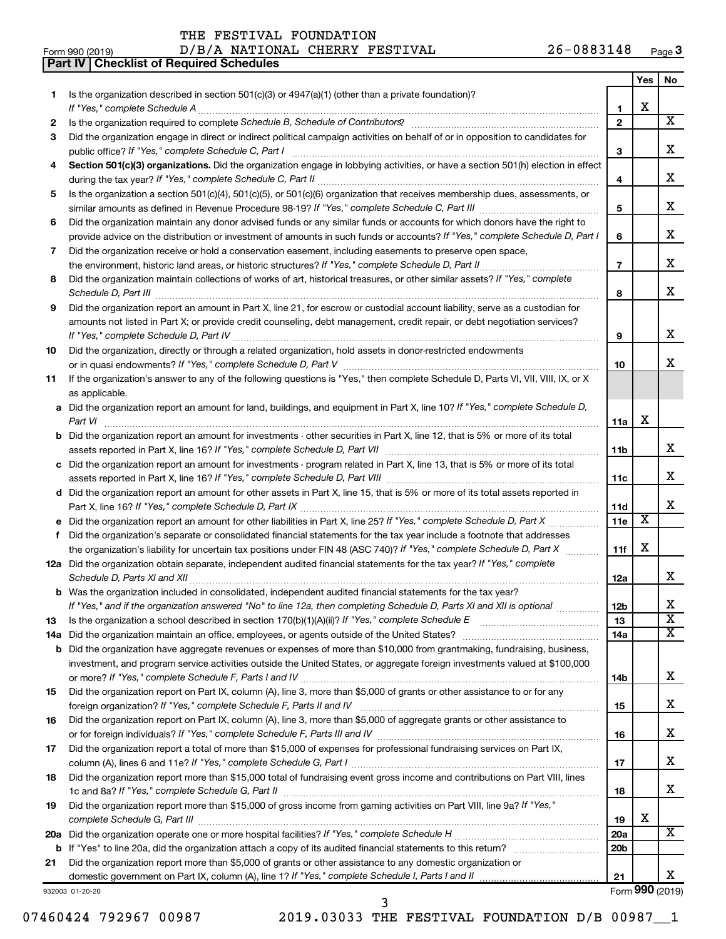**Part IV Checklist of Required Schedules**

Form 990 (2019)  $D/B/A$  NATIONAL CHERRY FESTIVAL  $26-0883148$  Page 26-0883148 Page 3

|     |                                                                                                                                                                                                                                     |                 | Yes | No                      |
|-----|-------------------------------------------------------------------------------------------------------------------------------------------------------------------------------------------------------------------------------------|-----------------|-----|-------------------------|
| 1   | Is the organization described in section 501(c)(3) or 4947(a)(1) (other than a private foundation)?                                                                                                                                 |                 |     |                         |
|     |                                                                                                                                                                                                                                     | 1               | X   |                         |
| 2   |                                                                                                                                                                                                                                     | $\overline{2}$  |     | $\overline{X}$          |
| З   | Did the organization engage in direct or indirect political campaign activities on behalf of or in opposition to candidates for                                                                                                     |                 |     |                         |
|     |                                                                                                                                                                                                                                     | 3               |     | x                       |
| 4   | Section 501(c)(3) organizations. Did the organization engage in lobbying activities, or have a section 501(h) election in effect                                                                                                    |                 |     |                         |
|     |                                                                                                                                                                                                                                     | 4               |     | x                       |
| 5   | Is the organization a section 501(c)(4), 501(c)(5), or 501(c)(6) organization that receives membership dues, assessments, or                                                                                                        |                 |     |                         |
|     |                                                                                                                                                                                                                                     | 5               |     | x                       |
| 6   | Did the organization maintain any donor advised funds or any similar funds or accounts for which donors have the right to                                                                                                           |                 |     |                         |
|     | provide advice on the distribution or investment of amounts in such funds or accounts? If "Yes," complete Schedule D, Part I                                                                                                        | 6               |     | x                       |
| 7   | Did the organization receive or hold a conservation easement, including easements to preserve open space,                                                                                                                           |                 |     |                         |
|     |                                                                                                                                                                                                                                     | $\overline{7}$  |     | x                       |
| 8   | Did the organization maintain collections of works of art, historical treasures, or other similar assets? If "Yes," complete                                                                                                        |                 |     |                         |
|     | Schedule D, Part III <b>Marting Community</b> Construction of the Construction of the Construction of the Construction of the Construction of the Construction of the Construction of the Construction of the Construction of the C | 8               |     | x                       |
| 9   | Did the organization report an amount in Part X, line 21, for escrow or custodial account liability, serve as a custodian for                                                                                                       |                 |     |                         |
|     | amounts not listed in Part X; or provide credit counseling, debt management, credit repair, or debt negotiation services?                                                                                                           |                 |     |                         |
|     |                                                                                                                                                                                                                                     | 9               |     | x                       |
|     |                                                                                                                                                                                                                                     |                 |     |                         |
| 10  | Did the organization, directly or through a related organization, hold assets in donor-restricted endowments                                                                                                                        |                 |     | x                       |
|     |                                                                                                                                                                                                                                     | 10              |     |                         |
| 11  | If the organization's answer to any of the following questions is "Yes," then complete Schedule D, Parts VI, VII, VIII, IX, or X                                                                                                    |                 |     |                         |
|     | as applicable.                                                                                                                                                                                                                      |                 |     |                         |
|     | a Did the organization report an amount for land, buildings, and equipment in Part X, line 10? If "Yes," complete Schedule D,                                                                                                       |                 |     |                         |
|     | Part VI                                                                                                                                                                                                                             | 11a             | X   |                         |
|     | <b>b</b> Did the organization report an amount for investments - other securities in Part X, line 12, that is 5% or more of its total                                                                                               |                 |     |                         |
|     |                                                                                                                                                                                                                                     | 11b             |     | x                       |
|     | c Did the organization report an amount for investments - program related in Part X, line 13, that is 5% or more of its total                                                                                                       |                 |     |                         |
|     |                                                                                                                                                                                                                                     | 11c             |     | x                       |
|     | d Did the organization report an amount for other assets in Part X, line 15, that is 5% or more of its total assets reported in                                                                                                     |                 |     |                         |
|     |                                                                                                                                                                                                                                     | 11d             |     | x                       |
|     |                                                                                                                                                                                                                                     | 11e             | X   |                         |
| f.  | Did the organization's separate or consolidated financial statements for the tax year include a footnote that addresses                                                                                                             |                 |     |                         |
|     | the organization's liability for uncertain tax positions under FIN 48 (ASC 740)? If "Yes," complete Schedule D, Part X                                                                                                              | 11f             | X   |                         |
|     | 12a Did the organization obtain separate, independent audited financial statements for the tax year? If "Yes," complete                                                                                                             |                 |     |                         |
|     |                                                                                                                                                                                                                                     | 12a             |     | x                       |
|     | b Was the organization included in consolidated, independent audited financial statements for the tax year?                                                                                                                         |                 |     |                         |
|     | If "Yes," and if the organization answered "No" to line 12a, then completing Schedule D, Parts XI and XII is optional                                                                                                               | 12b             |     | x                       |
| 13  |                                                                                                                                                                                                                                     | 13              |     | $\overline{\texttt{x}}$ |
| 14a |                                                                                                                                                                                                                                     | 14a             |     | $\overline{\mathbf{X}}$ |
|     | <b>b</b> Did the organization have aggregate revenues or expenses of more than \$10,000 from grantmaking, fundraising, business,                                                                                                    |                 |     |                         |
|     | investment, and program service activities outside the United States, or aggregate foreign investments valued at \$100,000                                                                                                          |                 |     |                         |
|     |                                                                                                                                                                                                                                     | 14b             |     | x                       |
| 15  | Did the organization report on Part IX, column (A), line 3, more than \$5,000 of grants or other assistance to or for any                                                                                                           |                 |     |                         |
|     |                                                                                                                                                                                                                                     | 15              |     | х                       |
| 16  | Did the organization report on Part IX, column (A), line 3, more than \$5,000 of aggregate grants or other assistance to                                                                                                            |                 |     |                         |
|     |                                                                                                                                                                                                                                     | 16              |     | x                       |
| 17  | Did the organization report a total of more than \$15,000 of expenses for professional fundraising services on Part IX,                                                                                                             |                 |     |                         |
|     |                                                                                                                                                                                                                                     | 17              |     | х                       |
| 18  | Did the organization report more than \$15,000 total of fundraising event gross income and contributions on Part VIII, lines                                                                                                        |                 |     |                         |
|     |                                                                                                                                                                                                                                     | 18              |     | х                       |
| 19  | Did the organization report more than \$15,000 of gross income from gaming activities on Part VIII, line 9a? If "Yes,"                                                                                                              |                 |     |                         |
|     |                                                                                                                                                                                                                                     | 19              | х   |                         |
|     |                                                                                                                                                                                                                                     | 20a             |     | X                       |
|     |                                                                                                                                                                                                                                     | 20 <sub>b</sub> |     |                         |
| b   |                                                                                                                                                                                                                                     |                 |     |                         |
| 21  | Did the organization report more than \$5,000 of grants or other assistance to any domestic organization or                                                                                                                         | 21              |     | х                       |
|     |                                                                                                                                                                                                                                     |                 |     | Form 990 (2019)         |
|     | 932003 01-20-20<br>3                                                                                                                                                                                                                |                 |     |                         |

07460424 792967 00987 2019.03033 THE FESTIVAL FOUNDATION D/B 00987\_1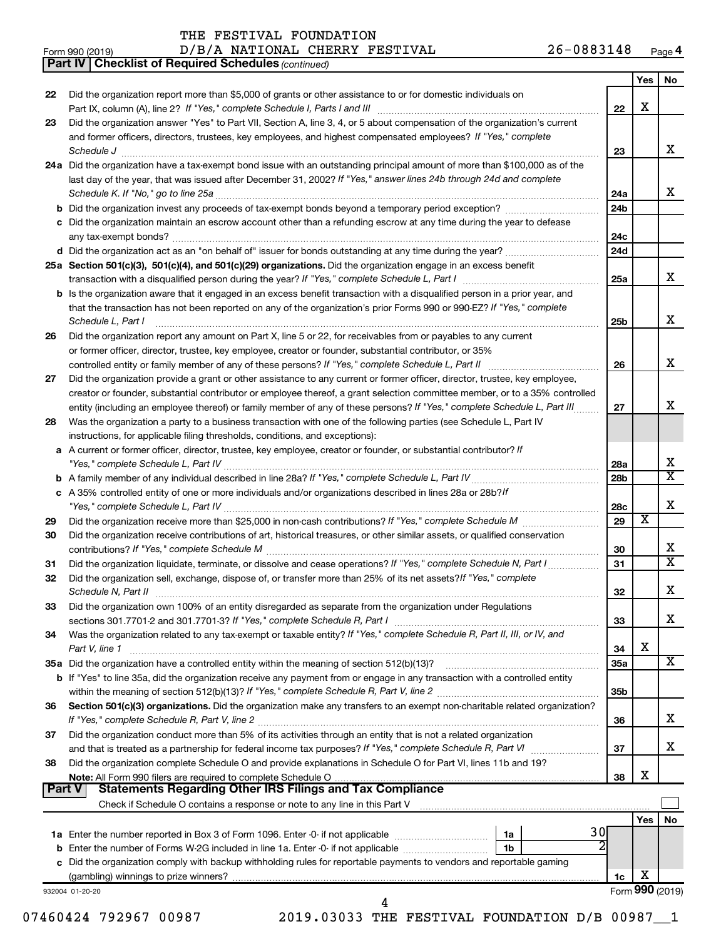Form 990 (2019)  $D/B/A$  NATIONAL CHERRY FESTIVAL  $26-0883148$  Page

**4**

|    | <b>Part IV   Checklist of Required Schedules (continued)</b>                                                                        |                 |                         |                         |
|----|-------------------------------------------------------------------------------------------------------------------------------------|-----------------|-------------------------|-------------------------|
|    |                                                                                                                                     |                 | Yes                     | No.                     |
| 22 | Did the organization report more than \$5,000 of grants or other assistance to or for domestic individuals on                       |                 |                         |                         |
|    |                                                                                                                                     | 22              | Х                       |                         |
| 23 | Did the organization answer "Yes" to Part VII, Section A, line 3, 4, or 5 about compensation of the organization's current          |                 |                         |                         |
|    | and former officers, directors, trustees, key employees, and highest compensated employees? If "Yes," complete                      |                 |                         |                         |
|    | Schedule J <b>Execute Schedule J Execute Schedule J</b>                                                                             | 23              |                         | x                       |
|    | 24a Did the organization have a tax-exempt bond issue with an outstanding principal amount of more than \$100,000 as of the         |                 |                         |                         |
|    | last day of the year, that was issued after December 31, 2002? If "Yes," answer lines 24b through 24d and complete                  |                 |                         |                         |
|    |                                                                                                                                     | 24a             |                         | x                       |
|    |                                                                                                                                     | 24 <sub>b</sub> |                         |                         |
|    | c Did the organization maintain an escrow account other than a refunding escrow at any time during the year to defease              |                 |                         |                         |
|    |                                                                                                                                     | 24c             |                         |                         |
|    |                                                                                                                                     | 24d             |                         |                         |
|    |                                                                                                                                     |                 |                         |                         |
|    | 25a Section 501(c)(3), 501(c)(4), and 501(c)(29) organizations. Did the organization engage in an excess benefit                    |                 |                         | x                       |
|    |                                                                                                                                     | 25a             |                         |                         |
|    | <b>b</b> Is the organization aware that it engaged in an excess benefit transaction with a disqualified person in a prior year, and |                 |                         |                         |
|    | that the transaction has not been reported on any of the organization's prior Forms 990 or 990-EZ? If "Yes," complete               |                 |                         |                         |
|    | Schedule L, Part I                                                                                                                  | 25b             |                         | x                       |
| 26 | Did the organization report any amount on Part X, line 5 or 22, for receivables from or payables to any current                     |                 |                         |                         |
|    | or former officer, director, trustee, key employee, creator or founder, substantial contributor, or 35%                             |                 |                         |                         |
|    |                                                                                                                                     | 26              |                         | x                       |
| 27 | Did the organization provide a grant or other assistance to any current or former officer, director, trustee, key employee,         |                 |                         |                         |
|    | creator or founder, substantial contributor or employee thereof, a grant selection committee member, or to a 35% controlled         |                 |                         |                         |
|    | entity (including an employee thereof) or family member of any of these persons? If "Yes," complete Schedule L, Part III            | 27              |                         | x                       |
| 28 | Was the organization a party to a business transaction with one of the following parties (see Schedule L, Part IV                   |                 |                         |                         |
|    | instructions, for applicable filing thresholds, conditions, and exceptions):                                                        |                 |                         |                         |
|    | a A current or former officer, director, trustee, key employee, creator or founder, or substantial contributor? If                  |                 |                         |                         |
|    |                                                                                                                                     | 28a             |                         | х                       |
|    |                                                                                                                                     | 28b             |                         | $\overline{\texttt{x}}$ |
|    | c A 35% controlled entity of one or more individuals and/or organizations described in lines 28a or 28b?If                          |                 |                         |                         |
|    |                                                                                                                                     | 28c             |                         | Х                       |
| 29 |                                                                                                                                     | 29              | $\overline{\textbf{x}}$ |                         |
| 30 | Did the organization receive contributions of art, historical treasures, or other similar assets, or qualified conservation         |                 |                         |                         |
|    |                                                                                                                                     | 30              |                         | х                       |
| 31 | Did the organization liquidate, terminate, or dissolve and cease operations? If "Yes," complete Schedule N, Part I                  | 31              |                         | X                       |
| 32 | Did the organization sell, exchange, dispose of, or transfer more than 25% of its net assets? If "Yes," complete                    |                 |                         |                         |
|    | Schedule N, Part II                                                                                                                 | 32              |                         | ▵                       |
| 33 | Did the organization own 100% of an entity disregarded as separate from the organization under Regulations                          |                 |                         |                         |
|    |                                                                                                                                     | 33              |                         | x                       |
| 34 | Was the organization related to any tax-exempt or taxable entity? If "Yes," complete Schedule R, Part II, III, or IV, and           |                 |                         |                         |
|    | Part V, line 1                                                                                                                      | 34              | X                       |                         |
|    |                                                                                                                                     | 35a             |                         | х                       |
|    | b If "Yes" to line 35a, did the organization receive any payment from or engage in any transaction with a controlled entity         |                 |                         |                         |
|    |                                                                                                                                     | 35b             |                         |                         |
| 36 | Section 501(c)(3) organizations. Did the organization make any transfers to an exempt non-charitable related organization?          |                 |                         |                         |
|    |                                                                                                                                     | 36              |                         | х                       |
| 37 | Did the organization conduct more than 5% of its activities through an entity that is not a related organization                    |                 |                         |                         |
|    |                                                                                                                                     | 37              |                         | х                       |
|    |                                                                                                                                     |                 |                         |                         |
| 38 | Did the organization complete Schedule O and provide explanations in Schedule O for Part VI, lines 11b and 19?                      |                 | X                       |                         |
|    | Note: All Form 990 filers are required to complete Schedule O.<br><b>Part V</b>                                                     | 38              |                         |                         |
|    |                                                                                                                                     |                 |                         |                         |
|    |                                                                                                                                     |                 |                         |                         |
|    |                                                                                                                                     |                 | Yes                     | No                      |
|    | 30<br>1a                                                                                                                            |                 |                         |                         |
|    | 1b                                                                                                                                  |                 |                         |                         |
|    | c Did the organization comply with backup withholding rules for reportable payments to vendors and reportable gaming                |                 |                         |                         |
|    |                                                                                                                                     | 1c              | х                       |                         |
|    | 932004 01-20-20                                                                                                                     |                 |                         | Form 990 (2019)         |
|    | 4                                                                                                                                   |                 |                         |                         |

07460424 792967 00987 2019.03033 THE FESTIVAL FOUNDATION D/B 00987 1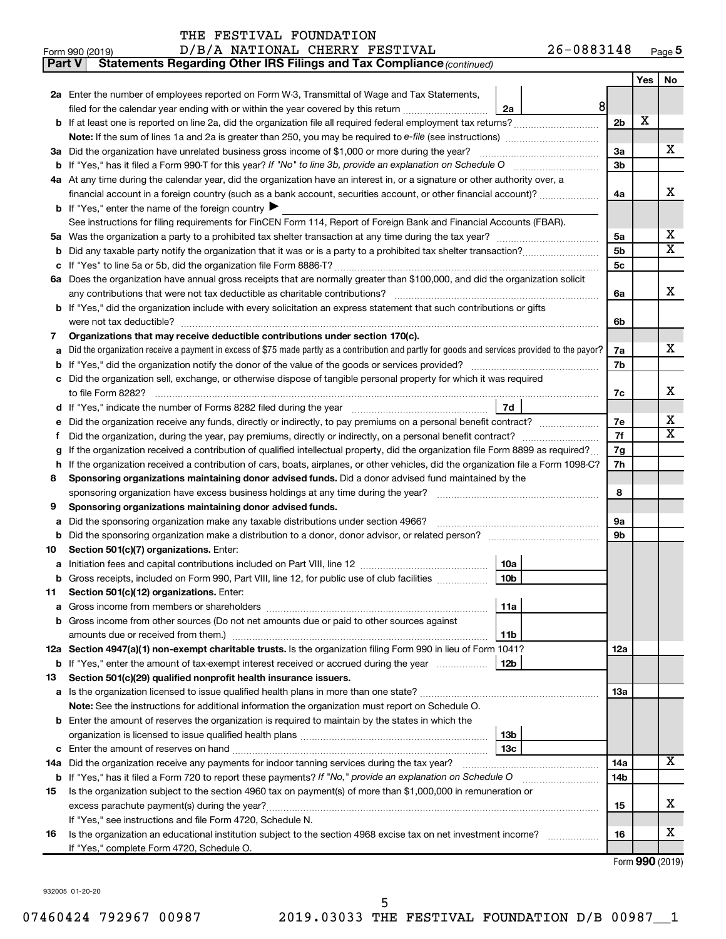| THE FESTIVAL FOUNDATION |  |  |  |
|-------------------------|--|--|--|
|-------------------------|--|--|--|

| Part V | Statements Regarding Other IRS Filings and Tax Compliance (continued)                                                                                        |                |     |                         |  |  |
|--------|--------------------------------------------------------------------------------------------------------------------------------------------------------------|----------------|-----|-------------------------|--|--|
|        |                                                                                                                                                              |                | Yes | No                      |  |  |
|        | 2a Enter the number of employees reported on Form W-3, Transmittal of Wage and Tax Statements,                                                               |                |     |                         |  |  |
|        | 8<br>filed for the calendar year ending with or within the year covered by this return<br>2a                                                                 |                |     |                         |  |  |
| b      | If at least one is reported on line 2a, did the organization file all required federal employment tax returns?                                               | 2 <sub>b</sub> | X   |                         |  |  |
|        |                                                                                                                                                              |                |     |                         |  |  |
|        | 3a Did the organization have unrelated business gross income of \$1,000 or more during the year?                                                             | За             |     | х                       |  |  |
| b      |                                                                                                                                                              |                |     |                         |  |  |
|        | 4a At any time during the calendar year, did the organization have an interest in, or a signature or other authority over, a                                 |                |     |                         |  |  |
|        | financial account in a foreign country (such as a bank account, securities account, or other financial account)?                                             | 4a             |     | х                       |  |  |
|        | <b>b</b> If "Yes," enter the name of the foreign country $\blacktriangleright$                                                                               |                |     |                         |  |  |
|        | See instructions for filing requirements for FinCEN Form 114, Report of Foreign Bank and Financial Accounts (FBAR).                                          |                |     |                         |  |  |
| 5a     |                                                                                                                                                              | 5a             |     | х                       |  |  |
| b      |                                                                                                                                                              | 5b             |     | $\overline{\mathbf{X}}$ |  |  |
| с      |                                                                                                                                                              | 5с             |     |                         |  |  |
|        | 6a Does the organization have annual gross receipts that are normally greater than \$100,000, and did the organization solicit                               |                |     |                         |  |  |
|        |                                                                                                                                                              | 6a             |     | х                       |  |  |
| b      | If "Yes," did the organization include with every solicitation an express statement that such contributions or gifts                                         |                |     |                         |  |  |
|        | were not tax deductible?                                                                                                                                     | 6b             |     |                         |  |  |
| 7      | Organizations that may receive deductible contributions under section 170(c).                                                                                |                |     |                         |  |  |
| а      | Did the organization receive a payment in excess of \$75 made partly as a contribution and partly for goods and services provided to the payor?              | 7a             |     | х                       |  |  |
| b      |                                                                                                                                                              | 7b             |     |                         |  |  |
| с      | Did the organization sell, exchange, or otherwise dispose of tangible personal property for which it was required                                            |                |     |                         |  |  |
|        |                                                                                                                                                              | 7c             |     | х                       |  |  |
| d      | 7d<br>If "Yes," indicate the number of Forms 8282 filed during the year [111] [11] "Yes," indicate the number of Forms 8282 filed during the year            |                |     | х                       |  |  |
| е      | Did the organization receive any funds, directly or indirectly, to pay premiums on a personal benefit contract?                                              |                |     |                         |  |  |
| f      |                                                                                                                                                              |                |     |                         |  |  |
| g      | If the organization received a contribution of qualified intellectual property, did the organization file Form 8899 as required?                             |                |     |                         |  |  |
| h      | If the organization received a contribution of cars, boats, airplanes, or other vehicles, did the organization file a Form 1098-C?                           |                |     |                         |  |  |
| 8      | Sponsoring organizations maintaining donor advised funds. Did a donor advised fund maintained by the                                                         |                |     |                         |  |  |
|        |                                                                                                                                                              | 8              |     |                         |  |  |
| 9      | Sponsoring organizations maintaining donor advised funds.                                                                                                    |                |     |                         |  |  |
| а      | Did the sponsoring organization make any taxable distributions under section 4966?                                                                           | <b>9a</b>      |     |                         |  |  |
| b      |                                                                                                                                                              | 9b             |     |                         |  |  |
| 10     | Section 501(c)(7) organizations. Enter:                                                                                                                      |                |     |                         |  |  |
| а      | 10a                                                                                                                                                          |                |     |                         |  |  |
|        | 10 <sub>b</sub><br>Gross receipts, included on Form 990, Part VIII, line 12, for public use of club facilities                                               |                |     |                         |  |  |
| 11     | Section 501(c)(12) organizations. Enter:                                                                                                                     |                |     |                         |  |  |
| а      | 11a                                                                                                                                                          |                |     |                         |  |  |
|        | Gross income from other sources (Do not net amounts due or paid to other sources against                                                                     |                |     |                         |  |  |
|        | amounts due or received from them.)<br>11b<br>12a Section 4947(a)(1) non-exempt charitable trusts. Is the organization filing Form 990 in lieu of Form 1041? | 12a            |     |                         |  |  |
|        | 12b<br><b>b</b> If "Yes," enter the amount of tax-exempt interest received or accrued during the year                                                        |                |     |                         |  |  |
| 13     | Section 501(c)(29) qualified nonprofit health insurance issuers.                                                                                             |                |     |                         |  |  |
|        | a Is the organization licensed to issue qualified health plans in more than one state?                                                                       | 13a            |     |                         |  |  |
|        | <b>Note:</b> See the instructions for additional information the organization must report on Schedule O.                                                     |                |     |                         |  |  |
| b      | Enter the amount of reserves the organization is required to maintain by the states in which the                                                             |                |     |                         |  |  |
|        | 13 <sub>b</sub>                                                                                                                                              |                |     |                         |  |  |
| с      | 13с                                                                                                                                                          |                |     |                         |  |  |
|        | 14a Did the organization receive any payments for indoor tanning services during the tax year?                                                               | 14a            |     | х                       |  |  |
|        | <b>b</b> If "Yes," has it filed a Form 720 to report these payments? If "No," provide an explanation on Schedule O                                           | 14b            |     |                         |  |  |
| 15     | Is the organization subject to the section 4960 tax on payment(s) of more than \$1,000,000 in remuneration or                                                |                |     |                         |  |  |
|        |                                                                                                                                                              | 15             |     | х                       |  |  |
|        | If "Yes," see instructions and file Form 4720, Schedule N.                                                                                                   |                |     |                         |  |  |
| 16     | Is the organization an educational institution subject to the section 4968 excise tax on net investment income?                                              | 16             |     | x                       |  |  |
|        | If "Yes," complete Form 4720, Schedule O.                                                                                                                    |                |     |                         |  |  |

Form (2019) **990**

932005 01-20-20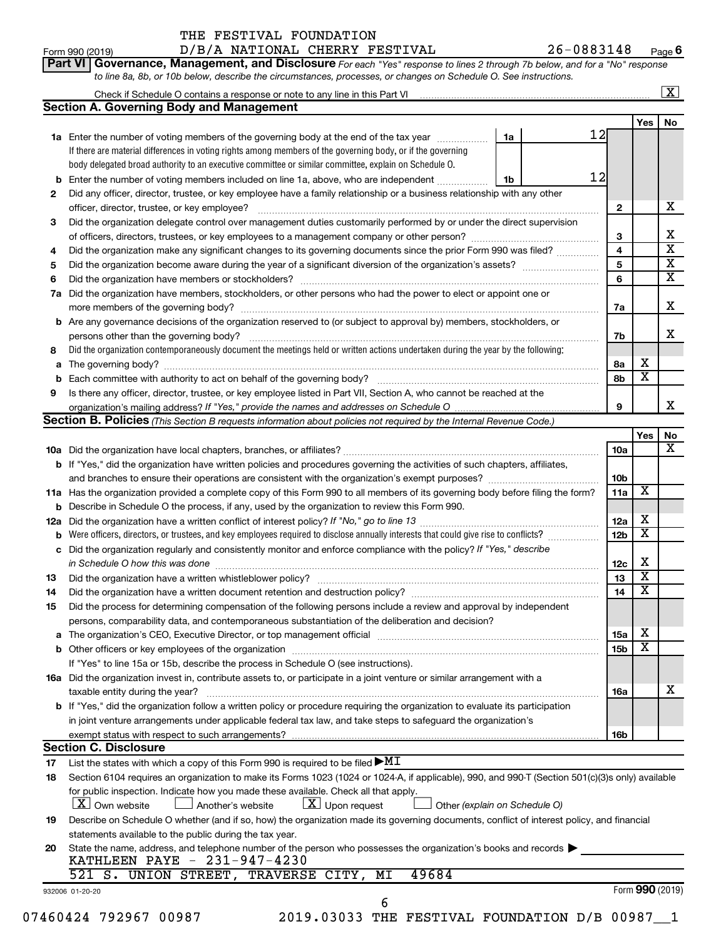|       | THE FESTIVAL FOUNDATION |  |
|-------|-------------------------|--|
| - - - | -----------             |  |

| Form 990 (2019) | D/B/A NATIONAL CHERRY FESTIVAL                                                                                                     | 26-0883148<br>Page |
|-----------------|------------------------------------------------------------------------------------------------------------------------------------|--------------------|
|                 | <b>Part VI Governance, Management, and Disclosure</b> For each "Yes" response to lines 2 through 7b below, and for a "No" response |                    |
|                 | to line 8a, 8b, or 10b below, describe the circumstances, processes, or changes on Schedule O. See instructions.                   |                    |

|                                                                                             | Check if Schedule O contains a response or note to any line in this Part VI                                                                                                                                                    |    |  |    |                         |                         | $\overline{\mathbf{X}}$ |
|---------------------------------------------------------------------------------------------|--------------------------------------------------------------------------------------------------------------------------------------------------------------------------------------------------------------------------------|----|--|----|-------------------------|-------------------------|-------------------------|
|                                                                                             | <b>Section A. Governing Body and Management</b>                                                                                                                                                                                |    |  |    |                         |                         |                         |
|                                                                                             |                                                                                                                                                                                                                                |    |  |    |                         | <b>Yes</b>              | <b>No</b>               |
|                                                                                             | <b>1a</b> Enter the number of voting members of the governing body at the end of the tax year                                                                                                                                  | 1a |  | 12 |                         |                         |                         |
|                                                                                             | If there are material differences in voting rights among members of the governing body, or if the governing                                                                                                                    |    |  |    |                         |                         |                         |
|                                                                                             | body delegated broad authority to an executive committee or similar committee, explain on Schedule O.                                                                                                                          |    |  |    |                         |                         |                         |
|                                                                                             | Enter the number of voting members included on line 1a, above, who are independent                                                                                                                                             | 1b |  | 12 |                         |                         |                         |
| 2                                                                                           | Did any officer, director, trustee, or key employee have a family relationship or a business relationship with any other                                                                                                       |    |  |    |                         |                         |                         |
|                                                                                             | officer, director, trustee, or key employee?                                                                                                                                                                                   |    |  |    | $\mathbf{2}$            |                         | х                       |
| 3                                                                                           | Did the organization delegate control over management duties customarily performed by or under the direct supervision                                                                                                          |    |  |    |                         |                         |                         |
| of officers, directors, trustees, or key employees to a management company or other person? |                                                                                                                                                                                                                                |    |  |    |                         |                         | х                       |
| 4                                                                                           | Did the organization make any significant changes to its governing documents since the prior Form 990 was filed?                                                                                                               |    |  |    | $\overline{\mathbf{4}}$ |                         | $\overline{\mathbf{X}}$ |
| 5                                                                                           |                                                                                                                                                                                                                                |    |  |    | 5                       |                         | $\overline{\mathbf{x}}$ |
| 6                                                                                           |                                                                                                                                                                                                                                |    |  |    | 6                       |                         | $\overline{\mathbf{X}}$ |
| 7a                                                                                          | Did the organization have members, stockholders, or other persons who had the power to elect or appoint one or                                                                                                                 |    |  |    |                         |                         |                         |
|                                                                                             |                                                                                                                                                                                                                                |    |  |    | 7а                      |                         | х                       |
|                                                                                             | <b>b</b> Are any governance decisions of the organization reserved to (or subject to approval by) members, stockholders, or                                                                                                    |    |  |    |                         |                         |                         |
|                                                                                             | persons other than the governing body?                                                                                                                                                                                         |    |  |    | 7b                      |                         | x                       |
| 8                                                                                           | Did the organization contemporaneously document the meetings held or written actions undertaken during the year by the following:                                                                                              |    |  |    |                         |                         |                         |
| a                                                                                           |                                                                                                                                                                                                                                |    |  |    | 8a                      | х                       |                         |
| b                                                                                           |                                                                                                                                                                                                                                |    |  |    | 8b                      | $\overline{\texttt{x}}$ |                         |
| 9                                                                                           | Is there any officer, director, trustee, or key employee listed in Part VII, Section A, who cannot be reached at the                                                                                                           |    |  |    |                         |                         |                         |
|                                                                                             | organization's mailing address? If "Yes," provide the names and addresses on Schedule O                                                                                                                                        |    |  |    | 9                       |                         | x                       |
|                                                                                             | Section B. Policies (This Section B requests information about policies not required by the Internal Revenue Code.)                                                                                                            |    |  |    |                         |                         |                         |
|                                                                                             |                                                                                                                                                                                                                                |    |  |    |                         | Yes                     | No                      |
|                                                                                             |                                                                                                                                                                                                                                |    |  |    | 10a                     |                         | $\overline{\mathbf{X}}$ |
|                                                                                             | b If "Yes," did the organization have written policies and procedures governing the activities of such chapters, affiliates,                                                                                                   |    |  |    |                         |                         |                         |
|                                                                                             |                                                                                                                                                                                                                                |    |  |    | 10 <sub>b</sub>         |                         |                         |
|                                                                                             | 11a Has the organization provided a complete copy of this Form 990 to all members of its governing body before filing the form?                                                                                                |    |  |    | 11a                     | $\overline{\textbf{X}}$ |                         |
|                                                                                             | <b>b</b> Describe in Schedule O the process, if any, used by the organization to review this Form 990.                                                                                                                         |    |  |    |                         |                         |                         |
| 12a                                                                                         |                                                                                                                                                                                                                                |    |  |    | 12a                     | X                       |                         |
| b                                                                                           | Were officers, directors, or trustees, and key employees required to disclose annually interests that could give rise to conflicts?                                                                                            |    |  |    | 12 <sub>b</sub>         | $\overline{\text{x}}$   |                         |
| c                                                                                           | Did the organization regularly and consistently monitor and enforce compliance with the policy? If "Yes," describe                                                                                                             |    |  |    |                         |                         |                         |
|                                                                                             | in Schedule O how this was done                                                                                                                                                                                                |    |  |    | 12c                     | х                       |                         |
| 13                                                                                          | Did the organization have a written whistleblower policy?                                                                                                                                                                      |    |  |    | 13                      | $\overline{\textbf{x}}$ |                         |
| 14                                                                                          |                                                                                                                                                                                                                                |    |  |    | 14                      | $\overline{\mathbf{X}}$ |                         |
| 15                                                                                          | Did the process for determining compensation of the following persons include a review and approval by independent                                                                                                             |    |  |    |                         |                         |                         |
|                                                                                             | persons, comparability data, and contemporaneous substantiation of the deliberation and decision?                                                                                                                              |    |  |    |                         |                         |                         |
|                                                                                             | The organization's CEO, Executive Director, or top management official manufactured content of the organization's CEO, Executive Director, or top management official manufactured content of the organization's CEO, Executiv |    |  |    | 15a                     | х                       |                         |
|                                                                                             |                                                                                                                                                                                                                                |    |  |    | 15 <sub>b</sub>         | $\overline{\textbf{x}}$ |                         |
|                                                                                             | If "Yes" to line 15a or 15b, describe the process in Schedule O (see instructions).                                                                                                                                            |    |  |    |                         |                         |                         |
|                                                                                             | 16a Did the organization invest in, contribute assets to, or participate in a joint venture or similar arrangement with a                                                                                                      |    |  |    |                         |                         |                         |
|                                                                                             | taxable entity during the year?                                                                                                                                                                                                |    |  |    | 16a                     |                         | х                       |
|                                                                                             | b If "Yes," did the organization follow a written policy or procedure requiring the organization to evaluate its participation                                                                                                 |    |  |    |                         |                         |                         |
|                                                                                             | in joint venture arrangements under applicable federal tax law, and take steps to safeguard the organization's                                                                                                                 |    |  |    |                         |                         |                         |
|                                                                                             | exempt status with respect to such arrangements?                                                                                                                                                                               |    |  |    | 16b                     |                         |                         |
|                                                                                             | <b>Section C. Disclosure</b>                                                                                                                                                                                                   |    |  |    |                         |                         |                         |
| 17                                                                                          | List the states with which a copy of this Form 990 is required to be filed $\blacktriangleright\!\!\mathop{\rm M}\nolimits\!\mathbb{I}$                                                                                        |    |  |    |                         |                         |                         |
| 18                                                                                          | Section 6104 requires an organization to make its Forms 1023 (1024 or 1024-A, if applicable), 990, and 990-T (Section 501(c)(3)s only) available                                                                               |    |  |    |                         |                         |                         |
|                                                                                             | for public inspection. Indicate how you made these available. Check all that apply.                                                                                                                                            |    |  |    |                         |                         |                         |
|                                                                                             | $\lfloor x \rfloor$ Upon request<br>  X   Own website<br>Another's website<br>Other (explain on Schedule O)                                                                                                                    |    |  |    |                         |                         |                         |
| 19                                                                                          | Describe on Schedule O whether (and if so, how) the organization made its governing documents, conflict of interest policy, and financial                                                                                      |    |  |    |                         |                         |                         |
|                                                                                             | statements available to the public during the tax year.                                                                                                                                                                        |    |  |    |                         |                         |                         |
| 20                                                                                          | State the name, address, and telephone number of the person who possesses the organization's books and records                                                                                                                 |    |  |    |                         |                         |                         |
|                                                                                             | KATHLEEN PAYE - 231-947-4230                                                                                                                                                                                                   |    |  |    |                         |                         |                         |
|                                                                                             | 49684<br>521 S. UNION STREET,<br>TRAVERSE CITY,<br>MΙ                                                                                                                                                                          |    |  |    |                         |                         |                         |
|                                                                                             | 932006 01-20-20                                                                                                                                                                                                                |    |  |    |                         |                         | Form 990 (2019)         |
|                                                                                             | 6                                                                                                                                                                                                                              |    |  |    |                         |                         |                         |

07460424 792967 00987 2019.03033 THE FESTIVAL FOUNDATION D/B 00987<sup>1</sup>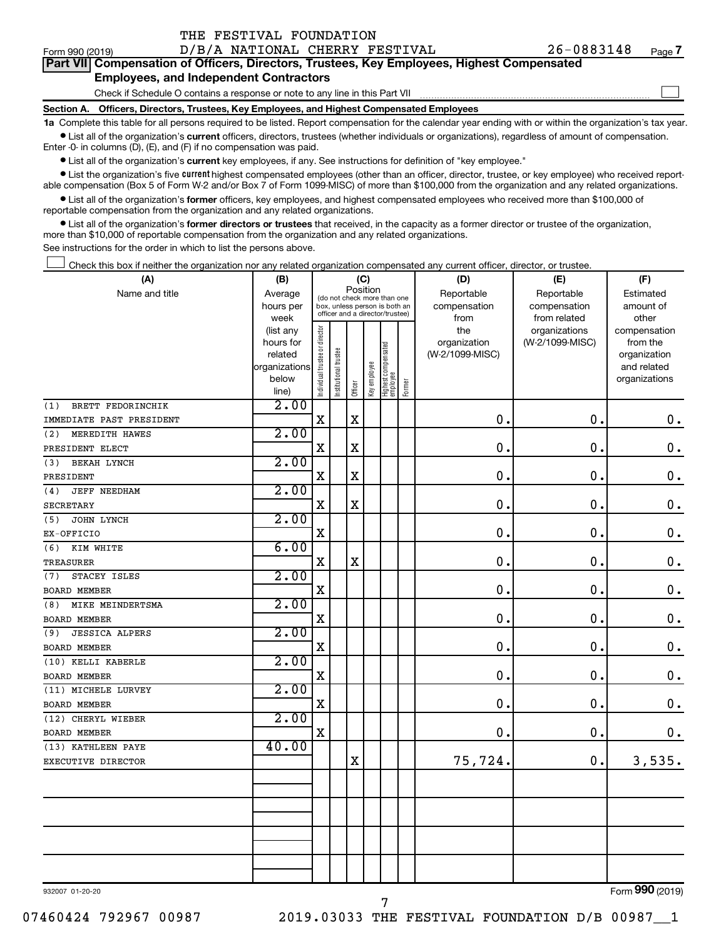| <b>Part VII Compensation of Officers, Directors, Trustees, Key Employees, Highest Compensated</b><br><b>Employees, and Independent Contractors</b> | ---- |
|----------------------------------------------------------------------------------------------------------------------------------------------------|------|
| Check if Schedule O contains a response or note to any line in this Part VII                                                                       |      |

**Section A. Officers, Directors, Trustees, Key Employees, and Highest Compensated Employees**

THE FESTIVAL FOUNDATION

**1a**  Complete this table for all persons required to be listed. Report compensation for the calendar year ending with or within the organization's tax year.  $\bullet$  List all of the organization's current officers, directors, trustees (whether individuals or organizations), regardless of amount of compensation.

Enter -0- in columns (D), (E), and (F) if no compensation was paid.

**•** List all of the organization's current key employees, if any. See instructions for definition of "key employee."

• List the organization's five *current* highest compensated employees (other than an officer, director, trustee, or key employee) who received reportable compensation (Box 5 of Form W-2 and/or Box 7 of Form 1099-MISC) of more than \$100,000 from the organization and any related organizations.

 $\bullet$  List all of the organization's former officers, key employees, and highest compensated employees who received more than \$100,000 of reportable compensation from the organization and any related organizations.

**•** List all of the organization's former directors or trustees that received, in the capacity as a former director or trustee of the organization, more than \$10,000 of reportable compensation from the organization and any related organizations.

See instructions for the order in which to list the persons above.

Check this box if neither the organization nor any related organization compensated any current officer, director, or trustee.  $\Box$ 

| (A)                          | (B)               |                                |                                                                  | (C)                     |              |                                 |        | (D)                  | (E)                          | (F)                |
|------------------------------|-------------------|--------------------------------|------------------------------------------------------------------|-------------------------|--------------|---------------------------------|--------|----------------------|------------------------------|--------------------|
| Name and title               | Average           |                                | (do not check more than one                                      |                         | Position     |                                 |        | Reportable           | Reportable                   | Estimated          |
|                              | hours per<br>week |                                | box, unless person is both an<br>officer and a director/trustee) |                         |              |                                 |        | compensation<br>from | compensation<br>from related | amount of<br>other |
|                              | (list any         |                                |                                                                  |                         |              |                                 |        | the                  | organizations                | compensation       |
|                              | hours for         |                                |                                                                  |                         |              |                                 |        | organization         | (W-2/1099-MISC)              | from the           |
|                              | related           |                                |                                                                  |                         |              |                                 |        | (W-2/1099-MISC)      |                              | organization       |
|                              | organizations     |                                |                                                                  |                         |              |                                 |        |                      |                              | and related        |
|                              | below             | Individual trustee or director | Institutional trustee                                            | Officer                 | Key employee | Highest compensated<br>employee | Former |                      |                              | organizations      |
| BRETT FEDORINCHIK<br>(1)     | line)<br>2.00     |                                |                                                                  |                         |              |                                 |        |                      |                              |                    |
| IMMEDIATE PAST PRESIDENT     |                   | X                              |                                                                  | $\overline{\mathbf{X}}$ |              |                                 |        | $\mathbf 0$          | $\mathbf 0$ .                | $\mathbf 0$ .      |
| MEREDITH HAWES<br>(2)        | 2.00              |                                |                                                                  |                         |              |                                 |        |                      |                              |                    |
| PRESIDENT ELECT              |                   | $\rm X$                        |                                                                  | $\mathbf x$             |              |                                 |        | $\mathbf 0$ .        | $\mathbf 0$ .                | $\mathbf 0$ .      |
| <b>BEKAH LYNCH</b><br>(3)    | 2.00              |                                |                                                                  |                         |              |                                 |        |                      |                              |                    |
| PRESIDENT                    |                   | $\mathbf X$                    |                                                                  | $\mathbf x$             |              |                                 |        | $\mathbf 0$          | $\mathbf 0$                  | $\mathbf 0$ .      |
| <b>JEFF NEEDHAM</b><br>(4)   | 2.00              |                                |                                                                  |                         |              |                                 |        |                      |                              |                    |
| SECRETARY                    |                   | X                              |                                                                  | X                       |              |                                 |        | $\mathbf 0$ .        | $\mathbf 0$                  | $\mathbf 0$ .      |
| JOHN LYNCH<br>(5)            | 2.00              |                                |                                                                  |                         |              |                                 |        |                      |                              |                    |
| EX-OFFICIO                   |                   | X                              |                                                                  |                         |              |                                 |        | 0                    | $\mathbf 0$                  | $\mathbf 0$ .      |
| (6)<br>KIM WHITE             | 6.00              |                                |                                                                  |                         |              |                                 |        |                      |                              |                    |
| <b>TREASURER</b>             |                   | $\mathbf X$                    |                                                                  | $\mathbf X$             |              |                                 |        | $\mathbf 0$          | $\mathbf 0$                  | $\mathbf 0$ .      |
| STACEY ISLES<br>(7)          | 2.00              |                                |                                                                  |                         |              |                                 |        |                      |                              |                    |
| <b>BOARD MEMBER</b>          |                   | X                              |                                                                  |                         |              |                                 |        | $\mathbf 0$          | $\mathbf 0$ .                | $0$ .              |
| MIKE MEINDERTSMA<br>(8)      | 2.00              |                                |                                                                  |                         |              |                                 |        |                      |                              |                    |
| <b>BOARD MEMBER</b>          |                   | X                              |                                                                  |                         |              |                                 |        | $\mathbf 0$ .        | $\mathbf 0$ .                | $\mathbf 0$ .      |
| <b>JESSICA ALPERS</b><br>(9) | 2.00              |                                |                                                                  |                         |              |                                 |        |                      |                              |                    |
| <b>BOARD MEMBER</b>          |                   | Χ                              |                                                                  |                         |              |                                 |        | 0                    | $\mathbf 0$ .                | $\mathbf 0$ .      |
| (10) KELLI KABERLE           | 2.00              |                                |                                                                  |                         |              |                                 |        |                      |                              |                    |
| <b>BOARD MEMBER</b>          |                   | X                              |                                                                  |                         |              |                                 |        | $\mathbf 0$ .        | $\mathbf 0$ .                | $0$ .              |
| (11) MICHELE LURVEY          | 2.00              |                                |                                                                  |                         |              |                                 |        |                      |                              |                    |
| <b>BOARD MEMBER</b>          |                   | X                              |                                                                  |                         |              |                                 |        | $\mathbf 0$ .        | 0.                           | $\mathbf 0$ .      |
| (12) CHERYL WIEBER           | 2.00              |                                |                                                                  |                         |              |                                 |        |                      |                              |                    |
| <b>BOARD MEMBER</b>          |                   | $\rm X$                        |                                                                  |                         |              |                                 |        | $\mathbf 0$ .        | 0.                           | $\mathbf 0$ .      |
| (13) KATHLEEN PAYE           | 40.00             |                                |                                                                  |                         |              |                                 |        |                      |                              |                    |
| EXECUTIVE DIRECTOR           |                   |                                |                                                                  | $\mathbf X$             |              |                                 |        | 75,724.              | $\mathbf 0$ .                | 3,535.             |
|                              |                   |                                |                                                                  |                         |              |                                 |        |                      |                              |                    |
|                              |                   |                                |                                                                  |                         |              |                                 |        |                      |                              |                    |
|                              |                   |                                |                                                                  |                         |              |                                 |        |                      |                              |                    |
|                              |                   |                                |                                                                  |                         |              |                                 |        |                      |                              |                    |
|                              |                   |                                |                                                                  |                         |              |                                 |        |                      |                              |                    |
|                              |                   |                                |                                                                  |                         |              |                                 |        |                      |                              |                    |
|                              |                   |                                |                                                                  |                         |              |                                 |        |                      |                              |                    |
|                              |                   |                                |                                                                  |                         |              |                                 |        |                      |                              | $000 \approx 1$    |

932007 01-20-20

Form (2019) **990**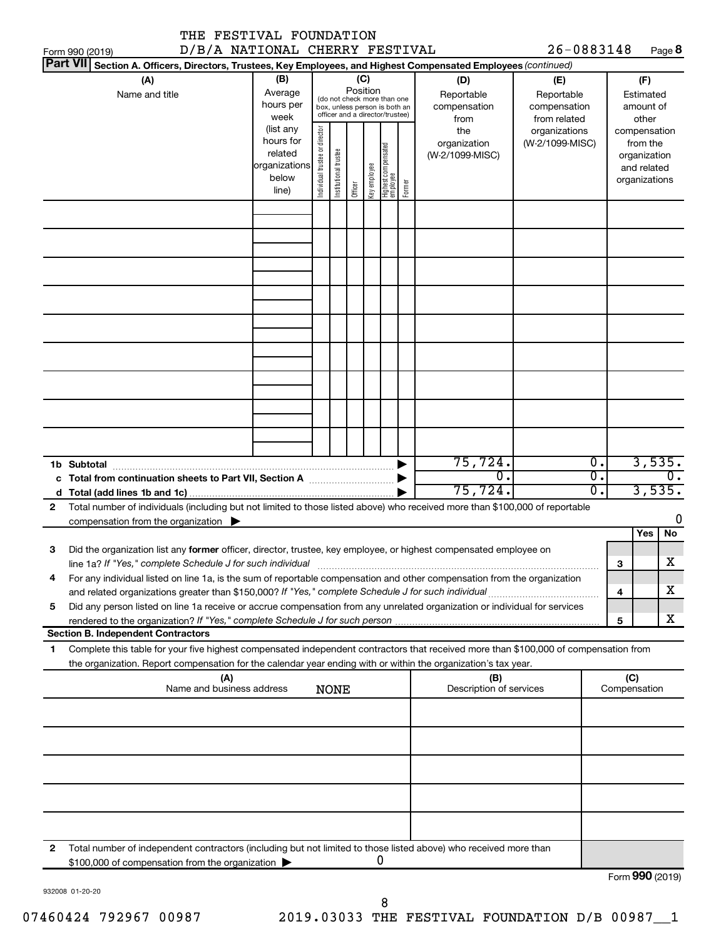|              | THE FESTIVAL FOUNDATION<br>D/B/A NATIONAL CHERRY FESTIVAL                                                                                                                                                                                              |                                                                      |                                |                       |          |              |                                                                                                 |        |                                           | 26-0883148                                        |                                      |                           |                                                          |         |
|--------------|--------------------------------------------------------------------------------------------------------------------------------------------------------------------------------------------------------------------------------------------------------|----------------------------------------------------------------------|--------------------------------|-----------------------|----------|--------------|-------------------------------------------------------------------------------------------------|--------|-------------------------------------------|---------------------------------------------------|--------------------------------------|---------------------------|----------------------------------------------------------|---------|
|              | Form 990 (2019)<br>Part VII Section A. Officers, Directors, Trustees, Key Employees, and Highest Compensated Employees (continued)                                                                                                                     |                                                                      |                                |                       |          |              |                                                                                                 |        |                                           |                                                   |                                      |                           |                                                          | Page 8  |
|              | (A)<br>Name and title                                                                                                                                                                                                                                  | (B)<br>Average<br>hours per<br>week                                  |                                |                       | Position | (C)          | (do not check more than one<br>box, unless person is both an<br>officer and a director/trustee) |        | (D)<br>Reportable<br>compensation<br>from | (E)<br>Reportable<br>compensation<br>from related |                                      |                           | (F)<br>Estimated<br>amount of<br>other                   |         |
|              |                                                                                                                                                                                                                                                        | (list any<br>hours for<br>related<br>organizations<br>below<br>line) | Individual trustee or director | Institutional trustee | Officer  | Key employee | Highest compensated<br>employee                                                                 | Former | the<br>organization<br>(W-2/1099-MISC)    | organizations<br>(W-2/1099-MISC)                  |                                      | compensation              | from the<br>organization<br>and related<br>organizations |         |
|              |                                                                                                                                                                                                                                                        |                                                                      |                                |                       |          |              |                                                                                                 |        |                                           |                                                   |                                      |                           |                                                          |         |
|              |                                                                                                                                                                                                                                                        |                                                                      |                                |                       |          |              |                                                                                                 |        |                                           |                                                   |                                      |                           |                                                          |         |
|              |                                                                                                                                                                                                                                                        |                                                                      |                                |                       |          |              |                                                                                                 |        |                                           |                                                   |                                      |                           |                                                          |         |
|              |                                                                                                                                                                                                                                                        |                                                                      |                                |                       |          |              |                                                                                                 |        |                                           |                                                   |                                      |                           |                                                          |         |
|              |                                                                                                                                                                                                                                                        |                                                                      |                                |                       |          |              |                                                                                                 |        | 75,724.                                   |                                                   | $\overline{0}$ .                     |                           | 3,535.                                                   |         |
|              | 1b Subtotal                                                                                                                                                                                                                                            |                                                                      |                                |                       |          |              |                                                                                                 |        | σ.<br>75,724.                             |                                                   | $\overline{0}$ .<br>$\overline{0}$ . |                           | 3,535.                                                   | $0$ .   |
| $\mathbf{2}$ | Total number of individuals (including but not limited to those listed above) who received more than \$100,000 of reportable<br>compensation from the organization $\blacktriangleright$                                                               |                                                                      |                                |                       |          |              |                                                                                                 |        |                                           |                                                   |                                      |                           |                                                          | 0       |
| З            | Did the organization list any former officer, director, trustee, key employee, or highest compensated employee on<br>line 1a? If "Yes," complete Schedule J for such individual                                                                        |                                                                      |                                |                       |          |              |                                                                                                 |        |                                           |                                                   |                                      | З                         | Yes                                                      | No<br>х |
| 4            | For any individual listed on line 1a, is the sum of reportable compensation and other compensation from the organization                                                                                                                               |                                                                      |                                |                       |          |              |                                                                                                 |        |                                           |                                                   |                                      | 4                         |                                                          | X.      |
| 5            | Did any person listed on line 1a receive or accrue compensation from any unrelated organization or individual for services                                                                                                                             |                                                                      |                                |                       |          |              |                                                                                                 |        |                                           |                                                   |                                      | 5                         |                                                          | x       |
|              | <b>Section B. Independent Contractors</b>                                                                                                                                                                                                              |                                                                      |                                |                       |          |              |                                                                                                 |        |                                           |                                                   |                                      |                           |                                                          |         |
| 1            | Complete this table for your five highest compensated independent contractors that received more than \$100,000 of compensation from<br>the organization. Report compensation for the calendar year ending with or within the organization's tax year. |                                                                      |                                |                       |          |              |                                                                                                 |        |                                           |                                                   |                                      |                           |                                                          |         |
|              | (A)<br>Name and business address                                                                                                                                                                                                                       |                                                                      |                                | <b>NONE</b>           |          |              |                                                                                                 |        | (B)<br>Description of services            |                                                   |                                      | (C)<br>Compensation       |                                                          |         |
|              |                                                                                                                                                                                                                                                        |                                                                      |                                |                       |          |              |                                                                                                 |        |                                           |                                                   |                                      |                           |                                                          |         |
|              |                                                                                                                                                                                                                                                        |                                                                      |                                |                       |          |              |                                                                                                 |        |                                           |                                                   |                                      |                           |                                                          |         |
|              |                                                                                                                                                                                                                                                        |                                                                      |                                |                       |          |              |                                                                                                 |        |                                           |                                                   |                                      |                           |                                                          |         |
|              |                                                                                                                                                                                                                                                        |                                                                      |                                |                       |          |              |                                                                                                 |        |                                           |                                                   |                                      |                           |                                                          |         |
| 2            | Total number of independent contractors (including but not limited to those listed above) who received more than<br>\$100,000 of compensation from the organization                                                                                    |                                                                      |                                |                       |          |              | 0                                                                                               |        |                                           |                                                   |                                      | $F_{\text{O}}$ QQO (2010) |                                                          |         |

932008 01-20-20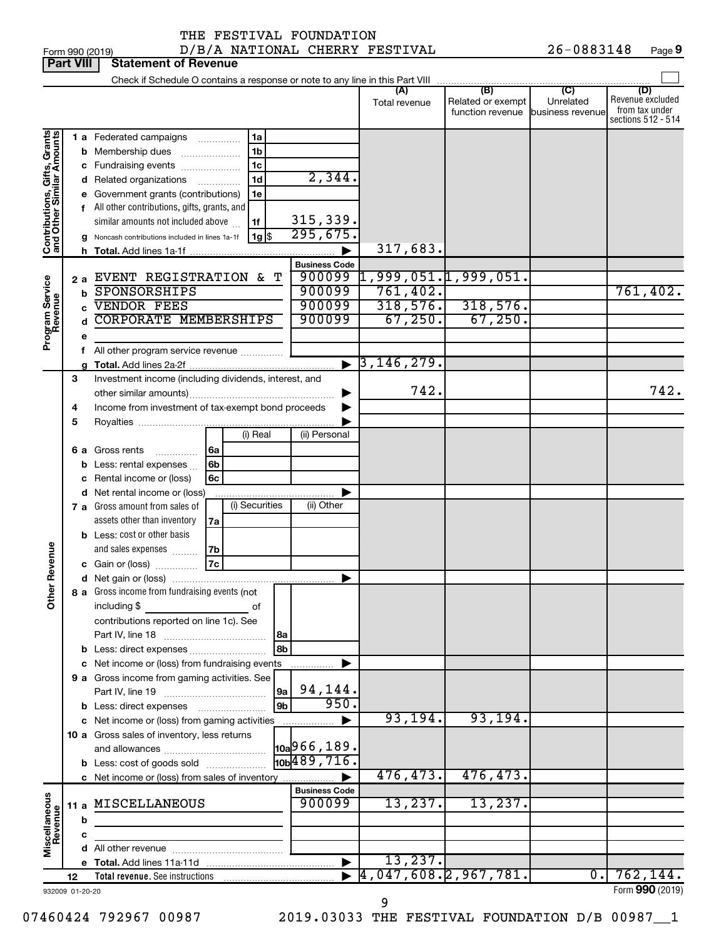Form 990 (2019) D/B/A NATIONAL CHERRY FESTIVAL 26-0883148 Page 26-0883148 Page 9

|                                                           | <b>Part VIII</b> |   | <b>Statement of Revenue</b>                                                                     |            |                               |                                                   |                                                        |                            |                                    |
|-----------------------------------------------------------|------------------|---|-------------------------------------------------------------------------------------------------|------------|-------------------------------|---------------------------------------------------|--------------------------------------------------------|----------------------------|------------------------------------|
|                                                           |                  |   | Check if Schedule O contains a response or note to any line in this Part VIII                   |            |                               |                                                   |                                                        |                            |                                    |
|                                                           |                  |   |                                                                                                 |            |                               | (A)                                               | (B)                                                    | $\overline{C}$             | (D)                                |
|                                                           |                  |   |                                                                                                 |            |                               | Total revenue                                     | Related or exempt<br>function revenue business revenue | Unrelated                  | Revenue excluded<br>from tax under |
|                                                           |                  |   |                                                                                                 |            |                               |                                                   |                                                        |                            | sections 512 - 514                 |
|                                                           |                  |   | 1a<br>1 a Federated campaigns                                                                   |            |                               |                                                   |                                                        |                            |                                    |
| Contributions, Gifts, Grants<br>and Other Similar Amounts |                  |   | 1 <sub>b</sub><br><b>b</b> Membership dues                                                      |            |                               |                                                   |                                                        |                            |                                    |
|                                                           |                  |   | 1 <sub>c</sub><br>c Fundraising events                                                          |            |                               |                                                   |                                                        |                            |                                    |
|                                                           |                  |   | 1d<br>Related organizations                                                                     |            | 2,344.                        |                                                   |                                                        |                            |                                    |
|                                                           |                  |   | e Government grants (contributions)<br>1e                                                       |            |                               |                                                   |                                                        |                            |                                    |
|                                                           |                  |   | All other contributions, gifts, grants, and                                                     |            |                               |                                                   |                                                        |                            |                                    |
|                                                           |                  |   | similar amounts not included above<br>1f                                                        |            | 315,339.                      |                                                   |                                                        |                            |                                    |
|                                                           |                  |   | 1g <br>g Noncash contributions included in lines 1a-1f                                          |            | 295,675.                      |                                                   |                                                        |                            |                                    |
|                                                           |                  |   |                                                                                                 |            |                               | 317,683.                                          |                                                        |                            |                                    |
|                                                           |                  |   |                                                                                                 |            | <b>Business Code</b>          |                                                   |                                                        |                            |                                    |
|                                                           | 2а               |   | EVENT REGISTRATION & T                                                                          |            | 900099                        | $\overline{1}$ ,999,051. $\overline{1}$ ,999,051. |                                                        |                            |                                    |
|                                                           |                  | b | SPONSORSHIPS                                                                                    |            | 900099                        | 761,402.                                          |                                                        |                            | 761,402.                           |
|                                                           |                  |   | <b>VENDOR FEES</b>                                                                              |            | 900099                        | 318,576.                                          | 318,576.                                               |                            |                                    |
|                                                           |                  |   | <b>CORPORATE MEMBERSHIPS</b>                                                                    |            | 900099                        | 67,250.                                           | 67,250.                                                |                            |                                    |
| Program Service<br>Revenue                                | e                |   |                                                                                                 |            |                               |                                                   |                                                        |                            |                                    |
|                                                           | f                |   | All other program service revenue                                                               |            |                               |                                                   |                                                        |                            |                                    |
|                                                           |                  | g |                                                                                                 |            |                               | $\blacktriangleright$ 3,146,279.                  |                                                        |                            |                                    |
|                                                           | З                |   | Investment income (including dividends, interest, and                                           |            |                               |                                                   |                                                        |                            |                                    |
|                                                           |                  |   |                                                                                                 |            |                               | 742.                                              |                                                        |                            | 742.                               |
|                                                           | 4                |   | Income from investment of tax-exempt bond proceeds                                              |            |                               |                                                   |                                                        |                            |                                    |
|                                                           | 5                |   |                                                                                                 |            |                               |                                                   |                                                        |                            |                                    |
|                                                           |                  |   | (i) Real                                                                                        |            | (ii) Personal                 |                                                   |                                                        |                            |                                    |
|                                                           |                  |   | <b>6 a</b> Gross rents<br>6a<br>.                                                               |            |                               |                                                   |                                                        |                            |                                    |
|                                                           |                  | b | 6b<br>Less: rental expenses                                                                     |            |                               |                                                   |                                                        |                            |                                    |
|                                                           |                  | c | 6c<br>Rental income or (loss)                                                                   |            |                               |                                                   |                                                        |                            |                                    |
|                                                           |                  |   | d Net rental income or (loss)                                                                   |            |                               |                                                   |                                                        |                            |                                    |
|                                                           |                  |   | (i) Securities<br>7 a Gross amount from sales of                                                |            | (ii) Other                    |                                                   |                                                        |                            |                                    |
|                                                           |                  |   | assets other than inventory<br>7a                                                               |            |                               |                                                   |                                                        |                            |                                    |
|                                                           |                  |   | <b>b</b> Less: cost or other basis                                                              |            |                               |                                                   |                                                        |                            |                                    |
| Revenue                                                   |                  |   | and sales expenses<br>7b                                                                        |            |                               |                                                   |                                                        |                            |                                    |
|                                                           |                  |   | <b>7c</b><br>c Gain or (loss)                                                                   |            |                               |                                                   |                                                        |                            |                                    |
|                                                           |                  |   |                                                                                                 |            |                               |                                                   |                                                        |                            |                                    |
| Other                                                     |                  |   | 8 a Gross income from fundraising events (not                                                   |            |                               |                                                   |                                                        |                            |                                    |
|                                                           |                  |   | including \$<br>of                                                                              |            |                               |                                                   |                                                        |                            |                                    |
|                                                           |                  |   | contributions reported on line 1c). See                                                         |            |                               |                                                   |                                                        |                            |                                    |
|                                                           |                  |   |                                                                                                 | 8a<br>l 8b |                               |                                                   |                                                        |                            |                                    |
|                                                           |                  |   |                                                                                                 |            |                               |                                                   |                                                        |                            |                                    |
|                                                           |                  |   | c Net income or (loss) from fundraising events                                                  |            |                               |                                                   |                                                        |                            |                                    |
|                                                           |                  |   | 9 a Gross income from gaming activities. See                                                    |            | 94,144.                       |                                                   |                                                        |                            |                                    |
|                                                           |                  |   |                                                                                                 | 9a<br>9b   | 950.                          |                                                   |                                                        |                            |                                    |
|                                                           |                  |   | <b>b</b> Less: direct expenses <b>manually</b><br>c Net income or (loss) from gaming activities |            |                               | 93, 194.                                          | 93, 194.                                               |                            |                                    |
|                                                           |                  |   | 10 a Gross sales of inventory, less returns                                                     |            |                               |                                                   |                                                        |                            |                                    |
|                                                           |                  |   |                                                                                                 |            | $\vert$ 10a $\vert$ 966, 189. |                                                   |                                                        |                            |                                    |
|                                                           |                  |   | <b>b</b> Less: cost of goods sold                                                               |            | 10 <sub>b</sub> 489, 716.     |                                                   |                                                        |                            |                                    |
|                                                           |                  |   | c Net income or (loss) from sales of inventory                                                  |            |                               | 476, 473.                                         | 476, 473.                                              |                            |                                    |
|                                                           |                  |   |                                                                                                 |            | <b>Business Code</b>          |                                                   |                                                        |                            |                                    |
|                                                           |                  |   | 11 a MISCELLANEOUS                                                                              |            | 900099                        | 13,237.                                           | 13,237.                                                |                            |                                    |
|                                                           |                  | b |                                                                                                 |            |                               |                                                   |                                                        |                            |                                    |
|                                                           |                  | c |                                                                                                 |            |                               |                                                   |                                                        |                            |                                    |
| Miscellaneous<br>Revenue                                  |                  |   |                                                                                                 |            |                               |                                                   |                                                        |                            |                                    |
|                                                           |                  |   |                                                                                                 |            |                               | 13, 237.                                          |                                                        |                            |                                    |
|                                                           | 12               |   |                                                                                                 |            |                               | 4,047,608.2,967,781.                              |                                                        | $\overline{\phantom{0}}$ . | 762, 144.                          |
|                                                           | 932009 01-20-20  |   |                                                                                                 |            |                               |                                                   |                                                        |                            | Form 990 (2019)                    |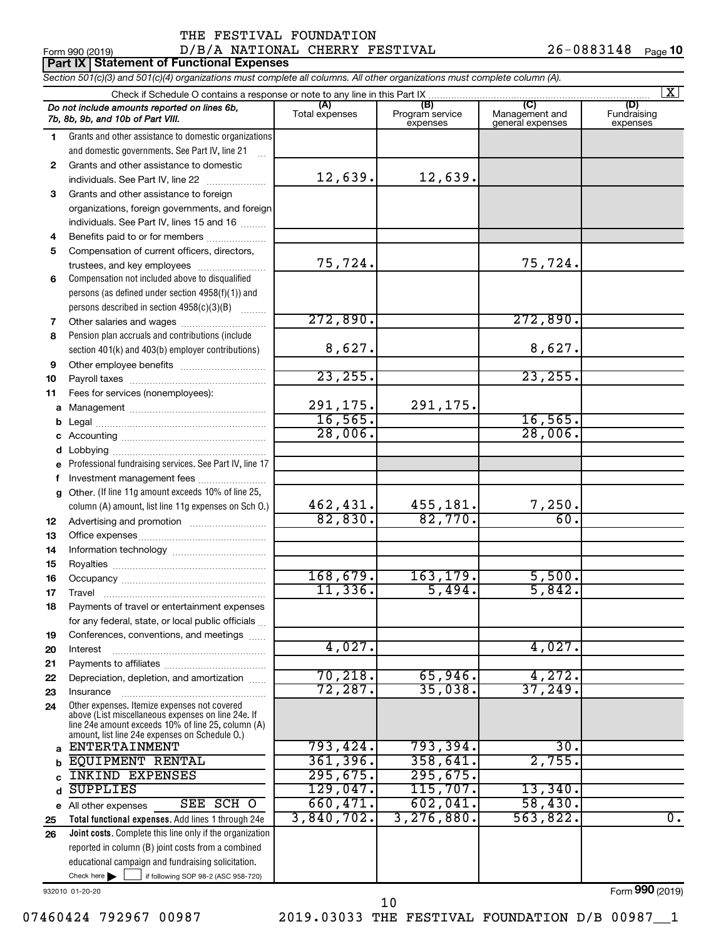|              | Form 990 (2019)<br>Part IX   Statement of Functional Expenses                                                                                                                                              | D/B/A NATIONAL CHERRY FESTIVAL |                             |                                    | 26-0883148 Page 10      |
|--------------|------------------------------------------------------------------------------------------------------------------------------------------------------------------------------------------------------------|--------------------------------|-----------------------------|------------------------------------|-------------------------|
|              | Section 501(c)(3) and 501(c)(4) organizations must complete all columns. All other organizations must complete column (A).                                                                                 |                                |                             |                                    |                         |
|              |                                                                                                                                                                                                            |                                |                             |                                    | $\mathbf{X}$            |
|              | Do not include amounts reported on lines 6b,                                                                                                                                                               | (A)                            | (B)                         | (C)                                | (D)                     |
|              | 7b, 8b, 9b, and 10b of Part VIII.                                                                                                                                                                          | Total expenses                 | Program service<br>expenses | Management and<br>general expenses | Fundraising<br>expenses |
| 1.           | Grants and other assistance to domestic organizations                                                                                                                                                      |                                |                             |                                    |                         |
|              | and domestic governments. See Part IV, line 21                                                                                                                                                             |                                |                             |                                    |                         |
| $\mathbf{2}$ | Grants and other assistance to domestic                                                                                                                                                                    |                                |                             |                                    |                         |
|              | individuals. See Part IV, line 22<br>$\overline{\phantom{a}}$                                                                                                                                              | 12,639.                        | 12,639.                     |                                    |                         |
| 3            | Grants and other assistance to foreign                                                                                                                                                                     |                                |                             |                                    |                         |
|              | organizations, foreign governments, and foreign                                                                                                                                                            |                                |                             |                                    |                         |
|              | individuals. See Part IV, lines 15 and 16                                                                                                                                                                  |                                |                             |                                    |                         |
| 4            | Benefits paid to or for members                                                                                                                                                                            |                                |                             |                                    |                         |
| 5            | Compensation of current officers, directors,                                                                                                                                                               |                                |                             |                                    |                         |
|              | trustees, and key employees                                                                                                                                                                                | 75,724.                        |                             | 75,724.                            |                         |
| 6            | Compensation not included above to disqualified                                                                                                                                                            |                                |                             |                                    |                         |
|              | persons (as defined under section 4958(f)(1)) and                                                                                                                                                          |                                |                             |                                    |                         |
|              | persons described in section 4958(c)(3)(B)                                                                                                                                                                 |                                |                             |                                    |                         |
| 7            |                                                                                                                                                                                                            | 272,890.                       |                             | 272,890.                           |                         |
| 8            | Pension plan accruals and contributions (include                                                                                                                                                           |                                |                             |                                    |                         |
|              | section 401(k) and 403(b) employer contributions)                                                                                                                                                          | 8,627.                         |                             | 8,627.                             |                         |
| 9            |                                                                                                                                                                                                            | 23, 255.                       |                             | 23, 255.                           |                         |
| 10           |                                                                                                                                                                                                            |                                |                             |                                    |                         |
| 11           | Fees for services (nonemployees):                                                                                                                                                                          | 291,175.                       | 291,175.                    |                                    |                         |
|              |                                                                                                                                                                                                            | 16, 565.                       |                             | 16, 565.                           |                         |
| b            |                                                                                                                                                                                                            | 28,006.                        |                             | 28,006.                            |                         |
| с            |                                                                                                                                                                                                            |                                |                             |                                    |                         |
| d            | e Professional fundraising services. See Part IV, line 17                                                                                                                                                  |                                |                             |                                    |                         |
| f            | Investment management fees                                                                                                                                                                                 |                                |                             |                                    |                         |
| g            | Other. (If line 11g amount exceeds 10% of line 25,                                                                                                                                                         |                                |                             |                                    |                         |
|              | column (A) amount, list line 11g expenses on Sch O.)                                                                                                                                                       | 462, 431.                      | 455, 181.                   | 7,250.                             |                         |
| 12           | Advertising and promotion <i>manually contained</i>                                                                                                                                                        | 82,830.                        | 82,770.                     | 60.                                |                         |
| 13           |                                                                                                                                                                                                            |                                |                             |                                    |                         |
| 14           |                                                                                                                                                                                                            |                                |                             |                                    |                         |
| 15           |                                                                                                                                                                                                            |                                |                             |                                    |                         |
| 16           |                                                                                                                                                                                                            | 168,679.                       | 163,179.                    | 5,500.                             |                         |
| 17           | Travel                                                                                                                                                                                                     | 11,336.                        | 5,494.                      | 5,842.                             |                         |
| 18           | Payments of travel or entertainment expenses                                                                                                                                                               |                                |                             |                                    |                         |
|              | for any federal, state, or local public officials                                                                                                                                                          |                                |                             |                                    |                         |
| 19           | Conferences, conventions, and meetings                                                                                                                                                                     |                                |                             |                                    |                         |
| 20           | Interest                                                                                                                                                                                                   | 4,027.                         |                             | 4,027.                             |                         |
| 21           |                                                                                                                                                                                                            |                                |                             |                                    |                         |
| 22           | Depreciation, depletion, and amortization                                                                                                                                                                  | 70, 218.                       | 65,946.                     | 4,272.                             |                         |
| 23           | Insurance                                                                                                                                                                                                  | 72,287.                        | 35,038.                     | 37,249.                            |                         |
| 24           | Other expenses. Itemize expenses not covered<br>above (List miscellaneous expenses on line 24e. If<br>line 24e amount exceeds 10% of line 25, column (A)<br>amount, list line 24e expenses on Schedule O.) |                                |                             |                                    |                         |
| a            | <b>ENTERTAINMENT</b>                                                                                                                                                                                       | 793,424.                       | 793,394.                    | 30.                                |                         |
| b            | <b>EQUIPMENT RENTAL</b>                                                                                                                                                                                    | 361, 396.                      | 358,641.                    | 2,755.                             |                         |
| c            | <b>INKIND EXPENSES</b>                                                                                                                                                                                     | 295,675.                       | 295,675.                    |                                    |                         |
| d            | <b>SUPPLIES</b>                                                                                                                                                                                            | 129,047.                       | 115,707.                    | 13,340.                            |                         |
|              | SEE SCH O<br>e All other expenses                                                                                                                                                                          | 660, 471.                      | 602,041.                    | 58,430.                            |                         |
| 25           | Total functional expenses. Add lines 1 through 24e                                                                                                                                                         | 3,840,702.                     | 3, 276, 880.                | 563,822.                           | $\overline{0}$ .        |
| 26           | Joint costs. Complete this line only if the organization                                                                                                                                                   |                                |                             |                                    |                         |
|              | reported in column (B) joint costs from a combined                                                                                                                                                         |                                |                             |                                    |                         |

932010 01-20-20

Form (2019) **990**

Check here  $\blacktriangleright$ 

Check here  $\begin{array}{c} \begin{array}{|c} \hline \end{array} \end{array}$  if following SOP 98-2 (ASC 958-720)

educational campaign and fundraising solicitation.

10

07460424 792967 00987 2019.03033 THE FESTIVAL FOUNDATION D/B 00987\_1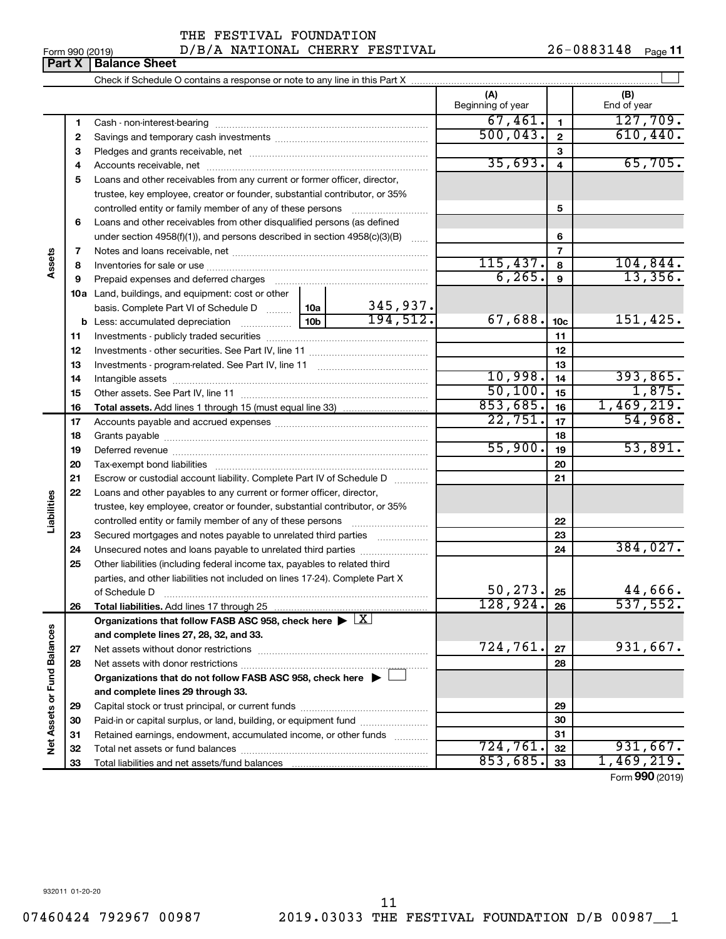**Part X** | **Balance Sheet** 

#### Form 990 (2019)  $D/B/A$  NATIONAL CHERRY FESTIVAL  $26-0883148$  Page THE FESTIVAL FOUNDATION

 $\perp$ Check if Schedule O contains a response or note to any line in this Part X **(A) (B)** Beginning of year | | End of year  $\overline{67, 461.}$  127,709. **1 1** Cash - non-interest-bearing ~~~~~~~~~~~~~~~~~~~~~~~~~  $500,043.$   $2$  610,440 **2 2** Savings and temporary cash investments ~~~~~~~~~~~~~~~~~~ **3 3** Pledges and grants receivable, net ~~~~~~~~~~~~~~~~~~~~~  $35,693.$  4 65,705. **4 4** Accounts receivable, net ~~~~~~~~~~~~~~~~~~~~~~~~~~ **5** Loans and other receivables from any current or former officer, director, trustee, key employee, creator or founder, substantial contributor, or 35% controlled entity or family member of any of these persons ~~~~~~~~~ **5 6** Loans and other receivables from other disqualified persons (as defined under section 4958(f)(1)), and persons described in section  $4958(c)(3)(B)$  ...... **6 7 7** Notes and loans receivable, net ~~~~~~~~~~~~~~~~~~~~~~~ **Assets**  $115,437.$   $8$  | 104,844. **8 8** Inventories for sale or use ~~~~~~~~~~~~~~~~~~~~~~~~~~  $6,265$ .  $9$  13,356. **9 9** Prepaid expenses and deferred charges ~~~~~~~~~~~~~~~~~~ **10 a** Land, buildings, and equipment: cost or other 345,937. basis. Complete Part VI of Schedule D  $\frac{1}{10}$  10a  $194,512.$  67,688.  $10c$  151,425. **10c b** Less: accumulated depreciation  $\ldots$  [10b **11 11** Investments - publicly traded securities ~~~~~~~~~~~~~~~~~~~ **12 12** Investments - other securities. See Part IV, line 11 ~~~~~~~~~~~~~~ **13 13** Investments - program-related. See Part IV, line 11 ~~~~~~~~~~~~~  $10,998.$   $14$  393,865. **14 14** Intangible assets ~~~~~~~~~~~~~~~~~~~~~~~~~~~~~~ Other assets. See Part IV, line 11 ~~~~~~~~~~~~~~~~~~~~~~  $50,100$ .  $15$  1,875. **15 15**  $853,685.$  16 1,469,219. **16 16 Total assets.**  Add lines 1 through 15 (must equal line 33)  $22,751.$   $\boxed{17}$  54,968. **17 17** Accounts payable and accrued expenses ~~~~~~~~~~~~~~~~~~ **18 18** Grants payable ~~~~~~~~~~~~~~~~~~~~~~~~~~~~~~~  $55,900$ .  $19$  53,891. **19 19** Deferred revenue ~~~~~~~~~~~~~~~~~~~~~~~~~~~~~~ **20 20** Tax-exempt bond liabilities ~~~~~~~~~~~~~~~~~~~~~~~~~ **21 21** Escrow or custodial account liability. Complete Part IV of Schedule D ........... **22** Loans and other payables to any current or former officer, director, **Liabilities** trustee, key employee, creator or founder, substantial contributor, or 35% **22** controlled entity or family member of any of these persons ~~~~~~~~~ **23** Secured mortgages and notes payable to unrelated third parties  $\ldots$ ................. **23** 384,027. **24** Unsecured notes and loans payable to unrelated third parties **24 25** Other liabilities (including federal income tax, payables to related third parties, and other liabilities not included on lines 17-24). Complete Part X of Schedule D ~~~~~~~~~~~~~~~~~~~~~~~~~~~~~~~ 50,273. 25 **25**  $128,924.$   $26$  537,552. **26 26 Total liabilities.**  Add lines 17 through 25 Organizations that follow FASB ASC 958, check here  $\blacktriangleright \boxed{\text{X}}$ Net Assets or Fund Balances **Net Assets or Fund Balances and complete lines 27, 28, 32, and 33.** 724,761. 931,667. **27 27** Net assets without donor restrictions ~~~~~~~~~~~~~~~~~~~~ **28 28** Net assets with donor restrictions ~~~~~~~~~~~~~~~~~~~~~~ **Organizations that do not follow FASB ASC 958, check here** | † **and complete lines 29 through 33. 29 29** Capital stock or trust principal, or current funds ~~~~~~~~~~~~~~~ **30 30** Paid-in or capital surplus, or land, building, or equipment fund ....................... **31 31** Retained earnings, endowment, accumulated income, or other funds ............ Total net assets or fund balances ~~~~~~~~~~~~~~~~~~~~~~ 724,761. 931,667. **32 32**  $853,685.$  33 | 1,469,219. **33** Total liabilities and net assets/fund balances **33**

Form (2019) **990**

932011 01-20-20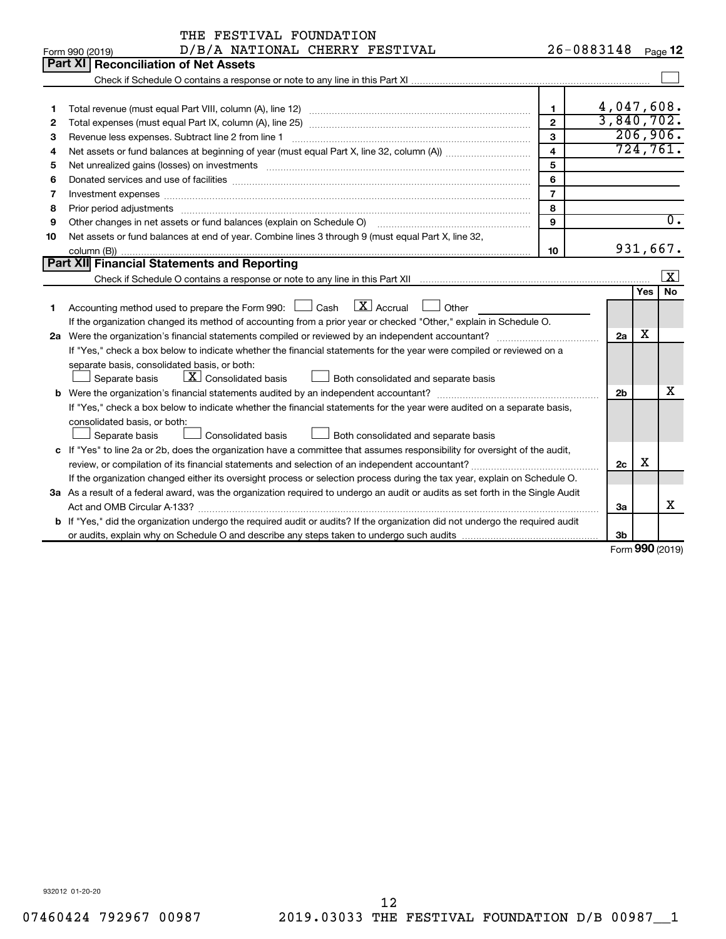| 26-0883148<br>D/B/A NATIONAL CHERRY FESTIVAL<br>Page <b>12</b><br>Form 990 (2019)<br>Part XI<br><b>Reconciliation of Net Assets</b><br>4,047,608.<br>$\mathbf 1$<br>1<br>3,840,702.<br>$\overline{2}$<br>$\mathbf{2}$<br>206,906.<br>3<br>3<br>724,761.<br>$\overline{\mathbf{4}}$<br>4<br>5<br>Net unrealized gains (losses) on investments [111] www.martime.community.community.community.community.communi<br>5<br>6<br>6<br>$\overline{7}$<br>7<br>Investment expenses www.communication.com/www.communication.com/www.communication.com/www.com<br>8<br>8<br>$\overline{0}$ .<br>Other changes in net assets or fund balances (explain on Schedule O)<br>9<br>9<br>Net assets or fund balances at end of year. Combine lines 3 through 9 (must equal Part X, line 32,<br>10<br>931,667.<br>10<br>Part XII Financial Statements and Reporting<br>$\overline{\mathbf{x}}$<br>No<br>Yes<br>$\boxed{\text{X}}$ Accrual<br>Accounting method used to prepare the Form 990: $\Box$ Cash<br>Other<br>1<br>If the organization changed its method of accounting from a prior year or checked "Other," explain in Schedule O.<br>х<br>2a<br>If "Yes," check a box below to indicate whether the financial statements for the year were compiled or reviewed on a<br>separate basis, consolidated basis, or both:<br>$\lfloor x \rfloor$ Consolidated basis<br>$\perp$ Both consolidated and separate basis<br>Separate basis<br>X<br>2 <sub>b</sub><br>If "Yes," check a box below to indicate whether the financial statements for the year were audited on a separate basis,<br>consolidated basis, or both:<br>Consolidated basis<br>Separate basis<br>Both consolidated and separate basis<br>c If "Yes" to line 2a or 2b, does the organization have a committee that assumes responsibility for oversight of the audit,<br>x<br>2c<br>If the organization changed either its oversight process or selection process during the tax year, explain on Schedule O.<br>3a As a result of a federal award, was the organization required to undergo an audit or audits as set forth in the Single Audit<br>x<br>За<br><b>b</b> If "Yes," did the organization undergo the required audit or audits? If the organization did not undergo the required audit<br>3b | THE FESTIVAL FOUNDATION |  |  |
|----------------------------------------------------------------------------------------------------------------------------------------------------------------------------------------------------------------------------------------------------------------------------------------------------------------------------------------------------------------------------------------------------------------------------------------------------------------------------------------------------------------------------------------------------------------------------------------------------------------------------------------------------------------------------------------------------------------------------------------------------------------------------------------------------------------------------------------------------------------------------------------------------------------------------------------------------------------------------------------------------------------------------------------------------------------------------------------------------------------------------------------------------------------------------------------------------------------------------------------------------------------------------------------------------------------------------------------------------------------------------------------------------------------------------------------------------------------------------------------------------------------------------------------------------------------------------------------------------------------------------------------------------------------------------------------------------------------------------------------------------------------------------------------------------------------------------------------------------------------------------------------------------------------------------------------------------------------------------------------------------------------------------------------------------------------------------------------------------------------------------------------------------------------------------------------------------------------------------------------------------------------|-------------------------|--|--|
|                                                                                                                                                                                                                                                                                                                                                                                                                                                                                                                                                                                                                                                                                                                                                                                                                                                                                                                                                                                                                                                                                                                                                                                                                                                                                                                                                                                                                                                                                                                                                                                                                                                                                                                                                                                                                                                                                                                                                                                                                                                                                                                                                                                                                                                                |                         |  |  |
|                                                                                                                                                                                                                                                                                                                                                                                                                                                                                                                                                                                                                                                                                                                                                                                                                                                                                                                                                                                                                                                                                                                                                                                                                                                                                                                                                                                                                                                                                                                                                                                                                                                                                                                                                                                                                                                                                                                                                                                                                                                                                                                                                                                                                                                                |                         |  |  |
|                                                                                                                                                                                                                                                                                                                                                                                                                                                                                                                                                                                                                                                                                                                                                                                                                                                                                                                                                                                                                                                                                                                                                                                                                                                                                                                                                                                                                                                                                                                                                                                                                                                                                                                                                                                                                                                                                                                                                                                                                                                                                                                                                                                                                                                                |                         |  |  |
|                                                                                                                                                                                                                                                                                                                                                                                                                                                                                                                                                                                                                                                                                                                                                                                                                                                                                                                                                                                                                                                                                                                                                                                                                                                                                                                                                                                                                                                                                                                                                                                                                                                                                                                                                                                                                                                                                                                                                                                                                                                                                                                                                                                                                                                                |                         |  |  |
|                                                                                                                                                                                                                                                                                                                                                                                                                                                                                                                                                                                                                                                                                                                                                                                                                                                                                                                                                                                                                                                                                                                                                                                                                                                                                                                                                                                                                                                                                                                                                                                                                                                                                                                                                                                                                                                                                                                                                                                                                                                                                                                                                                                                                                                                |                         |  |  |
|                                                                                                                                                                                                                                                                                                                                                                                                                                                                                                                                                                                                                                                                                                                                                                                                                                                                                                                                                                                                                                                                                                                                                                                                                                                                                                                                                                                                                                                                                                                                                                                                                                                                                                                                                                                                                                                                                                                                                                                                                                                                                                                                                                                                                                                                |                         |  |  |
|                                                                                                                                                                                                                                                                                                                                                                                                                                                                                                                                                                                                                                                                                                                                                                                                                                                                                                                                                                                                                                                                                                                                                                                                                                                                                                                                                                                                                                                                                                                                                                                                                                                                                                                                                                                                                                                                                                                                                                                                                                                                                                                                                                                                                                                                |                         |  |  |
|                                                                                                                                                                                                                                                                                                                                                                                                                                                                                                                                                                                                                                                                                                                                                                                                                                                                                                                                                                                                                                                                                                                                                                                                                                                                                                                                                                                                                                                                                                                                                                                                                                                                                                                                                                                                                                                                                                                                                                                                                                                                                                                                                                                                                                                                |                         |  |  |
|                                                                                                                                                                                                                                                                                                                                                                                                                                                                                                                                                                                                                                                                                                                                                                                                                                                                                                                                                                                                                                                                                                                                                                                                                                                                                                                                                                                                                                                                                                                                                                                                                                                                                                                                                                                                                                                                                                                                                                                                                                                                                                                                                                                                                                                                |                         |  |  |
|                                                                                                                                                                                                                                                                                                                                                                                                                                                                                                                                                                                                                                                                                                                                                                                                                                                                                                                                                                                                                                                                                                                                                                                                                                                                                                                                                                                                                                                                                                                                                                                                                                                                                                                                                                                                                                                                                                                                                                                                                                                                                                                                                                                                                                                                |                         |  |  |
|                                                                                                                                                                                                                                                                                                                                                                                                                                                                                                                                                                                                                                                                                                                                                                                                                                                                                                                                                                                                                                                                                                                                                                                                                                                                                                                                                                                                                                                                                                                                                                                                                                                                                                                                                                                                                                                                                                                                                                                                                                                                                                                                                                                                                                                                |                         |  |  |
|                                                                                                                                                                                                                                                                                                                                                                                                                                                                                                                                                                                                                                                                                                                                                                                                                                                                                                                                                                                                                                                                                                                                                                                                                                                                                                                                                                                                                                                                                                                                                                                                                                                                                                                                                                                                                                                                                                                                                                                                                                                                                                                                                                                                                                                                |                         |  |  |
|                                                                                                                                                                                                                                                                                                                                                                                                                                                                                                                                                                                                                                                                                                                                                                                                                                                                                                                                                                                                                                                                                                                                                                                                                                                                                                                                                                                                                                                                                                                                                                                                                                                                                                                                                                                                                                                                                                                                                                                                                                                                                                                                                                                                                                                                |                         |  |  |
|                                                                                                                                                                                                                                                                                                                                                                                                                                                                                                                                                                                                                                                                                                                                                                                                                                                                                                                                                                                                                                                                                                                                                                                                                                                                                                                                                                                                                                                                                                                                                                                                                                                                                                                                                                                                                                                                                                                                                                                                                                                                                                                                                                                                                                                                |                         |  |  |
|                                                                                                                                                                                                                                                                                                                                                                                                                                                                                                                                                                                                                                                                                                                                                                                                                                                                                                                                                                                                                                                                                                                                                                                                                                                                                                                                                                                                                                                                                                                                                                                                                                                                                                                                                                                                                                                                                                                                                                                                                                                                                                                                                                                                                                                                |                         |  |  |
|                                                                                                                                                                                                                                                                                                                                                                                                                                                                                                                                                                                                                                                                                                                                                                                                                                                                                                                                                                                                                                                                                                                                                                                                                                                                                                                                                                                                                                                                                                                                                                                                                                                                                                                                                                                                                                                                                                                                                                                                                                                                                                                                                                                                                                                                |                         |  |  |
|                                                                                                                                                                                                                                                                                                                                                                                                                                                                                                                                                                                                                                                                                                                                                                                                                                                                                                                                                                                                                                                                                                                                                                                                                                                                                                                                                                                                                                                                                                                                                                                                                                                                                                                                                                                                                                                                                                                                                                                                                                                                                                                                                                                                                                                                |                         |  |  |
|                                                                                                                                                                                                                                                                                                                                                                                                                                                                                                                                                                                                                                                                                                                                                                                                                                                                                                                                                                                                                                                                                                                                                                                                                                                                                                                                                                                                                                                                                                                                                                                                                                                                                                                                                                                                                                                                                                                                                                                                                                                                                                                                                                                                                                                                |                         |  |  |
|                                                                                                                                                                                                                                                                                                                                                                                                                                                                                                                                                                                                                                                                                                                                                                                                                                                                                                                                                                                                                                                                                                                                                                                                                                                                                                                                                                                                                                                                                                                                                                                                                                                                                                                                                                                                                                                                                                                                                                                                                                                                                                                                                                                                                                                                |                         |  |  |
|                                                                                                                                                                                                                                                                                                                                                                                                                                                                                                                                                                                                                                                                                                                                                                                                                                                                                                                                                                                                                                                                                                                                                                                                                                                                                                                                                                                                                                                                                                                                                                                                                                                                                                                                                                                                                                                                                                                                                                                                                                                                                                                                                                                                                                                                |                         |  |  |
|                                                                                                                                                                                                                                                                                                                                                                                                                                                                                                                                                                                                                                                                                                                                                                                                                                                                                                                                                                                                                                                                                                                                                                                                                                                                                                                                                                                                                                                                                                                                                                                                                                                                                                                                                                                                                                                                                                                                                                                                                                                                                                                                                                                                                                                                |                         |  |  |
|                                                                                                                                                                                                                                                                                                                                                                                                                                                                                                                                                                                                                                                                                                                                                                                                                                                                                                                                                                                                                                                                                                                                                                                                                                                                                                                                                                                                                                                                                                                                                                                                                                                                                                                                                                                                                                                                                                                                                                                                                                                                                                                                                                                                                                                                |                         |  |  |
|                                                                                                                                                                                                                                                                                                                                                                                                                                                                                                                                                                                                                                                                                                                                                                                                                                                                                                                                                                                                                                                                                                                                                                                                                                                                                                                                                                                                                                                                                                                                                                                                                                                                                                                                                                                                                                                                                                                                                                                                                                                                                                                                                                                                                                                                |                         |  |  |
|                                                                                                                                                                                                                                                                                                                                                                                                                                                                                                                                                                                                                                                                                                                                                                                                                                                                                                                                                                                                                                                                                                                                                                                                                                                                                                                                                                                                                                                                                                                                                                                                                                                                                                                                                                                                                                                                                                                                                                                                                                                                                                                                                                                                                                                                |                         |  |  |
|                                                                                                                                                                                                                                                                                                                                                                                                                                                                                                                                                                                                                                                                                                                                                                                                                                                                                                                                                                                                                                                                                                                                                                                                                                                                                                                                                                                                                                                                                                                                                                                                                                                                                                                                                                                                                                                                                                                                                                                                                                                                                                                                                                                                                                                                |                         |  |  |
|                                                                                                                                                                                                                                                                                                                                                                                                                                                                                                                                                                                                                                                                                                                                                                                                                                                                                                                                                                                                                                                                                                                                                                                                                                                                                                                                                                                                                                                                                                                                                                                                                                                                                                                                                                                                                                                                                                                                                                                                                                                                                                                                                                                                                                                                |                         |  |  |
|                                                                                                                                                                                                                                                                                                                                                                                                                                                                                                                                                                                                                                                                                                                                                                                                                                                                                                                                                                                                                                                                                                                                                                                                                                                                                                                                                                                                                                                                                                                                                                                                                                                                                                                                                                                                                                                                                                                                                                                                                                                                                                                                                                                                                                                                |                         |  |  |
|                                                                                                                                                                                                                                                                                                                                                                                                                                                                                                                                                                                                                                                                                                                                                                                                                                                                                                                                                                                                                                                                                                                                                                                                                                                                                                                                                                                                                                                                                                                                                                                                                                                                                                                                                                                                                                                                                                                                                                                                                                                                                                                                                                                                                                                                |                         |  |  |
|                                                                                                                                                                                                                                                                                                                                                                                                                                                                                                                                                                                                                                                                                                                                                                                                                                                                                                                                                                                                                                                                                                                                                                                                                                                                                                                                                                                                                                                                                                                                                                                                                                                                                                                                                                                                                                                                                                                                                                                                                                                                                                                                                                                                                                                                |                         |  |  |
|                                                                                                                                                                                                                                                                                                                                                                                                                                                                                                                                                                                                                                                                                                                                                                                                                                                                                                                                                                                                                                                                                                                                                                                                                                                                                                                                                                                                                                                                                                                                                                                                                                                                                                                                                                                                                                                                                                                                                                                                                                                                                                                                                                                                                                                                |                         |  |  |
|                                                                                                                                                                                                                                                                                                                                                                                                                                                                                                                                                                                                                                                                                                                                                                                                                                                                                                                                                                                                                                                                                                                                                                                                                                                                                                                                                                                                                                                                                                                                                                                                                                                                                                                                                                                                                                                                                                                                                                                                                                                                                                                                                                                                                                                                |                         |  |  |
|                                                                                                                                                                                                                                                                                                                                                                                                                                                                                                                                                                                                                                                                                                                                                                                                                                                                                                                                                                                                                                                                                                                                                                                                                                                                                                                                                                                                                                                                                                                                                                                                                                                                                                                                                                                                                                                                                                                                                                                                                                                                                                                                                                                                                                                                |                         |  |  |
|                                                                                                                                                                                                                                                                                                                                                                                                                                                                                                                                                                                                                                                                                                                                                                                                                                                                                                                                                                                                                                                                                                                                                                                                                                                                                                                                                                                                                                                                                                                                                                                                                                                                                                                                                                                                                                                                                                                                                                                                                                                                                                                                                                                                                                                                |                         |  |  |
|                                                                                                                                                                                                                                                                                                                                                                                                                                                                                                                                                                                                                                                                                                                                                                                                                                                                                                                                                                                                                                                                                                                                                                                                                                                                                                                                                                                                                                                                                                                                                                                                                                                                                                                                                                                                                                                                                                                                                                                                                                                                                                                                                                                                                                                                |                         |  |  |
| $000 \text{ hours}$                                                                                                                                                                                                                                                                                                                                                                                                                                                                                                                                                                                                                                                                                                                                                                                                                                                                                                                                                                                                                                                                                                                                                                                                                                                                                                                                                                                                                                                                                                                                                                                                                                                                                                                                                                                                                                                                                                                                                                                                                                                                                                                                                                                                                                            |                         |  |  |

Form (2019) **990**

932012 01-20-20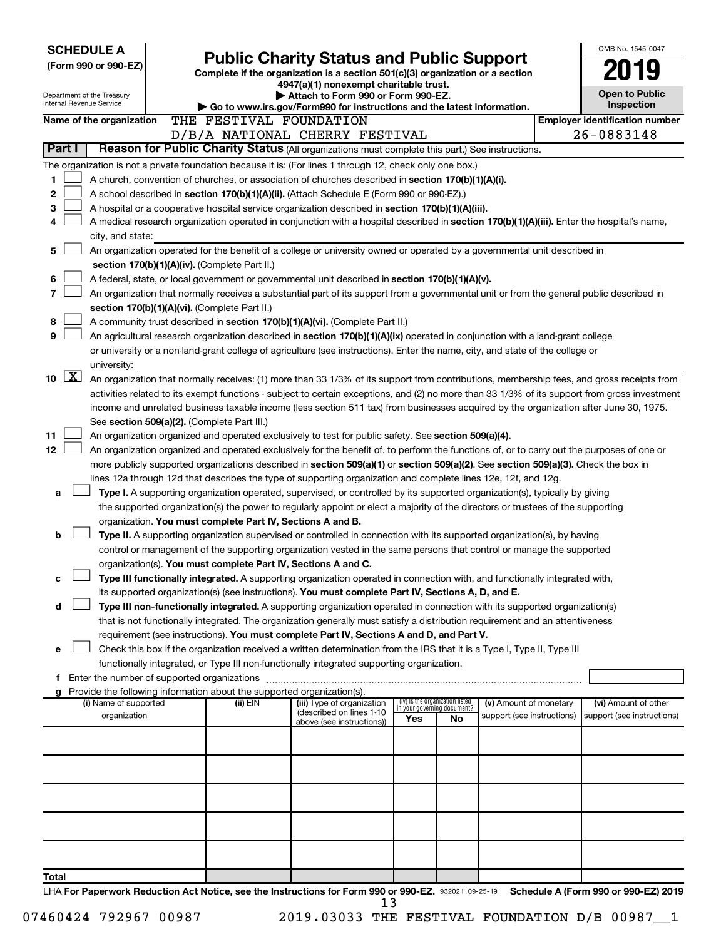| <b>SCHEDULE A</b>                                                                                         |                                                               |                                                                                                                                                                                                                                                                |     |                                                                |                            | OMB No. 1545-0047                     |
|-----------------------------------------------------------------------------------------------------------|---------------------------------------------------------------|----------------------------------------------------------------------------------------------------------------------------------------------------------------------------------------------------------------------------------------------------------------|-----|----------------------------------------------------------------|----------------------------|---------------------------------------|
| (Form 990 or 990-EZ)                                                                                      |                                                               | <b>Public Charity Status and Public Support</b>                                                                                                                                                                                                                |     |                                                                |                            |                                       |
|                                                                                                           |                                                               | Complete if the organization is a section 501(c)(3) organization or a section<br>4947(a)(1) nonexempt charitable trust.                                                                                                                                        |     |                                                                |                            |                                       |
| Department of the Treasury                                                                                |                                                               | Attach to Form 990 or Form 990-EZ.                                                                                                                                                                                                                             |     |                                                                |                            | <b>Open to Public</b>                 |
| <b>Internal Revenue Service</b>                                                                           |                                                               | Go to www.irs.gov/Form990 for instructions and the latest information.                                                                                                                                                                                         |     |                                                                |                            | Inspection                            |
| Name of the organization                                                                                  | THE FESTIVAL FOUNDATION                                       |                                                                                                                                                                                                                                                                |     |                                                                |                            | <b>Employer identification number</b> |
|                                                                                                           |                                                               | D/B/A NATIONAL CHERRY FESTIVAL                                                                                                                                                                                                                                 |     |                                                                |                            | 26-0883148                            |
| Part I                                                                                                    |                                                               | Reason for Public Charity Status (All organizations must complete this part.) See instructions.                                                                                                                                                                |     |                                                                |                            |                                       |
| The organization is not a private foundation because it is: (For lines 1 through 12, check only one box.) |                                                               |                                                                                                                                                                                                                                                                |     |                                                                |                            |                                       |
| 1                                                                                                         |                                                               | A church, convention of churches, or association of churches described in section 170(b)(1)(A)(i).                                                                                                                                                             |     |                                                                |                            |                                       |
| 2                                                                                                         |                                                               | A school described in section 170(b)(1)(A)(ii). (Attach Schedule E (Form 990 or 990-EZ).)                                                                                                                                                                      |     |                                                                |                            |                                       |
| 3                                                                                                         |                                                               | A hospital or a cooperative hospital service organization described in section 170(b)(1)(A)(iii).                                                                                                                                                              |     |                                                                |                            |                                       |
| 4                                                                                                         |                                                               | A medical research organization operated in conjunction with a hospital described in section 170(b)(1)(A)(iii). Enter the hospital's name,                                                                                                                     |     |                                                                |                            |                                       |
| city, and state:                                                                                          |                                                               |                                                                                                                                                                                                                                                                |     |                                                                |                            |                                       |
| 5                                                                                                         |                                                               | An organization operated for the benefit of a college or university owned or operated by a governmental unit described in                                                                                                                                      |     |                                                                |                            |                                       |
|                                                                                                           | section 170(b)(1)(A)(iv). (Complete Part II.)                 |                                                                                                                                                                                                                                                                |     |                                                                |                            |                                       |
| 6                                                                                                         |                                                               | A federal, state, or local government or governmental unit described in section 170(b)(1)(A)(v).                                                                                                                                                               |     |                                                                |                            |                                       |
| 7                                                                                                         |                                                               | An organization that normally receives a substantial part of its support from a governmental unit or from the general public described in                                                                                                                      |     |                                                                |                            |                                       |
|                                                                                                           | section 170(b)(1)(A)(vi). (Complete Part II.)                 |                                                                                                                                                                                                                                                                |     |                                                                |                            |                                       |
| 8                                                                                                         |                                                               | A community trust described in section 170(b)(1)(A)(vi). (Complete Part II.)                                                                                                                                                                                   |     |                                                                |                            |                                       |
| 9                                                                                                         |                                                               | An agricultural research organization described in section 170(b)(1)(A)(ix) operated in conjunction with a land-grant college                                                                                                                                  |     |                                                                |                            |                                       |
|                                                                                                           |                                                               | or university or a non-land-grant college of agriculture (see instructions). Enter the name, city, and state of the college or                                                                                                                                 |     |                                                                |                            |                                       |
| university:<br>$\boxed{\text{X}}$                                                                         |                                                               |                                                                                                                                                                                                                                                                |     |                                                                |                            |                                       |
| 10                                                                                                        |                                                               | An organization that normally receives: (1) more than 33 1/3% of its support from contributions, membership fees, and gross receipts from                                                                                                                      |     |                                                                |                            |                                       |
|                                                                                                           |                                                               | activities related to its exempt functions - subject to certain exceptions, and (2) no more than 33 1/3% of its support from gross investment                                                                                                                  |     |                                                                |                            |                                       |
|                                                                                                           |                                                               | income and unrelated business taxable income (less section 511 tax) from businesses acquired by the organization after June 30, 1975.                                                                                                                          |     |                                                                |                            |                                       |
| 11                                                                                                        | See section 509(a)(2). (Complete Part III.)                   |                                                                                                                                                                                                                                                                |     |                                                                |                            |                                       |
| 12                                                                                                        |                                                               | An organization organized and operated exclusively to test for public safety. See section 509(a)(4).                                                                                                                                                           |     |                                                                |                            |                                       |
|                                                                                                           |                                                               | An organization organized and operated exclusively for the benefit of, to perform the functions of, or to carry out the purposes of one or                                                                                                                     |     |                                                                |                            |                                       |
|                                                                                                           |                                                               | more publicly supported organizations described in section 509(a)(1) or section 509(a)(2). See section 509(a)(3). Check the box in                                                                                                                             |     |                                                                |                            |                                       |
|                                                                                                           |                                                               | lines 12a through 12d that describes the type of supporting organization and complete lines 12e, 12f, and 12g.                                                                                                                                                 |     |                                                                |                            |                                       |
| а                                                                                                         |                                                               | Type I. A supporting organization operated, supervised, or controlled by its supported organization(s), typically by giving<br>the supported organization(s) the power to regularly appoint or elect a majority of the directors or trustees of the supporting |     |                                                                |                            |                                       |
|                                                                                                           | organization. You must complete Part IV, Sections A and B.    |                                                                                                                                                                                                                                                                |     |                                                                |                            |                                       |
| b                                                                                                         |                                                               | Type II. A supporting organization supervised or controlled in connection with its supported organization(s), by having                                                                                                                                        |     |                                                                |                            |                                       |
|                                                                                                           |                                                               | control or management of the supporting organization vested in the same persons that control or manage the supported                                                                                                                                           |     |                                                                |                            |                                       |
|                                                                                                           | organization(s). You must complete Part IV, Sections A and C. |                                                                                                                                                                                                                                                                |     |                                                                |                            |                                       |
| с                                                                                                         |                                                               | Type III functionally integrated. A supporting organization operated in connection with, and functionally integrated with,                                                                                                                                     |     |                                                                |                            |                                       |
|                                                                                                           |                                                               | its supported organization(s) (see instructions). You must complete Part IV, Sections A, D, and E.                                                                                                                                                             |     |                                                                |                            |                                       |
| d                                                                                                         |                                                               | Type III non-functionally integrated. A supporting organization operated in connection with its supported organization(s)                                                                                                                                      |     |                                                                |                            |                                       |
|                                                                                                           |                                                               | that is not functionally integrated. The organization generally must satisfy a distribution requirement and an attentiveness                                                                                                                                   |     |                                                                |                            |                                       |
|                                                                                                           |                                                               | requirement (see instructions). You must complete Part IV, Sections A and D, and Part V.                                                                                                                                                                       |     |                                                                |                            |                                       |
| е                                                                                                         |                                                               | Check this box if the organization received a written determination from the IRS that it is a Type I, Type II, Type III                                                                                                                                        |     |                                                                |                            |                                       |
|                                                                                                           |                                                               | functionally integrated, or Type III non-functionally integrated supporting organization.                                                                                                                                                                      |     |                                                                |                            |                                       |
| f Enter the number of supported organizations                                                             |                                                               |                                                                                                                                                                                                                                                                |     |                                                                |                            |                                       |
| g Provide the following information about the supported organization(s).                                  |                                                               |                                                                                                                                                                                                                                                                |     |                                                                |                            |                                       |
| (i) Name of supported                                                                                     | (ii) EIN                                                      | (iii) Type of organization                                                                                                                                                                                                                                     |     | (iv) Is the organization listed<br>in your governing document? | (v) Amount of monetary     | (vi) Amount of other                  |
| organization                                                                                              |                                                               | (described on lines 1-10<br>above (see instructions))                                                                                                                                                                                                          | Yes | No                                                             | support (see instructions) | support (see instructions)            |
|                                                                                                           |                                                               |                                                                                                                                                                                                                                                                |     |                                                                |                            |                                       |
|                                                                                                           |                                                               |                                                                                                                                                                                                                                                                |     |                                                                |                            |                                       |
|                                                                                                           |                                                               |                                                                                                                                                                                                                                                                |     |                                                                |                            |                                       |
|                                                                                                           |                                                               |                                                                                                                                                                                                                                                                |     |                                                                |                            |                                       |
|                                                                                                           |                                                               |                                                                                                                                                                                                                                                                |     |                                                                |                            |                                       |
|                                                                                                           |                                                               |                                                                                                                                                                                                                                                                |     |                                                                |                            |                                       |
|                                                                                                           |                                                               |                                                                                                                                                                                                                                                                |     |                                                                |                            |                                       |
|                                                                                                           |                                                               |                                                                                                                                                                                                                                                                |     |                                                                |                            |                                       |
|                                                                                                           |                                                               |                                                                                                                                                                                                                                                                |     |                                                                |                            |                                       |
|                                                                                                           |                                                               |                                                                                                                                                                                                                                                                |     |                                                                |                            |                                       |
| Total                                                                                                     |                                                               |                                                                                                                                                                                                                                                                |     |                                                                |                            |                                       |
| LHA For Paperwork Reduction Act Notice, see the Instructions for Form 990 or 990-EZ. 932021 09-25-19      |                                                               | 12                                                                                                                                                                                                                                                             |     |                                                                |                            | Schedule A (Form 990 or 990-EZ) 2019  |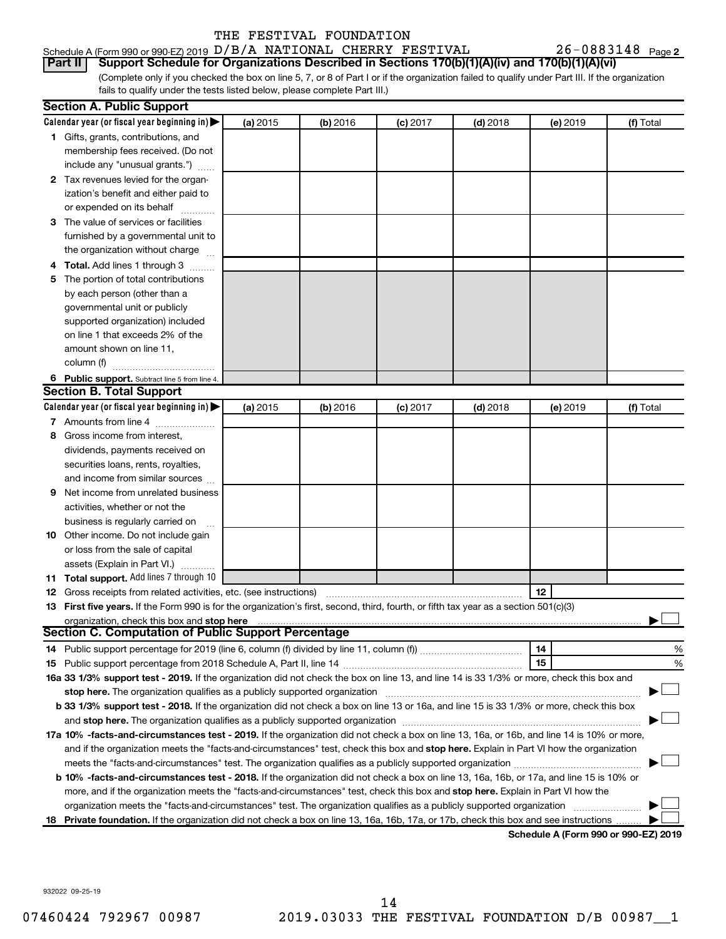|  | Schedule A (Form 990 or 990-EZ) 2019 D/B/A NATIONAL CHERRY FESTIVAL |  |  | $26 - 0883148$ Page 2                                                                                         |  |
|--|---------------------------------------------------------------------|--|--|---------------------------------------------------------------------------------------------------------------|--|
|  |                                                                     |  |  | <b>Part II</b> Support Schedule for Organizations Described in Sections 170(b)(1)(A)(iv) and 170(b)(1)(A)(vi) |  |

(Complete only if you checked the box on line 5, 7, or 8 of Part I or if the organization failed to qualify under Part III. If the organization fails to qualify under the tests listed below, please complete Part III.)

|     | <b>Section A. Public Support</b>                                                                                                                                                                                               |          |          |            |            |          |                                      |
|-----|--------------------------------------------------------------------------------------------------------------------------------------------------------------------------------------------------------------------------------|----------|----------|------------|------------|----------|--------------------------------------|
|     | Calendar year (or fiscal year beginning in)                                                                                                                                                                                    | (a) 2015 | (b) 2016 | $(c)$ 2017 | $(d)$ 2018 | (e) 2019 | (f) Total                            |
|     | 1 Gifts, grants, contributions, and                                                                                                                                                                                            |          |          |            |            |          |                                      |
|     | membership fees received. (Do not                                                                                                                                                                                              |          |          |            |            |          |                                      |
|     | include any "unusual grants.")                                                                                                                                                                                                 |          |          |            |            |          |                                      |
|     | 2 Tax revenues levied for the organ-                                                                                                                                                                                           |          |          |            |            |          |                                      |
|     | ization's benefit and either paid to                                                                                                                                                                                           |          |          |            |            |          |                                      |
|     | or expended on its behalf                                                                                                                                                                                                      |          |          |            |            |          |                                      |
|     | 3 The value of services or facilities                                                                                                                                                                                          |          |          |            |            |          |                                      |
|     | furnished by a governmental unit to                                                                                                                                                                                            |          |          |            |            |          |                                      |
|     | the organization without charge                                                                                                                                                                                                |          |          |            |            |          |                                      |
|     | Total. Add lines 1 through 3                                                                                                                                                                                                   |          |          |            |            |          |                                      |
| 5   | The portion of total contributions                                                                                                                                                                                             |          |          |            |            |          |                                      |
|     | by each person (other than a                                                                                                                                                                                                   |          |          |            |            |          |                                      |
|     | governmental unit or publicly                                                                                                                                                                                                  |          |          |            |            |          |                                      |
|     | supported organization) included                                                                                                                                                                                               |          |          |            |            |          |                                      |
|     | on line 1 that exceeds 2% of the                                                                                                                                                                                               |          |          |            |            |          |                                      |
|     | amount shown on line 11,                                                                                                                                                                                                       |          |          |            |            |          |                                      |
|     | column (f)                                                                                                                                                                                                                     |          |          |            |            |          |                                      |
|     | 6 Public support. Subtract line 5 from line 4.                                                                                                                                                                                 |          |          |            |            |          |                                      |
|     | <b>Section B. Total Support</b>                                                                                                                                                                                                |          |          |            |            |          |                                      |
|     | Calendar year (or fiscal year beginning in)                                                                                                                                                                                    | (a) 2015 | (b) 2016 | $(c)$ 2017 | $(d)$ 2018 | (e) 2019 | (f) Total                            |
|     | 7 Amounts from line 4                                                                                                                                                                                                          |          |          |            |            |          |                                      |
| 8   | Gross income from interest.                                                                                                                                                                                                    |          |          |            |            |          |                                      |
|     | dividends, payments received on                                                                                                                                                                                                |          |          |            |            |          |                                      |
|     | securities loans, rents, royalties,                                                                                                                                                                                            |          |          |            |            |          |                                      |
|     | and income from similar sources                                                                                                                                                                                                |          |          |            |            |          |                                      |
| 9   | Net income from unrelated business                                                                                                                                                                                             |          |          |            |            |          |                                      |
|     | activities, whether or not the                                                                                                                                                                                                 |          |          |            |            |          |                                      |
|     | business is regularly carried on                                                                                                                                                                                               |          |          |            |            |          |                                      |
| 10  | Other income. Do not include gain                                                                                                                                                                                              |          |          |            |            |          |                                      |
|     | or loss from the sale of capital                                                                                                                                                                                               |          |          |            |            |          |                                      |
|     | assets (Explain in Part VI.)                                                                                                                                                                                                   |          |          |            |            |          |                                      |
| 11. | Total support. Add lines 7 through 10                                                                                                                                                                                          |          |          |            |            |          |                                      |
| 12  | Gross receipts from related activities, etc. (see instructions)                                                                                                                                                                |          |          |            |            | 12       |                                      |
| 13  | First five years. If the Form 990 is for the organization's first, second, third, fourth, or fifth tax year as a section 501(c)(3)                                                                                             |          |          |            |            |          |                                      |
|     | organization, check this box and stop here match and contain an according to the state of the state of the state of the state of the state of the state of the state of the state of the state of the state of the state of th |          |          |            |            |          |                                      |
|     | Section C. Computation of Public Support Percentage                                                                                                                                                                            |          |          |            |            |          |                                      |
|     |                                                                                                                                                                                                                                |          |          |            |            | 14       | %                                    |
| 15  |                                                                                                                                                                                                                                |          |          |            |            | 15       | %                                    |
|     | 16a 33 1/3% support test - 2019. If the organization did not check the box on line 13, and line 14 is 33 1/3% or more, check this box and                                                                                      |          |          |            |            |          |                                      |
|     | stop here. The organization qualifies as a publicly supported organization manufaction manufacture or the organization manufacture or the organization manufacture or the organization of the state of the state of the state  |          |          |            |            |          |                                      |
|     | <b>b 33 1/3% support test - 2018.</b> If the organization did not check a box on line 13 or 16a, and line 15 is 33 1/3% or more, check this box                                                                                |          |          |            |            |          |                                      |
|     | and stop here. The organization qualifies as a publicly supported organization manufaction and stop here. The organization                                                                                                     |          |          |            |            |          |                                      |
|     | 17a 10% -facts-and-circumstances test - 2019. If the organization did not check a box on line 13, 16a, or 16b, and line 14 is 10% or more,                                                                                     |          |          |            |            |          |                                      |
|     | and if the organization meets the "facts-and-circumstances" test, check this box and stop here. Explain in Part VI how the organization                                                                                        |          |          |            |            |          |                                      |
|     |                                                                                                                                                                                                                                |          |          |            |            |          |                                      |
|     | b 10% -facts-and-circumstances test - 2018. If the organization did not check a box on line 13, 16a, 16b, or 17a, and line 15 is 10% or                                                                                        |          |          |            |            |          |                                      |
|     | more, and if the organization meets the "facts-and-circumstances" test, check this box and stop here. Explain in Part VI how the                                                                                               |          |          |            |            |          |                                      |
|     | organization meets the "facts-and-circumstances" test. The organization qualifies as a publicly supported organization                                                                                                         |          |          |            |            |          |                                      |
|     | 18 Private foundation. If the organization did not check a box on line 13, 16a, 16b, 17a, or 17b, check this box and see instructions                                                                                          |          |          |            |            |          |                                      |
|     |                                                                                                                                                                                                                                |          |          |            |            |          | Schedule A (Form 990 or 990-EZ) 2019 |

932022 09-25-19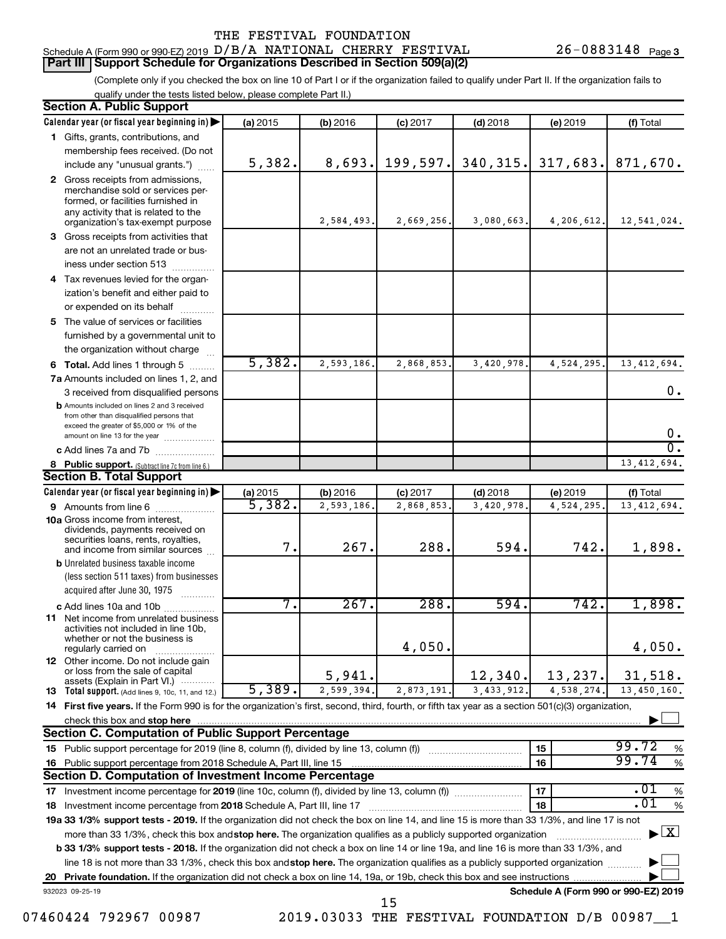#### Schedule A (Form 990 or 990-EZ) 2019  ${\rm D/B}/\rm A$  NATIONAL CHERRY FESTIVAL  $26$  -  $0883148$  Page **Part III Support Schedule for Organizations Described in Section 509(a)(2)**

26-0883148 Page 3

(Complete only if you checked the box on line 10 of Part I or if the organization failed to qualify under Part II. If the organization fails to qualify under the tests listed below, please complete Part II.)

| <b>Section A. Public Support</b>                                                                                                                                                                                                   |                    |            |                        |            |                                      |                                          |
|------------------------------------------------------------------------------------------------------------------------------------------------------------------------------------------------------------------------------------|--------------------|------------|------------------------|------------|--------------------------------------|------------------------------------------|
| Calendar year (or fiscal year beginning in)                                                                                                                                                                                        | (a) 2015           | (b) 2016   | $(c)$ 2017             | $(d)$ 2018 | (e) 2019                             | (f) Total                                |
| 1 Gifts, grants, contributions, and                                                                                                                                                                                                |                    |            |                        |            |                                      |                                          |
| membership fees received. (Do not                                                                                                                                                                                                  |                    |            |                        |            |                                      |                                          |
| include any "unusual grants.")                                                                                                                                                                                                     | 5,382.             | 8,693.     | 199,597.               | 340, 315.  | 317,683.                             | 871,670.                                 |
| 2 Gross receipts from admissions,<br>merchandise sold or services per-<br>formed, or facilities furnished in<br>any activity that is related to the<br>organization's tax-exempt purpose                                           |                    | 2,584,493. | 2,669,256.             | 3,080,663. | 4,206,612.                           | 12,541,024.                              |
| 3 Gross receipts from activities that                                                                                                                                                                                              |                    |            |                        |            |                                      |                                          |
| are not an unrelated trade or bus-                                                                                                                                                                                                 |                    |            |                        |            |                                      |                                          |
| iness under section 513                                                                                                                                                                                                            |                    |            |                        |            |                                      |                                          |
| 4 Tax revenues levied for the organ-                                                                                                                                                                                               |                    |            |                        |            |                                      |                                          |
| ization's benefit and either paid to                                                                                                                                                                                               |                    |            |                        |            |                                      |                                          |
| or expended on its behalf<br>.                                                                                                                                                                                                     |                    |            |                        |            |                                      |                                          |
| 5 The value of services or facilities                                                                                                                                                                                              |                    |            |                        |            |                                      |                                          |
| furnished by a governmental unit to                                                                                                                                                                                                |                    |            |                        |            |                                      |                                          |
| the organization without charge                                                                                                                                                                                                    |                    |            |                        |            |                                      |                                          |
| <b>6 Total.</b> Add lines 1 through 5                                                                                                                                                                                              | 5,382.             | 2,593,186. | 2,868,853              | 3,420,978  | 4,524,295.                           | 13, 412, 694.                            |
| 7a Amounts included on lines 1, 2, and                                                                                                                                                                                             |                    |            |                        |            |                                      |                                          |
| 3 received from disqualified persons                                                                                                                                                                                               |                    |            |                        |            |                                      | 0.                                       |
| <b>b</b> Amounts included on lines 2 and 3 received<br>from other than disqualified persons that<br>exceed the greater of \$5,000 or 1% of the                                                                                     |                    |            |                        |            |                                      |                                          |
| amount on line 13 for the year                                                                                                                                                                                                     |                    |            |                        |            |                                      | 0.                                       |
| c Add lines 7a and 7b                                                                                                                                                                                                              |                    |            |                        |            |                                      | σ.                                       |
| 8 Public support. (Subtract line 7c from line 6.)                                                                                                                                                                                  |                    |            |                        |            |                                      | 13, 412, 694.                            |
| <b>Section B. Total Support</b>                                                                                                                                                                                                    |                    |            |                        |            |                                      |                                          |
| Calendar year (or fiscal year beginning in)                                                                                                                                                                                        | (a) 2015<br>5,382. | (b) 2016   | $(c)$ 2017             | $(d)$ 2018 | (e) 2019                             | (f) Total                                |
| 9 Amounts from line 6<br><b>10a</b> Gross income from interest,                                                                                                                                                                    |                    | 2,593,186. | 2,868,853              | 3,420,978  | 4,524,295.                           | 13, 412, 694.                            |
| dividends, payments received on<br>securities loans, rents, royalties,<br>and income from similar sources                                                                                                                          | 7.                 | 267.       | 288.                   | 594.       | 742.                                 | 1,898.                                   |
| <b>b</b> Unrelated business taxable income                                                                                                                                                                                         |                    |            |                        |            |                                      |                                          |
| (less section 511 taxes) from businesses                                                                                                                                                                                           |                    |            |                        |            |                                      |                                          |
| acquired after June 30, 1975<br>$\mathcal{L}$ . The contract of $\mathcal{L}$                                                                                                                                                      |                    |            |                        |            |                                      |                                          |
| c Add lines 10a and 10b                                                                                                                                                                                                            | 7.                 | 267.       | 288.                   | 594.       | 742.                                 | 1,898.                                   |
| <b>11</b> Net income from unrelated business<br>activities not included in line 10b,<br>whether or not the business is<br>regularly carried on                                                                                     |                    |            | 4,050.                 |            |                                      | 4,050.                                   |
| 12 Other income. Do not include gain<br>or loss from the sale of capital                                                                                                                                                           |                    |            |                        |            |                                      |                                          |
| assets (Explain in Part VI.)                                                                                                                                                                                                       |                    | 5,941.     |                        | 12,340.    | 13,237.                              | 31,518.                                  |
| <b>13</b> Total support. (Add lines 9, 10c, 11, and 12.)                                                                                                                                                                           | 5,389.             | 2,599,394. | $\overline{2,873,191}$ | 3,433,912. | 4,538,274.                           | 13,450,160.                              |
| 14 First five years. If the Form 990 is for the organization's first, second, third, fourth, or fifth tax year as a section 501(c)(3) organization,                                                                                |                    |            |                        |            |                                      |                                          |
| check this box and stop here                                                                                                                                                                                                       |                    |            |                        |            |                                      |                                          |
| <b>Section C. Computation of Public Support Percentage</b>                                                                                                                                                                         |                    |            |                        |            |                                      | 99.72                                    |
| 15 Public support percentage for 2019 (line 8, column (f), divided by line 13, column (f) <i>mass</i> mass and the support percentage for 2019 (line 8, column (f) mass and the support percentage for 2019 (f) and the support of |                    |            |                        |            | 15                                   | %<br>99.74                               |
| 16 Public support percentage from 2018 Schedule A, Part III, line 15                                                                                                                                                               |                    |            |                        |            | 16                                   | $\%$                                     |
| Section D. Computation of Investment Income Percentage                                                                                                                                                                             |                    |            |                        |            |                                      |                                          |
| 17 Investment income percentage for 2019 (line 10c, column (f), divided by line 13, column (f))                                                                                                                                    |                    |            |                        |            | 17                                   | .01<br>$\%$<br>.01                       |
| 18 Investment income percentage from 2018 Schedule A, Part III, line 17                                                                                                                                                            |                    |            |                        |            | 18                                   | $\%$                                     |
| 19a 33 1/3% support tests - 2019. If the organization did not check the box on line 14, and line 15 is more than 33 1/3%, and line 17 is not                                                                                       |                    |            |                        |            |                                      | $\blacktriangleright$ $\boxed{\text{X}}$ |
| more than 33 1/3%, check this box and stop here. The organization qualifies as a publicly supported organization                                                                                                                   |                    |            |                        |            |                                      |                                          |
| <b>b 33 1/3% support tests - 2018.</b> If the organization did not check a box on line 14 or line 19a, and line 16 is more than 33 1/3%, and                                                                                       |                    |            |                        |            |                                      |                                          |
| line 18 is not more than 33 1/3%, check this box and stop here. The organization qualifies as a publicly supported organization                                                                                                    |                    |            |                        |            |                                      |                                          |
|                                                                                                                                                                                                                                    |                    |            |                        |            | Schedule A (Form 990 or 990-EZ) 2019 |                                          |
| 932023 09-25-19                                                                                                                                                                                                                    |                    |            | 15                     |            |                                      |                                          |

<sup>07460424 792967 00987 2019.03033</sup> THE FESTIVAL FOUNDATION D/B 00987 1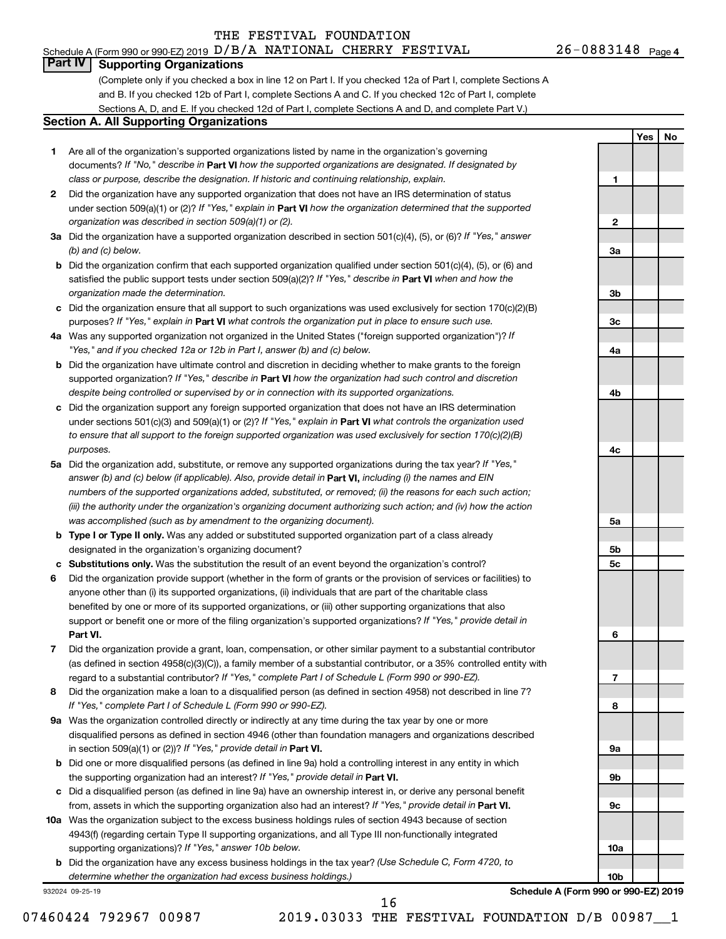#### Schedule A (Form 990 or 990-EZ) 2019  ${\rm D/B}/\rm A$  NATIONAL CHERRY FESTIVAL  $26$  -  $0883148$  Page THE FESTIVAL FOUNDATION

**1**

**Yes No**

### **Part IV Supporting Organizations**

(Complete only if you checked a box in line 12 on Part I. If you checked 12a of Part I, complete Sections A and B. If you checked 12b of Part I, complete Sections A and C. If you checked 12c of Part I, complete Sections A, D, and E. If you checked 12d of Part I, complete Sections A and D, and complete Part V.)

#### **Section A. All Supporting Organizations**

- **1** Are all of the organization's supported organizations listed by name in the organization's governing documents? If "No," describe in Part VI how the supported organizations are designated. If designated by *class or purpose, describe the designation. If historic and continuing relationship, explain.*
- **2** Did the organization have any supported organization that does not have an IRS determination of status under section 509(a)(1) or (2)? If "Yes," explain in Part **VI** how the organization determined that the supported *organization was described in section 509(a)(1) or (2).*
- **3a** Did the organization have a supported organization described in section 501(c)(4), (5), or (6)? If "Yes," answer *(b) and (c) below.*
- **b** Did the organization confirm that each supported organization qualified under section 501(c)(4), (5), or (6) and satisfied the public support tests under section 509(a)(2)? If "Yes," describe in Part VI when and how the *organization made the determination.*
- **c** Did the organization ensure that all support to such organizations was used exclusively for section 170(c)(2)(B) purposes? If "Yes," explain in Part VI what controls the organization put in place to ensure such use.
- **4 a** *If* Was any supported organization not organized in the United States ("foreign supported organization")? *"Yes," and if you checked 12a or 12b in Part I, answer (b) and (c) below.*
- **b** Did the organization have ultimate control and discretion in deciding whether to make grants to the foreign supported organization? If "Yes," describe in Part VI how the organization had such control and discretion *despite being controlled or supervised by or in connection with its supported organizations.*
- **c** Did the organization support any foreign supported organization that does not have an IRS determination under sections 501(c)(3) and 509(a)(1) or (2)? If "Yes," explain in Part VI what controls the organization used *to ensure that all support to the foreign supported organization was used exclusively for section 170(c)(2)(B) purposes.*
- **5a** Did the organization add, substitute, or remove any supported organizations during the tax year? If "Yes," answer (b) and (c) below (if applicable). Also, provide detail in **Part VI,** including (i) the names and EIN *numbers of the supported organizations added, substituted, or removed; (ii) the reasons for each such action; (iii) the authority under the organization's organizing document authorizing such action; and (iv) how the action was accomplished (such as by amendment to the organizing document).*
- **b Type I or Type II only.** Was any added or substituted supported organization part of a class already designated in the organization's organizing document?
- **c Substitutions only.**  Was the substitution the result of an event beyond the organization's control?
- **6** Did the organization provide support (whether in the form of grants or the provision of services or facilities) to **Part VI.** support or benefit one or more of the filing organization's supported organizations? If "Yes," provide detail in anyone other than (i) its supported organizations, (ii) individuals that are part of the charitable class benefited by one or more of its supported organizations, or (iii) other supporting organizations that also
- **7** Did the organization provide a grant, loan, compensation, or other similar payment to a substantial contributor regard to a substantial contributor? If "Yes," complete Part I of Schedule L (Form 990 or 990-EZ). (as defined in section 4958(c)(3)(C)), a family member of a substantial contributor, or a 35% controlled entity with
- **8** Did the organization make a loan to a disqualified person (as defined in section 4958) not described in line 7? *If "Yes," complete Part I of Schedule L (Form 990 or 990-EZ).*
- **9 a** Was the organization controlled directly or indirectly at any time during the tax year by one or more in section 509(a)(1) or (2))? If "Yes," provide detail in **Part VI.** disqualified persons as defined in section 4946 (other than foundation managers and organizations described
- **b** Did one or more disqualified persons (as defined in line 9a) hold a controlling interest in any entity in which the supporting organization had an interest? If "Yes," provide detail in Part VI.
- **c** Did a disqualified person (as defined in line 9a) have an ownership interest in, or derive any personal benefit from, assets in which the supporting organization also had an interest? If "Yes," provide detail in Part VI.
- **10 a** Was the organization subject to the excess business holdings rules of section 4943 because of section supporting organizations)? If "Yes," answer 10b below. 4943(f) (regarding certain Type II supporting organizations, and all Type III non-functionally integrated
	- **b** Did the organization have any excess business holdings in the tax year? (Use Schedule C, Form 4720, to *determine whether the organization had excess business holdings.)*

932024 09-25-19

**Schedule A (Form 990 or 990-EZ) 2019**

16

**2 3a 3b 3c 4a 4b 4c 5a 5b 5c 6 7 8 9a 9b 9c 10a 10b**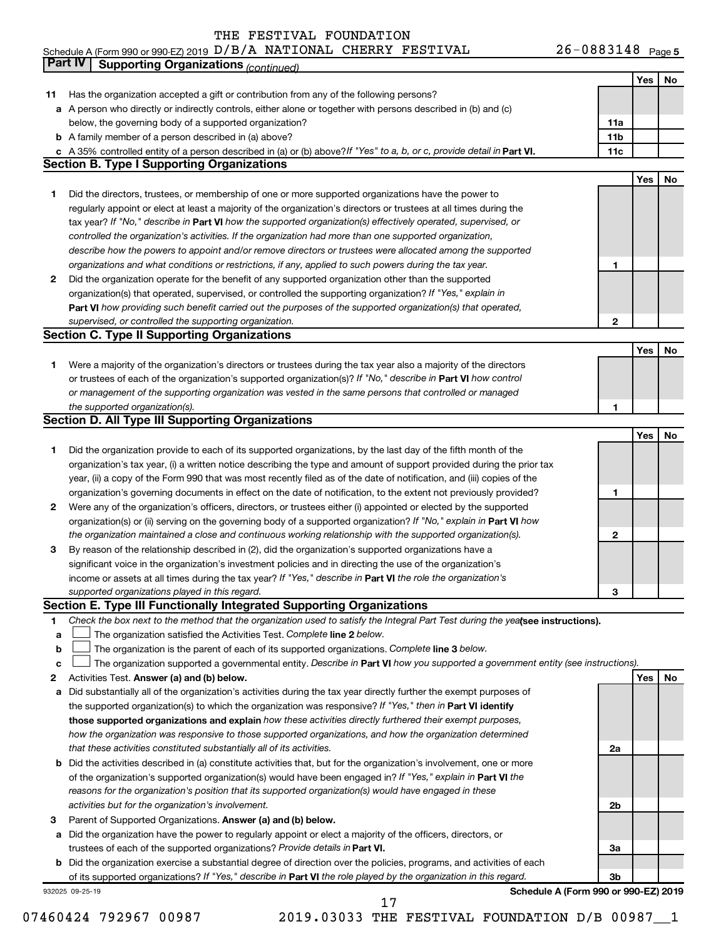26-0883148 Page 5 Schedule A (Form 990 or 990-EZ) 2019  ${\rm D/B}/\rm A$  NATIONAL CHERRY FESTIVAL  $26$  -  $0883148$  Page

|    | Part IV<br><b>Supporting Organizations (continued)</b>                                                                          |                 |     |    |
|----|---------------------------------------------------------------------------------------------------------------------------------|-----------------|-----|----|
|    |                                                                                                                                 |                 | Yes | No |
| 11 | Has the organization accepted a gift or contribution from any of the following persons?                                         |                 |     |    |
|    | a A person who directly or indirectly controls, either alone or together with persons described in (b) and (c)                  |                 |     |    |
|    | below, the governing body of a supported organization?                                                                          | 11a             |     |    |
|    | <b>b</b> A family member of a person described in (a) above?                                                                    | 11 <sub>b</sub> |     |    |
|    | c A 35% controlled entity of a person described in (a) or (b) above? If "Yes" to a, b, or c, provide detail in Part VI.         | 11c             |     |    |
|    | <b>Section B. Type I Supporting Organizations</b>                                                                               |                 |     |    |
|    |                                                                                                                                 |                 | Yes | No |
| 1  | Did the directors, trustees, or membership of one or more supported organizations have the power to                             |                 |     |    |
|    | regularly appoint or elect at least a majority of the organization's directors or trustees at all times during the              |                 |     |    |
|    |                                                                                                                                 |                 |     |    |
|    | tax year? If "No," describe in Part VI how the supported organization(s) effectively operated, supervised, or                   |                 |     |    |
|    | controlled the organization's activities. If the organization had more than one supported organization,                         |                 |     |    |
|    | describe how the powers to appoint and/or remove directors or trustees were allocated among the supported                       |                 |     |    |
|    | organizations and what conditions or restrictions, if any, applied to such powers during the tax year.                          | 1               |     |    |
| 2  | Did the organization operate for the benefit of any supported organization other than the supported                             |                 |     |    |
|    | organization(s) that operated, supervised, or controlled the supporting organization? If "Yes," explain in                      |                 |     |    |
|    | Part VI how providing such benefit carried out the purposes of the supported organization(s) that operated,                     |                 |     |    |
|    | supervised, or controlled the supporting organization.                                                                          | $\mathbf{2}$    |     |    |
|    | <b>Section C. Type II Supporting Organizations</b>                                                                              |                 |     |    |
|    |                                                                                                                                 |                 | Yes | No |
| 1. | Were a majority of the organization's directors or trustees during the tax year also a majority of the directors                |                 |     |    |
|    | or trustees of each of the organization's supported organization(s)? If "No," describe in Part VI how control                   |                 |     |    |
|    | or management of the supporting organization was vested in the same persons that controlled or managed                          |                 |     |    |
|    | the supported organization(s).                                                                                                  | 1               |     |    |
|    | <b>Section D. All Type III Supporting Organizations</b>                                                                         |                 |     |    |
|    |                                                                                                                                 |                 | Yes | No |
| 1  | Did the organization provide to each of its supported organizations, by the last day of the fifth month of the                  |                 |     |    |
|    | organization's tax year, (i) a written notice describing the type and amount of support provided during the prior tax           |                 |     |    |
|    | year, (ii) a copy of the Form 990 that was most recently filed as of the date of notification, and (iii) copies of the          |                 |     |    |
|    | organization's governing documents in effect on the date of notification, to the extent not previously provided?                | 1               |     |    |
| 2  | Were any of the organization's officers, directors, or trustees either (i) appointed or elected by the supported                |                 |     |    |
|    | organization(s) or (ii) serving on the governing body of a supported organization? If "No," explain in Part VI how              |                 |     |    |
|    | the organization maintained a close and continuous working relationship with the supported organization(s).                     | 2               |     |    |
| 3  | By reason of the relationship described in (2), did the organization's supported organizations have a                           |                 |     |    |
|    | significant voice in the organization's investment policies and in directing the use of the organization's                      |                 |     |    |
|    | income or assets at all times during the tax year? If "Yes," describe in Part VI the role the organization's                    |                 |     |    |
|    | supported organizations played in this regard.                                                                                  | з               |     |    |
|    | Section E. Type III Functionally Integrated Supporting Organizations                                                            |                 |     |    |
| 1  | Check the box next to the method that the organization used to satisfy the Integral Part Test during the yealsee instructions). |                 |     |    |
| a  | The organization satisfied the Activities Test. Complete line 2 below.                                                          |                 |     |    |
| b  | The organization is the parent of each of its supported organizations. Complete line 3 below.                                   |                 |     |    |
| c  | The organization supported a governmental entity. Describe in Part VI how you supported a government entity (see instructions). |                 |     |    |
| 2  | Activities Test. Answer (a) and (b) below.                                                                                      |                 | Yes | No |
| а  | Did substantially all of the organization's activities during the tax year directly further the exempt purposes of              |                 |     |    |
|    | the supported organization(s) to which the organization was responsive? If "Yes," then in Part VI identify                      |                 |     |    |
|    | those supported organizations and explain how these activities directly furthered their exempt purposes,                        |                 |     |    |
|    | how the organization was responsive to those supported organizations, and how the organization determined                       |                 |     |    |
|    | that these activities constituted substantially all of its activities.                                                          | 2a              |     |    |
|    | <b>b</b> Did the activities described in (a) constitute activities that, but for the organization's involvement, one or more    |                 |     |    |
|    | of the organization's supported organization(s) would have been engaged in? If "Yes," explain in Part VI the                    |                 |     |    |
|    |                                                                                                                                 |                 |     |    |
|    | reasons for the organization's position that its supported organization(s) would have engaged in these                          |                 |     |    |
|    | activities but for the organization's involvement.                                                                              | 2b              |     |    |
| з  | Parent of Supported Organizations. Answer (a) and (b) below.                                                                    |                 |     |    |
| а  | Did the organization have the power to regularly appoint or elect a majority of the officers, directors, or                     |                 |     |    |
|    | trustees of each of the supported organizations? Provide details in Part VI.                                                    | За              |     |    |
|    | <b>b</b> Did the organization exercise a substantial degree of direction over the policies, programs, and activities of each    |                 |     |    |
|    | of its supported organizations? If "Yes," describe in Part VI the role played by the organization in this regard.               | 3b              |     |    |
|    | Schedule A (Form 990 or 990-EZ) 2019<br>932025 09-25-19<br>17                                                                   |                 |     |    |
|    |                                                                                                                                 |                 |     |    |

07460424 792967 00987 2019.03033 THE FESTIVAL FOUNDATION D/B 00987 1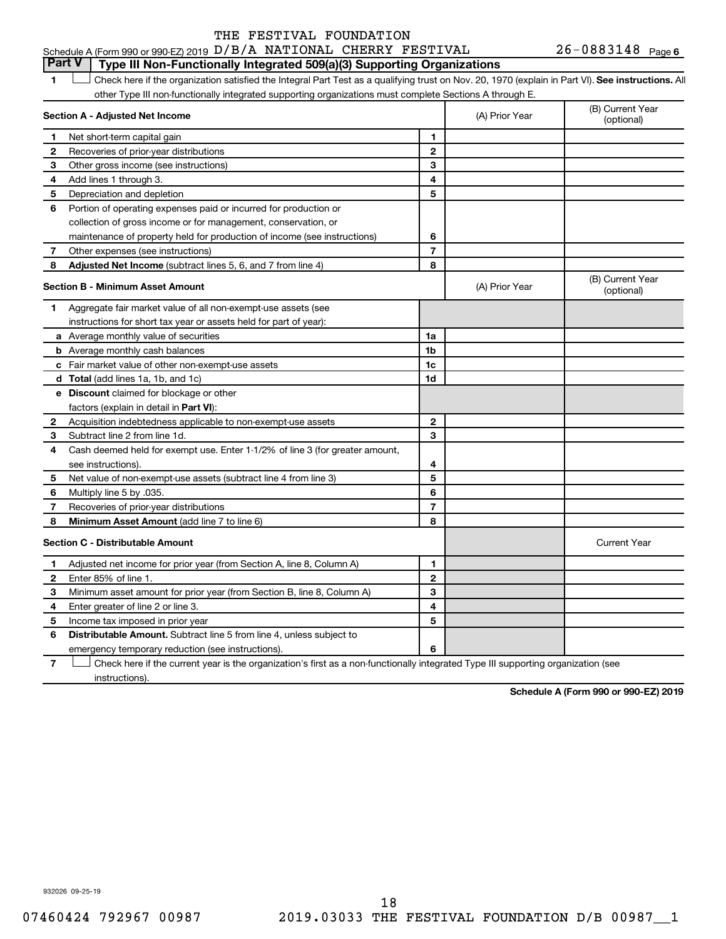#### **1 Letter on See instructions.** All Check here if the organization satisfied the Integral Part Test as a qualifying trust on Nov. 20, 1970 (explain in Part VI). See instructions. All **Section A - Adjusted Net Income 1 2 3 4 5 6 7 8 1 2 3 4 5 6 7 Adjusted Net Income** (subtract lines 5, 6, and 7 from line 4) **8 8 Section B - Minimum Asset Amount 1 2 3 4 5 6 7 8 a** Average monthly value of securities **b** Average monthly cash balances **c** Fair market value of other non-exempt-use assets **d Total**  (add lines 1a, 1b, and 1c) **e Discount** claimed for blockage or other **1a 1b 1c 1d 2 3 4 5 6 7 8** factors (explain in detail in Part VI): **Minimum Asset Amount**  (add line 7 to line 6) **Section C - Distributable Amount 1 2 3 4 5 6 1 2 3 4 5 6** Distributable Amount. Subtract line 5 from line 4, unless subject to Schedule A (Form 990 or 990-EZ) 2019  ${\rm D/B}/\rm A$  NATIONAL CHERRY FESTIVAL  $26$  -  $0883148$  Page other Type III non-functionally integrated supporting organizations must complete Sections A through E. (B) Current Year (A) Prior Year Net short-term capital gain Recoveries of prior-year distributions Other gross income (see instructions) Add lines 1 through 3. Depreciation and depletion Portion of operating expenses paid or incurred for production or collection of gross income or for management, conservation, or maintenance of property held for production of income (see instructions) Other expenses (see instructions) (B) Current Year  $(A)$  Prior Year  $\left\{\n\begin{array}{ccc}\n\end{array}\n\right\}$  (optional) Aggregate fair market value of all non-exempt-use assets (see instructions for short tax year or assets held for part of year): Acquisition indebtedness applicable to non-exempt-use assets Subtract line 2 from line 1d. Cash deemed held for exempt use. Enter 1-1/2% of line 3 (for greater amount, see instructions). Net value of non-exempt-use assets (subtract line 4 from line 3) Multiply line 5 by .035. Recoveries of prior-year distributions Current Year Adjusted net income for prior year (from Section A, line 8, Column A) Enter 85% of line 1. Minimum asset amount for prior year (from Section B, line 8, Column A) Enter greater of line 2 or line 3. Income tax imposed in prior year emergency temporary reduction (see instructions). **Part V Type III Non-Functionally Integrated 509(a)(3) Supporting Organizations**   $\Box$

**7** Check here if the current year is the organization's first as a non-functionally integrated Type III supporting organization (see † instructions).

**Schedule A (Form 990 or 990-EZ) 2019**

932026 09-25-19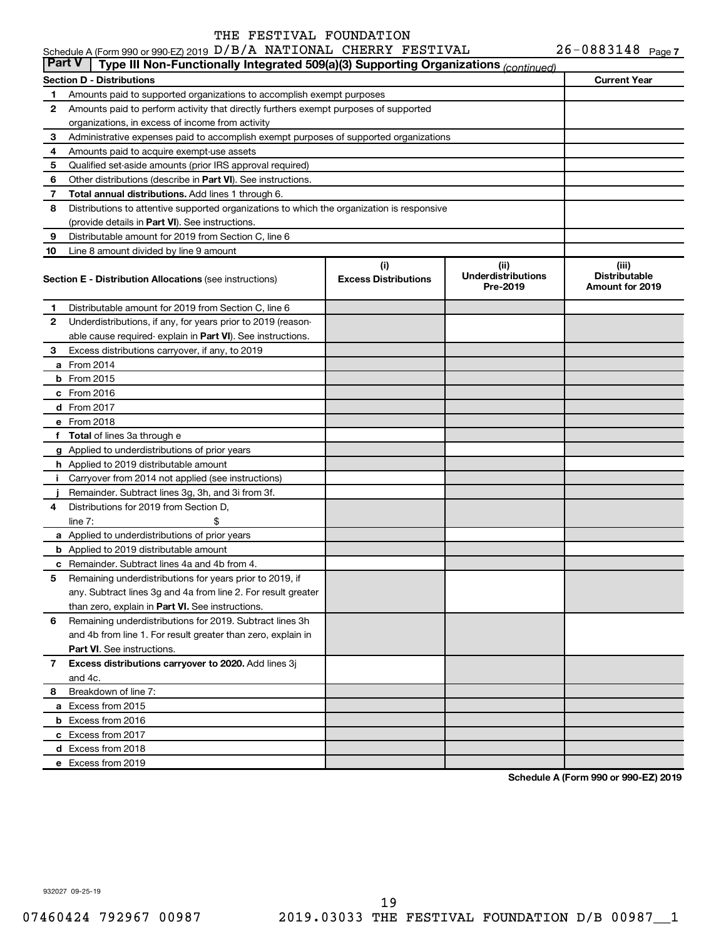| <b>Part V</b> | Type III Non-Functionally Integrated 509(a)(3) Supporting Organizations (continued)        |                             |                                       |                                         |
|---------------|--------------------------------------------------------------------------------------------|-----------------------------|---------------------------------------|-----------------------------------------|
|               | Section D - Distributions                                                                  |                             |                                       | <b>Current Year</b>                     |
| 1.            | Amounts paid to supported organizations to accomplish exempt purposes                      |                             |                                       |                                         |
| 2             | Amounts paid to perform activity that directly furthers exempt purposes of supported       |                             |                                       |                                         |
|               | organizations, in excess of income from activity                                           |                             |                                       |                                         |
| 3             | Administrative expenses paid to accomplish exempt purposes of supported organizations      |                             |                                       |                                         |
| 4             | Amounts paid to acquire exempt-use assets                                                  |                             |                                       |                                         |
| 5             | Qualified set-aside amounts (prior IRS approval required)                                  |                             |                                       |                                         |
| 6             | Other distributions (describe in <b>Part VI</b> ). See instructions.                       |                             |                                       |                                         |
| 7             | <b>Total annual distributions.</b> Add lines 1 through 6.                                  |                             |                                       |                                         |
| 8             | Distributions to attentive supported organizations to which the organization is responsive |                             |                                       |                                         |
|               | (provide details in Part VI). See instructions.                                            |                             |                                       |                                         |
| 9             | Distributable amount for 2019 from Section C, line 6                                       |                             |                                       |                                         |
| 10            | Line 8 amount divided by line 9 amount                                                     |                             |                                       |                                         |
|               |                                                                                            | (i)                         | (ii)                                  | (iii)                                   |
|               | <b>Section E - Distribution Allocations (see instructions)</b>                             | <b>Excess Distributions</b> | <b>Underdistributions</b><br>Pre-2019 | <b>Distributable</b><br>Amount for 2019 |
| 1.            | Distributable amount for 2019 from Section C, line 6                                       |                             |                                       |                                         |
| 2             | Underdistributions, if any, for years prior to 2019 (reason-                               |                             |                                       |                                         |
|               | able cause required-explain in Part VI). See instructions.                                 |                             |                                       |                                         |
| 3             | Excess distributions carryover, if any, to 2019                                            |                             |                                       |                                         |
| а             | From 2014                                                                                  |                             |                                       |                                         |
| b             | From 2015                                                                                  |                             |                                       |                                         |
|               | $c$ From 2016                                                                              |                             |                                       |                                         |
|               | <b>d</b> From 2017                                                                         |                             |                                       |                                         |
|               | e From 2018                                                                                |                             |                                       |                                         |
| f             | <b>Total</b> of lines 3a through e                                                         |                             |                                       |                                         |
|               | g Applied to underdistributions of prior years                                             |                             |                                       |                                         |
|               | <b>h</b> Applied to 2019 distributable amount                                              |                             |                                       |                                         |
| j.            | Carryover from 2014 not applied (see instructions)                                         |                             |                                       |                                         |
|               | Remainder. Subtract lines 3g, 3h, and 3i from 3f.                                          |                             |                                       |                                         |
| 4             | Distributions for 2019 from Section D,                                                     |                             |                                       |                                         |
|               | \$<br>line $7:$                                                                            |                             |                                       |                                         |
|               | a Applied to underdistributions of prior years                                             |                             |                                       |                                         |
|               | <b>b</b> Applied to 2019 distributable amount                                              |                             |                                       |                                         |
| c             | Remainder. Subtract lines 4a and 4b from 4.                                                |                             |                                       |                                         |
| 5             | Remaining underdistributions for years prior to 2019, if                                   |                             |                                       |                                         |
|               | any. Subtract lines 3g and 4a from line 2. For result greater                              |                             |                                       |                                         |
|               | than zero, explain in Part VI. See instructions.                                           |                             |                                       |                                         |
| 6             | Remaining underdistributions for 2019. Subtract lines 3h                                   |                             |                                       |                                         |
|               | and 4b from line 1. For result greater than zero, explain in                               |                             |                                       |                                         |
|               | <b>Part VI.</b> See instructions.                                                          |                             |                                       |                                         |
| $\mathbf{7}$  | Excess distributions carryover to 2020. Add lines 3j                                       |                             |                                       |                                         |
|               | and 4c.                                                                                    |                             |                                       |                                         |
| 8             | Breakdown of line 7:                                                                       |                             |                                       |                                         |
|               | a Excess from 2015                                                                         |                             |                                       |                                         |
|               | <b>b</b> Excess from 2016                                                                  |                             |                                       |                                         |
|               | c Excess from 2017                                                                         |                             |                                       |                                         |
|               | d Excess from 2018                                                                         |                             |                                       |                                         |
|               | e Excess from 2019                                                                         |                             |                                       |                                         |

**Schedule A (Form 990 or 990-EZ) 2019**

932027 09-25-19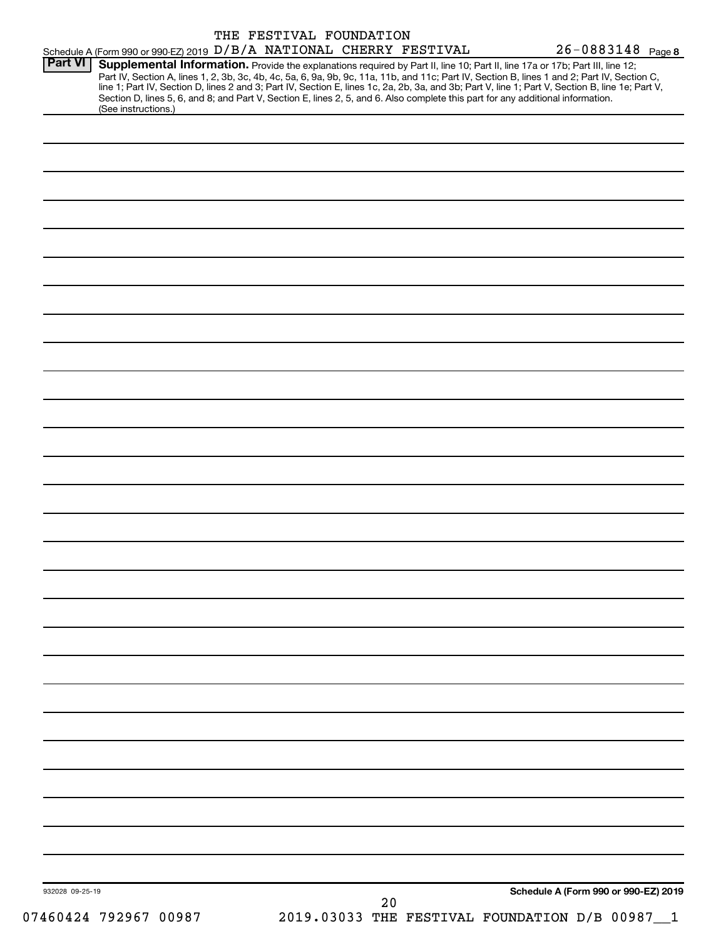| Schedule A (Form 990 or 990-EZ) 2019 D/B/A NATIONAL CHERRY FESTIVAL                                                                                                      | THE FESTIVAL FOUNDATION |    | 26-0883148 Page 8                                                                                                                                                                                                                                                                                                                                                                                                                 |
|--------------------------------------------------------------------------------------------------------------------------------------------------------------------------|-------------------------|----|-----------------------------------------------------------------------------------------------------------------------------------------------------------------------------------------------------------------------------------------------------------------------------------------------------------------------------------------------------------------------------------------------------------------------------------|
| <b>Part VI</b><br>Section D, lines 5, 6, and 8; and Part V, Section E, lines 2, 5, and 6. Also complete this part for any additional information.<br>(See instructions.) |                         |    | Supplemental Information. Provide the explanations required by Part II, line 10; Part II, line 17a or 17b; Part III, line 12;<br>Part IV, Section A, lines 1, 2, 3b, 3c, 4b, 4c, 5a, 6, 9a, 9b, 9c, 11a, 11b, and 11c; Part IV, Section B, lines 1 and 2; Part IV, Section C,<br>line 1; Part IV, Section D, lines 2 and 3; Part IV, Section E, lines 1c, 2a, 2b, 3a, and 3b; Part V, line 1; Part V, Section B, line 1e; Part V, |
|                                                                                                                                                                          |                         |    |                                                                                                                                                                                                                                                                                                                                                                                                                                   |
|                                                                                                                                                                          |                         |    |                                                                                                                                                                                                                                                                                                                                                                                                                                   |
|                                                                                                                                                                          |                         |    |                                                                                                                                                                                                                                                                                                                                                                                                                                   |
|                                                                                                                                                                          |                         |    |                                                                                                                                                                                                                                                                                                                                                                                                                                   |
|                                                                                                                                                                          |                         |    |                                                                                                                                                                                                                                                                                                                                                                                                                                   |
|                                                                                                                                                                          |                         |    |                                                                                                                                                                                                                                                                                                                                                                                                                                   |
|                                                                                                                                                                          |                         |    |                                                                                                                                                                                                                                                                                                                                                                                                                                   |
|                                                                                                                                                                          |                         |    |                                                                                                                                                                                                                                                                                                                                                                                                                                   |
|                                                                                                                                                                          |                         |    |                                                                                                                                                                                                                                                                                                                                                                                                                                   |
|                                                                                                                                                                          |                         |    |                                                                                                                                                                                                                                                                                                                                                                                                                                   |
|                                                                                                                                                                          |                         |    |                                                                                                                                                                                                                                                                                                                                                                                                                                   |
|                                                                                                                                                                          |                         |    |                                                                                                                                                                                                                                                                                                                                                                                                                                   |
|                                                                                                                                                                          |                         |    |                                                                                                                                                                                                                                                                                                                                                                                                                                   |
|                                                                                                                                                                          |                         |    |                                                                                                                                                                                                                                                                                                                                                                                                                                   |
|                                                                                                                                                                          |                         |    |                                                                                                                                                                                                                                                                                                                                                                                                                                   |
|                                                                                                                                                                          |                         |    |                                                                                                                                                                                                                                                                                                                                                                                                                                   |
|                                                                                                                                                                          |                         |    |                                                                                                                                                                                                                                                                                                                                                                                                                                   |
|                                                                                                                                                                          |                         |    |                                                                                                                                                                                                                                                                                                                                                                                                                                   |
|                                                                                                                                                                          |                         |    |                                                                                                                                                                                                                                                                                                                                                                                                                                   |
|                                                                                                                                                                          |                         |    |                                                                                                                                                                                                                                                                                                                                                                                                                                   |
|                                                                                                                                                                          |                         |    |                                                                                                                                                                                                                                                                                                                                                                                                                                   |
|                                                                                                                                                                          |                         |    |                                                                                                                                                                                                                                                                                                                                                                                                                                   |
|                                                                                                                                                                          |                         |    |                                                                                                                                                                                                                                                                                                                                                                                                                                   |
|                                                                                                                                                                          |                         |    |                                                                                                                                                                                                                                                                                                                                                                                                                                   |
|                                                                                                                                                                          |                         |    |                                                                                                                                                                                                                                                                                                                                                                                                                                   |
|                                                                                                                                                                          |                         |    |                                                                                                                                                                                                                                                                                                                                                                                                                                   |
|                                                                                                                                                                          |                         |    |                                                                                                                                                                                                                                                                                                                                                                                                                                   |
|                                                                                                                                                                          |                         |    |                                                                                                                                                                                                                                                                                                                                                                                                                                   |
|                                                                                                                                                                          |                         |    |                                                                                                                                                                                                                                                                                                                                                                                                                                   |
|                                                                                                                                                                          |                         |    |                                                                                                                                                                                                                                                                                                                                                                                                                                   |
|                                                                                                                                                                          |                         |    |                                                                                                                                                                                                                                                                                                                                                                                                                                   |
|                                                                                                                                                                          |                         |    |                                                                                                                                                                                                                                                                                                                                                                                                                                   |
|                                                                                                                                                                          |                         |    |                                                                                                                                                                                                                                                                                                                                                                                                                                   |
|                                                                                                                                                                          |                         |    |                                                                                                                                                                                                                                                                                                                                                                                                                                   |
| 932028 09-25-19                                                                                                                                                          |                         | 20 | Schedule A (Form 990 or 990-EZ) 2019                                                                                                                                                                                                                                                                                                                                                                                              |
| 07460424 792967 00987                                                                                                                                                    |                         |    | 2019.03033 THE FESTIVAL FOUNDATION D/B 00987                                                                                                                                                                                                                                                                                                                                                                                      |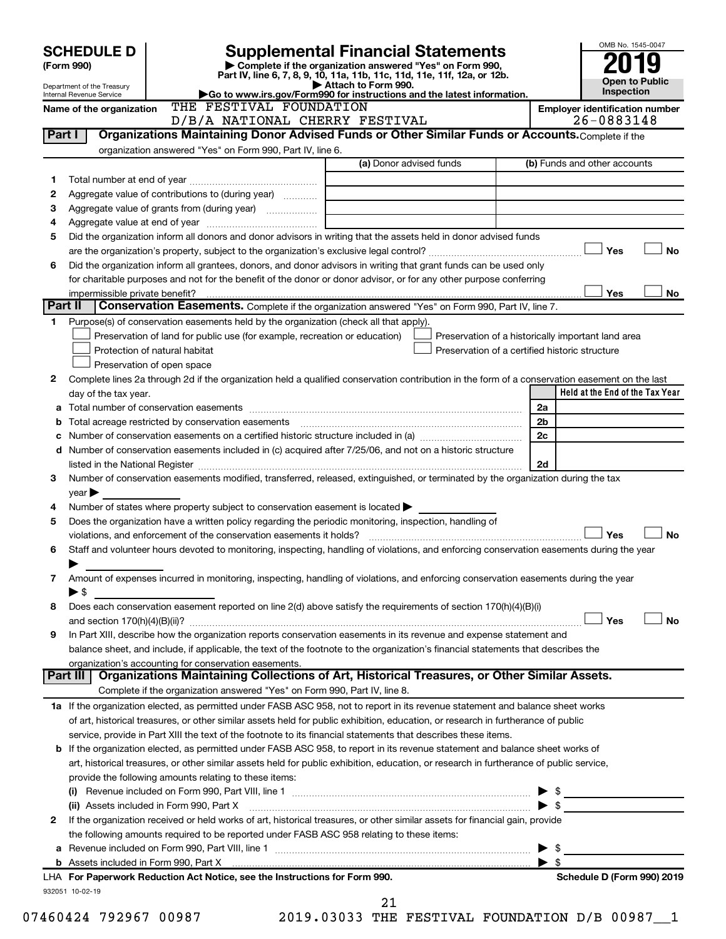| Complete if the organization answered "Yes" on Form 990,<br>Part IV, line 6, 7, 8, 9, 10, 11a, 11b, 11c, 11d, 11e, 11f, 12a, or 12b.<br>Attach to Form 990.<br>Go to www.irs.gov/Form990 for instructions and the latest information.   |                                                                                  |                | <b>Open to Public</b><br>Inspection                                       |
|-----------------------------------------------------------------------------------------------------------------------------------------------------------------------------------------------------------------------------------------|----------------------------------------------------------------------------------|----------------|---------------------------------------------------------------------------|
| THE FESTIVAL FOUNDATION                                                                                                                                                                                                                 |                                                                                  |                | <b>Employer identification number</b>                                     |
| D/B/A NATIONAL CHERRY FESTIVAL                                                                                                                                                                                                          |                                                                                  |                | 26-0883148                                                                |
| Organizations Maintaining Donor Advised Funds or Other Similar Funds or Accounts. Complete if the                                                                                                                                       |                                                                                  |                |                                                                           |
| organization answered "Yes" on Form 990, Part IV, line 6.                                                                                                                                                                               |                                                                                  |                |                                                                           |
| (a) Donor advised funds                                                                                                                                                                                                                 |                                                                                  |                | (b) Funds and other accounts                                              |
|                                                                                                                                                                                                                                         |                                                                                  |                |                                                                           |
| Aggregate value of contributions to (during year)                                                                                                                                                                                       |                                                                                  |                |                                                                           |
|                                                                                                                                                                                                                                         |                                                                                  |                |                                                                           |
|                                                                                                                                                                                                                                         |                                                                                  |                |                                                                           |
| Did the organization inform all donors and donor advisors in writing that the assets held in donor advised funds                                                                                                                        |                                                                                  |                |                                                                           |
|                                                                                                                                                                                                                                         |                                                                                  |                | Yes<br><b>No</b>                                                          |
| Did the organization inform all grantees, donors, and donor advisors in writing that grant funds can be used only<br>for charitable purposes and not for the benefit of the donor or donor advisor, or for any other purpose conferring |                                                                                  |                | Yes<br>No                                                                 |
| Conservation Easements. Complete if the organization answered "Yes" on Form 990, Part IV, line 7.                                                                                                                                       |                                                                                  |                |                                                                           |
| Purpose(s) of conservation easements held by the organization (check all that apply).                                                                                                                                                   |                                                                                  |                |                                                                           |
| Preservation of land for public use (for example, recreation or education)                                                                                                                                                              |                                                                                  |                | Preservation of a historically important land area                        |
|                                                                                                                                                                                                                                         | Preservation of a certified historic structure                                   |                |                                                                           |
|                                                                                                                                                                                                                                         |                                                                                  |                |                                                                           |
| Complete lines 2a through 2d if the organization held a qualified conservation contribution in the form of a conservation easement on the last                                                                                          |                                                                                  |                |                                                                           |
|                                                                                                                                                                                                                                         |                                                                                  |                | Held at the End of the Tax Year                                           |
|                                                                                                                                                                                                                                         |                                                                                  | 2a             |                                                                           |
|                                                                                                                                                                                                                                         |                                                                                  | 2 <sub>b</sub> |                                                                           |
|                                                                                                                                                                                                                                         |                                                                                  | 2c             |                                                                           |
| Number of conservation easements included in (c) acquired after 7/25/06, and not on a historic structure                                                                                                                                |                                                                                  |                |                                                                           |
| listed in the National Register [11, 2003] [12] The National Register [11, 2014] The National Register [11, 2014] The National Register [11, 2014] The National Register [11, 2014] The National Register [11, 2014] The Natio          |                                                                                  | 2d             |                                                                           |
| Number of conservation easements modified, transferred, released, extinguished, or terminated by the organization during the tax                                                                                                        |                                                                                  |                |                                                                           |
|                                                                                                                                                                                                                                         |                                                                                  |                |                                                                           |
| Number of states where property subject to conservation easement is located $\blacktriangleright$                                                                                                                                       |                                                                                  |                |                                                                           |
| Does the organization have a written policy regarding the periodic monitoring, inspection, handling of                                                                                                                                  |                                                                                  |                |                                                                           |
|                                                                                                                                                                                                                                         |                                                                                  |                | Yes<br><b>No</b>                                                          |
| Staff and volunteer hours devoted to monitoring, inspecting, handling of violations, and enforcing conservation easements during the year                                                                                               |                                                                                  |                |                                                                           |
|                                                                                                                                                                                                                                         |                                                                                  |                |                                                                           |
| Amount of expenses incurred in monitoring, inspecting, handling of violations, and enforcing conservation easements during the year                                                                                                     |                                                                                  |                |                                                                           |
|                                                                                                                                                                                                                                         |                                                                                  |                |                                                                           |
| Does each conservation easement reported on line 2(d) above satisfy the requirements of section 170(h)(4)(B)(i)                                                                                                                         |                                                                                  |                |                                                                           |
|                                                                                                                                                                                                                                         |                                                                                  |                | Yes<br><b>No</b>                                                          |
| In Part XIII, describe how the organization reports conservation easements in its revenue and expense statement and                                                                                                                     |                                                                                  |                |                                                                           |
| balance sheet, and include, if applicable, the text of the footnote to the organization's financial statements that describes the                                                                                                       |                                                                                  |                |                                                                           |
| organization's accounting for conservation easements.<br>Organizations Maintaining Collections of Art, Historical Treasures, or Other Similar Assets.                                                                                   |                                                                                  |                |                                                                           |
| Complete if the organization answered "Yes" on Form 990, Part IV, line 8.                                                                                                                                                               |                                                                                  |                |                                                                           |
| 1a If the organization elected, as permitted under FASB ASC 958, not to report in its revenue statement and balance sheet works                                                                                                         |                                                                                  |                |                                                                           |
| of art, historical treasures, or other similar assets held for public exhibition, education, or research in furtherance of public                                                                                                       |                                                                                  |                |                                                                           |
| service, provide in Part XIII the text of the footnote to its financial statements that describes these items.                                                                                                                          |                                                                                  |                |                                                                           |
| <b>b</b> If the organization elected, as permitted under FASB ASC 958, to report in its revenue statement and balance sheet works of                                                                                                    |                                                                                  |                |                                                                           |
| art, historical treasures, or other similar assets held for public exhibition, education, or research in furtherance of public service,                                                                                                 |                                                                                  |                |                                                                           |
|                                                                                                                                                                                                                                         |                                                                                  |                |                                                                           |
| (i) Revenue included on Form 990, Part VIII, line 1 $\ldots$ $\ldots$ $\ldots$ $\ldots$ $\ldots$ $\ldots$ $\ldots$ $\ldots$ $\ldots$ $\ldots$ $\ldots$ $\ldots$ $\quad$ $\quad$ $\quad$ $\quad$                                         |                                                                                  |                |                                                                           |
| (ii) Assets included in Form 990, Part X [11] Marshall Marson Marshall Marson Marson Marson Marson Marson Mars                                                                                                                          |                                                                                  |                | $\blacktriangleright$ \$                                                  |
| If the organization received or held works of art, historical treasures, or other similar assets for financial gain, provide                                                                                                            |                                                                                  |                |                                                                           |
| the following amounts required to be reported under FASB ASC 958 relating to these items:                                                                                                                                               |                                                                                  |                |                                                                           |
|                                                                                                                                                                                                                                         |                                                                                  |                |                                                                           |
|                                                                                                                                                                                                                                         |                                                                                  |                |                                                                           |
|                                                                                                                                                                                                                                         |                                                                                  |                | Schedule D (Form 990) 2019                                                |
|                                                                                                                                                                                                                                         |                                                                                  |                |                                                                           |
|                                                                                                                                                                                                                                         | LHA For Paperwork Reduction Act Notice, see the Instructions for Form 990.<br>21 |                | $\blacktriangleright$ s<br>2019.03033 THE FESTIVAL FOUNDATION D/B 00987_1 |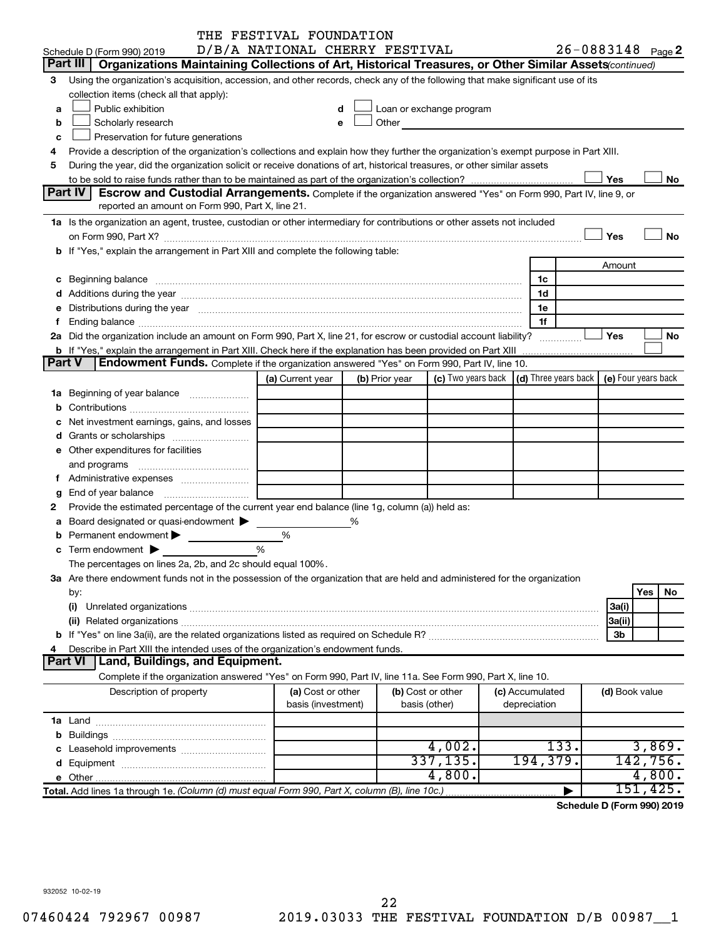|               |                                                                                                                                                                                                                                | THE FESTIVAL FOUNDATION        |   |                |                                                                                                                                                                                                                                |  |                                                                             |                   |     |           |
|---------------|--------------------------------------------------------------------------------------------------------------------------------------------------------------------------------------------------------------------------------|--------------------------------|---|----------------|--------------------------------------------------------------------------------------------------------------------------------------------------------------------------------------------------------------------------------|--|-----------------------------------------------------------------------------|-------------------|-----|-----------|
|               | Schedule D (Form 990) 2019                                                                                                                                                                                                     | D/B/A NATIONAL CHERRY FESTIVAL |   |                |                                                                                                                                                                                                                                |  |                                                                             | 26-0883148 Page 2 |     |           |
| Part III      | Organizations Maintaining Collections of Art, Historical Treasures, or Other Similar Assets (continued)                                                                                                                        |                                |   |                |                                                                                                                                                                                                                                |  |                                                                             |                   |     |           |
| 3             | Using the organization's acquisition, accession, and other records, check any of the following that make significant use of its                                                                                                |                                |   |                |                                                                                                                                                                                                                                |  |                                                                             |                   |     |           |
|               | collection items (check all that apply):                                                                                                                                                                                       |                                |   |                |                                                                                                                                                                                                                                |  |                                                                             |                   |     |           |
| a             | Public exhibition                                                                                                                                                                                                              |                                | d |                | Loan or exchange program                                                                                                                                                                                                       |  |                                                                             |                   |     |           |
| b             | Scholarly research                                                                                                                                                                                                             | e                              |   |                | Other and the control of the control of the control of the control of the control of the control of the control of the control of the control of the control of the control of the control of the control of the control of th |  |                                                                             |                   |     |           |
| c             | Preservation for future generations                                                                                                                                                                                            |                                |   |                |                                                                                                                                                                                                                                |  |                                                                             |                   |     |           |
| 4             | Provide a description of the organization's collections and explain how they further the organization's exempt purpose in Part XIII.                                                                                           |                                |   |                |                                                                                                                                                                                                                                |  |                                                                             |                   |     |           |
| 5             | During the year, did the organization solicit or receive donations of art, historical treasures, or other similar assets                                                                                                       |                                |   |                |                                                                                                                                                                                                                                |  |                                                                             |                   |     |           |
|               |                                                                                                                                                                                                                                |                                |   |                |                                                                                                                                                                                                                                |  |                                                                             | Yes               |     | No        |
|               | Part IV<br>Escrow and Custodial Arrangements. Complete if the organization answered "Yes" on Form 990, Part IV, line 9, or                                                                                                     |                                |   |                |                                                                                                                                                                                                                                |  |                                                                             |                   |     |           |
|               | reported an amount on Form 990, Part X, line 21.                                                                                                                                                                               |                                |   |                |                                                                                                                                                                                                                                |  |                                                                             |                   |     |           |
|               |                                                                                                                                                                                                                                |                                |   |                |                                                                                                                                                                                                                                |  |                                                                             |                   |     |           |
|               | 1a Is the organization an agent, trustee, custodian or other intermediary for contributions or other assets not included                                                                                                       |                                |   |                |                                                                                                                                                                                                                                |  |                                                                             |                   |     |           |
|               |                                                                                                                                                                                                                                |                                |   |                |                                                                                                                                                                                                                                |  |                                                                             | Yes               |     | No        |
|               | b If "Yes," explain the arrangement in Part XIII and complete the following table:                                                                                                                                             |                                |   |                |                                                                                                                                                                                                                                |  |                                                                             |                   |     |           |
|               |                                                                                                                                                                                                                                |                                |   |                |                                                                                                                                                                                                                                |  |                                                                             | Amount            |     |           |
|               | c Beginning balance measurements and the contract of Beginning balance measurements are all the contract of the contract of the contract of the contract of the contract of the contract of the contract of the contract of th |                                |   |                |                                                                                                                                                                                                                                |  | 1c                                                                          |                   |     |           |
|               |                                                                                                                                                                                                                                |                                |   |                |                                                                                                                                                                                                                                |  | 1d                                                                          |                   |     |           |
|               | Distributions during the year manufactured and an account of the year manufactured and the year manufactured and the year manufactured and the year manufactured and the year manufactured and the year manufactured and the y |                                |   |                |                                                                                                                                                                                                                                |  | 1e                                                                          |                   |     |           |
|               |                                                                                                                                                                                                                                |                                |   |                |                                                                                                                                                                                                                                |  | 1f                                                                          |                   |     |           |
|               | 2a Did the organization include an amount on Form 990, Part X, line 21, for escrow or custodial account liability?                                                                                                             |                                |   |                |                                                                                                                                                                                                                                |  | .                                                                           | Yes               |     | No        |
|               | <b>b</b> If "Yes," explain the arrangement in Part XIII. Check here if the explanation has been provided on Part XIII                                                                                                          |                                |   |                |                                                                                                                                                                                                                                |  |                                                                             |                   |     |           |
| <b>Part V</b> | Endowment Funds. Complete if the organization answered "Yes" on Form 990, Part IV, line 10.                                                                                                                                    |                                |   |                |                                                                                                                                                                                                                                |  |                                                                             |                   |     |           |
|               |                                                                                                                                                                                                                                | (a) Current year               |   | (b) Prior year |                                                                                                                                                                                                                                |  | (c) Two years back $\vert$ (d) Three years back $\vert$ (e) Four years back |                   |     |           |
|               | 1a Beginning of year balance                                                                                                                                                                                                   |                                |   |                |                                                                                                                                                                                                                                |  |                                                                             |                   |     |           |
|               |                                                                                                                                                                                                                                |                                |   |                |                                                                                                                                                                                                                                |  |                                                                             |                   |     |           |
|               | Net investment earnings, gains, and losses                                                                                                                                                                                     |                                |   |                |                                                                                                                                                                                                                                |  |                                                                             |                   |     |           |
|               |                                                                                                                                                                                                                                |                                |   |                |                                                                                                                                                                                                                                |  |                                                                             |                   |     |           |
|               | e Other expenditures for facilities                                                                                                                                                                                            |                                |   |                |                                                                                                                                                                                                                                |  |                                                                             |                   |     |           |
|               | and programs                                                                                                                                                                                                                   |                                |   |                |                                                                                                                                                                                                                                |  |                                                                             |                   |     |           |
|               |                                                                                                                                                                                                                                |                                |   |                |                                                                                                                                                                                                                                |  |                                                                             |                   |     |           |
| g             | End of year balance                                                                                                                                                                                                            |                                |   |                |                                                                                                                                                                                                                                |  |                                                                             |                   |     |           |
| 2             | Provide the estimated percentage of the current year end balance (line 1g, column (a)) held as:                                                                                                                                |                                |   |                |                                                                                                                                                                                                                                |  |                                                                             |                   |     |           |
| а             | Board designated or quasi-endowment                                                                                                                                                                                            |                                |   |                |                                                                                                                                                                                                                                |  |                                                                             |                   |     |           |
|               | Permanent endowment                                                                                                                                                                                                            | %                              |   |                |                                                                                                                                                                                                                                |  |                                                                             |                   |     |           |
|               | Term endowment $\blacktriangleright$                                                                                                                                                                                           | %                              |   |                |                                                                                                                                                                                                                                |  |                                                                             |                   |     |           |
|               | The percentages on lines 2a, 2b, and 2c should equal 100%.                                                                                                                                                                     |                                |   |                |                                                                                                                                                                                                                                |  |                                                                             |                   |     |           |
|               | 3a Are there endowment funds not in the possession of the organization that are held and administered for the organization                                                                                                     |                                |   |                |                                                                                                                                                                                                                                |  |                                                                             |                   |     |           |
|               | by:                                                                                                                                                                                                                            |                                |   |                |                                                                                                                                                                                                                                |  |                                                                             |                   | Yes | No        |
|               | (i)                                                                                                                                                                                                                            |                                |   |                |                                                                                                                                                                                                                                |  |                                                                             | 3a(i)             |     |           |
|               |                                                                                                                                                                                                                                |                                |   |                |                                                                                                                                                                                                                                |  |                                                                             |                   |     |           |
|               |                                                                                                                                                                                                                                |                                |   |                |                                                                                                                                                                                                                                |  |                                                                             | 3a(ii)            |     |           |
|               |                                                                                                                                                                                                                                |                                |   |                |                                                                                                                                                                                                                                |  |                                                                             | 3b                |     |           |
| 4             | Describe in Part XIII the intended uses of the organization's endowment funds.                                                                                                                                                 |                                |   |                |                                                                                                                                                                                                                                |  |                                                                             |                   |     |           |
|               | <b>Part VI</b><br>Land, Buildings, and Equipment.                                                                                                                                                                              |                                |   |                |                                                                                                                                                                                                                                |  |                                                                             |                   |     |           |
|               | Complete if the organization answered "Yes" on Form 990, Part IV, line 11a. See Form 990, Part X, line 10.                                                                                                                     |                                |   |                |                                                                                                                                                                                                                                |  |                                                                             |                   |     |           |
|               | Description of property                                                                                                                                                                                                        | (a) Cost or other              |   |                | (b) Cost or other                                                                                                                                                                                                              |  | (c) Accumulated                                                             | (d) Book value    |     |           |
|               |                                                                                                                                                                                                                                | basis (investment)             |   |                | basis (other)                                                                                                                                                                                                                  |  | depreciation                                                                |                   |     |           |
|               |                                                                                                                                                                                                                                |                                |   |                |                                                                                                                                                                                                                                |  |                                                                             |                   |     |           |
|               |                                                                                                                                                                                                                                |                                |   |                |                                                                                                                                                                                                                                |  |                                                                             |                   |     |           |
|               |                                                                                                                                                                                                                                |                                |   |                | 4,002.                                                                                                                                                                                                                         |  | 133.                                                                        |                   |     | 3,869.    |
|               |                                                                                                                                                                                                                                |                                |   |                | 337, 135.                                                                                                                                                                                                                      |  | 194,379.                                                                    |                   |     | 142, 756. |
|               |                                                                                                                                                                                                                                |                                |   |                | 4,800.                                                                                                                                                                                                                         |  |                                                                             |                   |     | 4,800.    |
|               | 151, 425.<br>Total. Add lines 1a through 1e. (Column (d) must equal Form 990, Part X, column (B), line 10c.)                                                                                                                   |                                |   |                |                                                                                                                                                                                                                                |  |                                                                             |                   |     |           |

**Schedule D (Form 990) 2019**

932052 10-02-19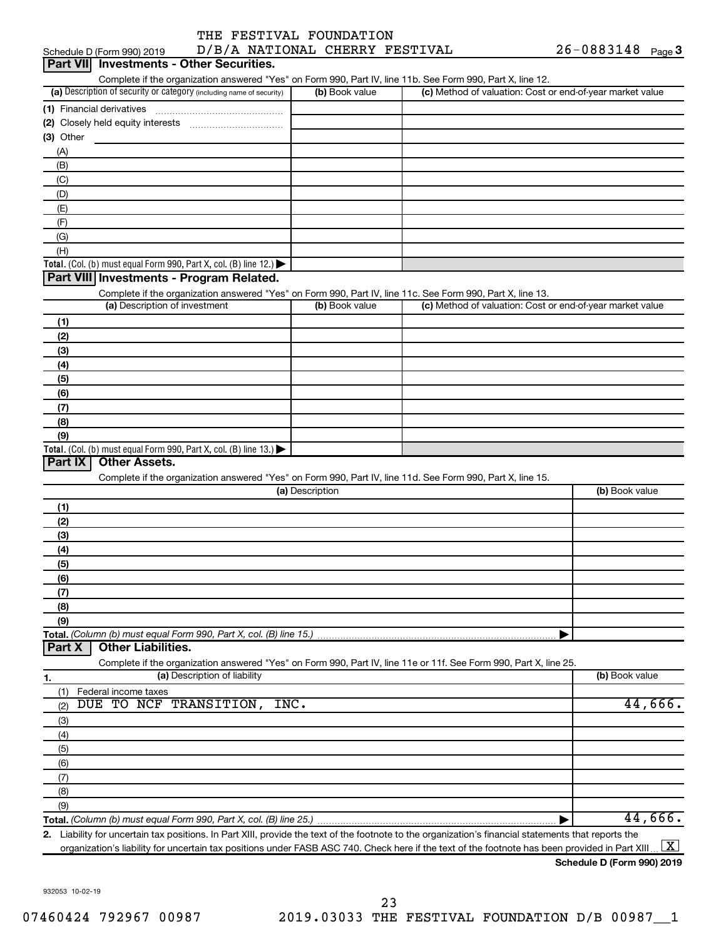|                            | THE FESTIVAL FOUNDATION        |                       |  |
|----------------------------|--------------------------------|-----------------------|--|
| Schedule D (Form 990) 2019 | D/B/A NATIONAL CHERRY FESTIVAL | $26 - 0883148$ Page 3 |  |

| Part VII Investments - Other Securities.                                                                          |                 |                                                           |                |
|-------------------------------------------------------------------------------------------------------------------|-----------------|-----------------------------------------------------------|----------------|
| Complete if the organization answered "Yes" on Form 990, Part IV, line 11b. See Form 990, Part X, line 12.        |                 |                                                           |                |
| (a) Description of security or category (including name of security)                                              | (b) Book value  | (c) Method of valuation: Cost or end-of-year market value |                |
|                                                                                                                   |                 |                                                           |                |
|                                                                                                                   |                 |                                                           |                |
| (3) Other                                                                                                         |                 |                                                           |                |
| (A)                                                                                                               |                 |                                                           |                |
| (B)                                                                                                               |                 |                                                           |                |
| (C)                                                                                                               |                 |                                                           |                |
| (D)<br>(E)                                                                                                        |                 |                                                           |                |
| (F)                                                                                                               |                 |                                                           |                |
| (G)                                                                                                               |                 |                                                           |                |
| (H)                                                                                                               |                 |                                                           |                |
| <b>Total.</b> (Col. (b) must equal Form 990, Part X, col. (B) line 12.) $\blacktriangleright$                     |                 |                                                           |                |
| Part VIII Investments - Program Related.                                                                          |                 |                                                           |                |
| Complete if the organization answered "Yes" on Form 990, Part IV, line 11c. See Form 990, Part X, line 13.        |                 |                                                           |                |
| (a) Description of investment                                                                                     | (b) Book value  | (c) Method of valuation: Cost or end-of-year market value |                |
| (1)                                                                                                               |                 |                                                           |                |
| (2)                                                                                                               |                 |                                                           |                |
| (3)                                                                                                               |                 |                                                           |                |
| (4)                                                                                                               |                 |                                                           |                |
| (5)                                                                                                               |                 |                                                           |                |
| (6)                                                                                                               |                 |                                                           |                |
| (7)                                                                                                               |                 |                                                           |                |
| (8)                                                                                                               |                 |                                                           |                |
| (9)                                                                                                               |                 |                                                           |                |
| <b>Total.</b> (Col. (b) must equal Form 990, Part X, col. (B) line 13.)                                           |                 |                                                           |                |
| Part IX<br><b>Other Assets.</b>                                                                                   |                 |                                                           |                |
| Complete if the organization answered "Yes" on Form 990, Part IV, line 11d. See Form 990, Part X, line 15.        | (a) Description |                                                           | (b) Book value |
|                                                                                                                   |                 |                                                           |                |
| (1)<br>(2)                                                                                                        |                 |                                                           |                |
| (3)                                                                                                               |                 |                                                           |                |
| (4)                                                                                                               |                 |                                                           |                |
| (5)                                                                                                               |                 |                                                           |                |
| (6)                                                                                                               |                 |                                                           |                |
| (7)                                                                                                               |                 |                                                           |                |
| (8)                                                                                                               |                 |                                                           |                |
| (9)                                                                                                               |                 |                                                           |                |
| Total. (Column (b) must equal Form 990, Part X, col. (B) line 15.)                                                |                 |                                                           |                |
| <b>Other Liabilities.</b><br>Part X                                                                               |                 |                                                           |                |
| Complete if the organization answered "Yes" on Form 990, Part IV, line 11e or 11f. See Form 990, Part X, line 25. |                 |                                                           |                |
| (a) Description of liability<br>1.                                                                                |                 |                                                           | (b) Book value |
| Federal income taxes<br>(1)                                                                                       |                 |                                                           |                |
| DUE TO NCF TRANSITION, INC.<br>(2)                                                                                |                 |                                                           | 44,666.        |
| (3)                                                                                                               |                 |                                                           |                |
| (4)                                                                                                               |                 |                                                           |                |
| (5)                                                                                                               |                 |                                                           |                |
| (6)                                                                                                               |                 |                                                           |                |
| (7)                                                                                                               |                 |                                                           |                |
| (8)                                                                                                               |                 |                                                           |                |
| (9)                                                                                                               |                 |                                                           | 44,666.        |
|                                                                                                                   |                 |                                                           |                |

organization's liability for uncertain tax positions under FASB ASC 740. Check here if the text of the footnote has been provided in Part XIII ...  $\fbox{\bf X}$ 

**Schedule D (Form 990) 2019**

932053 10-02-19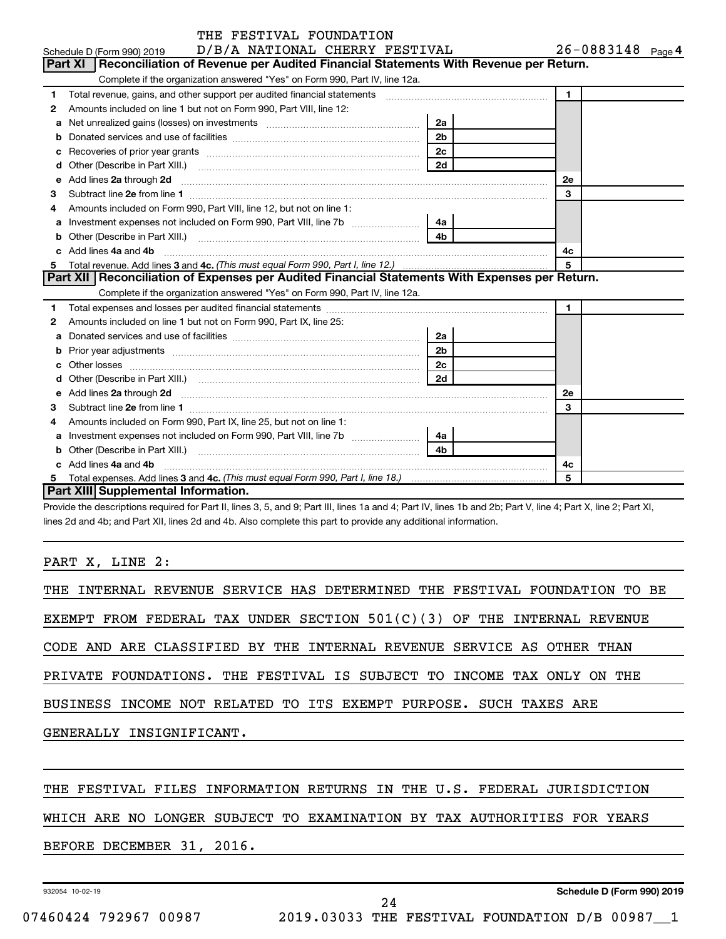|    | THE FESTIVAL FOUNDATION                                                                                                                                                                                                             |                |                   |  |  |  |  |
|----|-------------------------------------------------------------------------------------------------------------------------------------------------------------------------------------------------------------------------------------|----------------|-------------------|--|--|--|--|
|    | D/B/A NATIONAL CHERRY FESTIVAL<br>Schedule D (Form 990) 2019                                                                                                                                                                        |                | 26-0883148 Page 4 |  |  |  |  |
|    | Part XI   Reconciliation of Revenue per Audited Financial Statements With Revenue per Return.                                                                                                                                       |                |                   |  |  |  |  |
|    | Complete if the organization answered "Yes" on Form 990, Part IV, line 12a.                                                                                                                                                         |                |                   |  |  |  |  |
| 1  |                                                                                                                                                                                                                                     |                | $\mathbf{1}$      |  |  |  |  |
| 2  | Amounts included on line 1 but not on Form 990, Part VIII, line 12:                                                                                                                                                                 |                |                   |  |  |  |  |
| a  |                                                                                                                                                                                                                                     | 2a             |                   |  |  |  |  |
|    |                                                                                                                                                                                                                                     | 2 <sub>b</sub> |                   |  |  |  |  |
|    |                                                                                                                                                                                                                                     | 2 <sub>c</sub> |                   |  |  |  |  |
| d  | Other (Describe in Part XIII.) <b>2006</b> 2007 2010 2010 2010 2010 2011 2012 2013 2014 2015 2016 2017 2018 2019 2016 2016 2017 2018 2019 2016 2017 2018 2019 2016 2017 2018 2019 2018 2019 2016 2017 2018 2019 2018 2019 2018 2019 | 2d             |                   |  |  |  |  |
| е  | Add lines 2a through 2d                                                                                                                                                                                                             |                | 2е                |  |  |  |  |
| З  |                                                                                                                                                                                                                                     |                | 3                 |  |  |  |  |
| 4  | Amounts included on Form 990, Part VIII, line 12, but not on line 1:                                                                                                                                                                |                |                   |  |  |  |  |
| a  |                                                                                                                                                                                                                                     | 4a             |                   |  |  |  |  |
| b  |                                                                                                                                                                                                                                     |                |                   |  |  |  |  |
|    | Add lines 4a and 4b                                                                                                                                                                                                                 | 4c             |                   |  |  |  |  |
| 5  |                                                                                                                                                                                                                                     |                | 5                 |  |  |  |  |
|    | Part XII   Reconciliation of Expenses per Audited Financial Statements With Expenses per Return.                                                                                                                                    |                |                   |  |  |  |  |
|    | Complete if the organization answered "Yes" on Form 990, Part IV, line 12a.                                                                                                                                                         |                |                   |  |  |  |  |
| 1  |                                                                                                                                                                                                                                     |                | $\mathbf{1}$      |  |  |  |  |
| 2  | Amounts included on line 1 but not on Form 990, Part IX, line 25:                                                                                                                                                                   |                |                   |  |  |  |  |
| a  |                                                                                                                                                                                                                                     | 2a             |                   |  |  |  |  |
|    |                                                                                                                                                                                                                                     | 2 <sub>b</sub> |                   |  |  |  |  |
| c. |                                                                                                                                                                                                                                     | 2 <sub>c</sub> |                   |  |  |  |  |
| d  |                                                                                                                                                                                                                                     | 2d             |                   |  |  |  |  |
| e  | Add lines 2a through 2d <b>manufactures</b> in the contract of the contract of the contract of the contract of the contract of the contract of the contract of the contract of the contract of the contract of the contract of the  |                | 2е                |  |  |  |  |
| З  |                                                                                                                                                                                                                                     |                | 3                 |  |  |  |  |
| 4  | Amounts included on Form 990, Part IX, line 25, but not on line 1:                                                                                                                                                                  |                |                   |  |  |  |  |
| a  |                                                                                                                                                                                                                                     | 4a             |                   |  |  |  |  |
|    |                                                                                                                                                                                                                                     | 4 <sub>b</sub> |                   |  |  |  |  |
|    | Add lines 4a and 4b                                                                                                                                                                                                                 |                | 4с                |  |  |  |  |
| 5  |                                                                                                                                                                                                                                     |                | 5                 |  |  |  |  |
|    | Part XIII Supplemental Information.                                                                                                                                                                                                 |                |                   |  |  |  |  |

Provide the descriptions required for Part II, lines 3, 5, and 9; Part III, lines 1a and 4; Part IV, lines 1b and 2b; Part V, line 4; Part X, line 2; Part XI, lines 2d and 4b; and Part XII, lines 2d and 4b. Also complete this part to provide any additional information.

PART X, LINE 2:

| THE INTERNAL REVENUE SERVICE HAS DETERMINED THE FESTIVAL FOUNDATION TO BE |
|---------------------------------------------------------------------------|
| EXEMPT FROM FEDERAL TAX UNDER SECTION $501(C)(3)$ OF THE INTERNAL REVENUE |
| CODE AND ARE CLASSIFIED BY THE INTERNAL REVENUE SERVICE AS OTHER THAN     |
| PRIVATE FOUNDATIONS. THE FESTIVAL IS SUBJECT TO INCOME TAX ONLY ON THE    |
| BUSINESS INCOME NOT RELATED TO ITS EXEMPT PURPOSE. SUCH TAXES ARE         |
| GENERALLY INSIGNIFICANT.                                                  |
|                                                                           |
| THE FESTIVAL FILES INFORMATION RETURNS IN THE U.S. FEDERAL JURISDICTION   |
| WHICH ARE NO LONGER SUBJECT TO EXAMINATION BY TAX AUTHORITIES FOR YEARS   |
| BEFORE DECEMBER 31, 2016.                                                 |

24

932054 10-02-19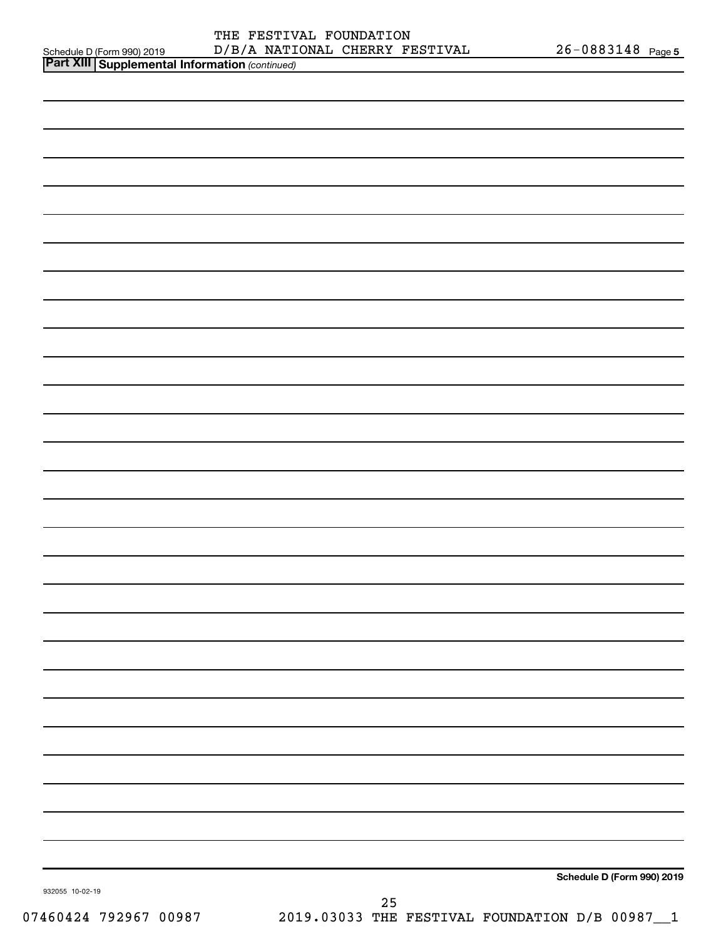| <b>Part XIII   Supplemental Information (continued)</b> |                            |
|---------------------------------------------------------|----------------------------|
|                                                         |                            |
|                                                         |                            |
|                                                         |                            |
|                                                         |                            |
|                                                         |                            |
|                                                         |                            |
|                                                         |                            |
|                                                         |                            |
|                                                         |                            |
|                                                         |                            |
|                                                         |                            |
|                                                         |                            |
|                                                         |                            |
|                                                         |                            |
|                                                         |                            |
|                                                         |                            |
|                                                         |                            |
|                                                         |                            |
|                                                         |                            |
|                                                         |                            |
|                                                         |                            |
|                                                         |                            |
|                                                         |                            |
|                                                         |                            |
|                                                         |                            |
|                                                         |                            |
|                                                         |                            |
|                                                         |                            |
| 932055 10-02-19                                         | Schedule D (Form 990) 2019 |
|                                                         | 25                         |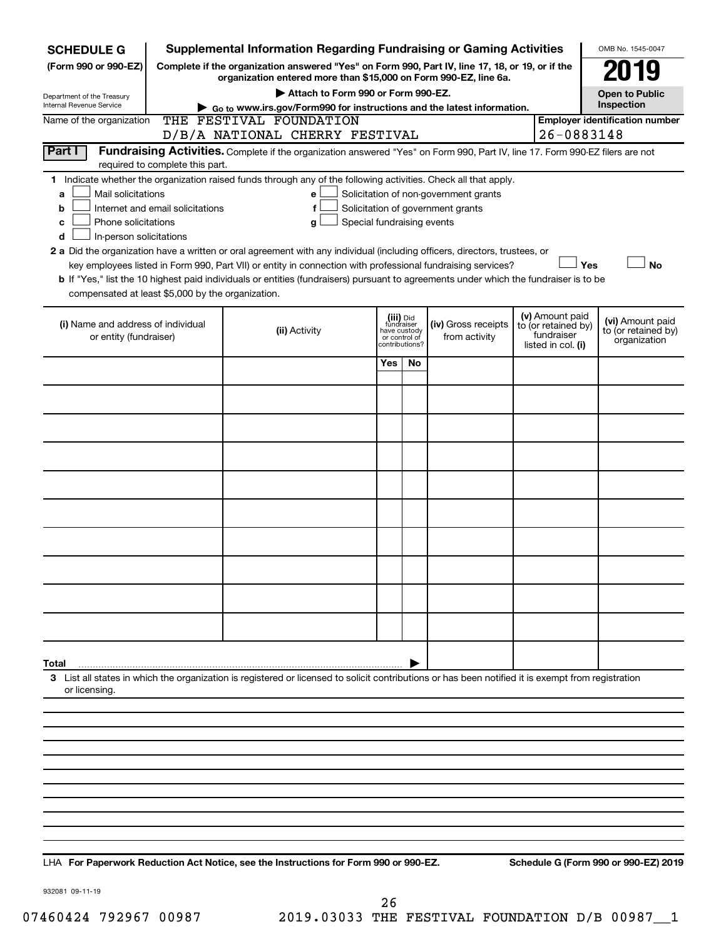| <b>SCHEDULE G</b>                                                                        |                                                                                                              | <b>Supplemental Information Regarding Fundraising or Gaming Activities</b>                                                                                                                                                                                                                 |                               |                                           |                                                                            |  |                                                                            | OMB No. 1545-0047                                       |
|------------------------------------------------------------------------------------------|--------------------------------------------------------------------------------------------------------------|--------------------------------------------------------------------------------------------------------------------------------------------------------------------------------------------------------------------------------------------------------------------------------------------|-------------------------------|-------------------------------------------|----------------------------------------------------------------------------|--|----------------------------------------------------------------------------|---------------------------------------------------------|
| (Form 990 or 990-EZ)                                                                     | Complete if the organization answered "Yes" on Form 990, Part IV, line 17, 18, or 19, or if the              |                                                                                                                                                                                                                                                                                            |                               |                                           |                                                                            |  |                                                                            | 019                                                     |
| organization entered more than \$15,000 on Form 990-EZ, line 6a.                         |                                                                                                              |                                                                                                                                                                                                                                                                                            |                               |                                           |                                                                            |  |                                                                            | <b>Open to Public</b>                                   |
| Department of the Treasury<br>Internal Revenue Service                                   | Attach to Form 990 or Form 990-EZ.<br>Go to www.irs.gov/Form990 for instructions and the latest information. |                                                                                                                                                                                                                                                                                            |                               |                                           |                                                                            |  |                                                                            | Inspection                                              |
| Name of the organization                                                                 |                                                                                                              | THE FESTIVAL FOUNDATION                                                                                                                                                                                                                                                                    |                               |                                           |                                                                            |  |                                                                            | <b>Employer identification number</b>                   |
|                                                                                          | D/B/A NATIONAL CHERRY FESTIVAL                                                                               |                                                                                                                                                                                                                                                                                            |                               |                                           |                                                                            |  | 26-0883148                                                                 |                                                         |
| Part I                                                                                   | required to complete this part.                                                                              | Fundraising Activities. Complete if the organization answered "Yes" on Form 990, Part IV, line 17. Form 990-EZ filers are not                                                                                                                                                              |                               |                                           |                                                                            |  |                                                                            |                                                         |
| Mail solicitations<br>a<br>b<br>Phone solicitations<br>с<br>In-person solicitations<br>d | Internet and email solicitations                                                                             | 1 Indicate whether the organization raised funds through any of the following activities. Check all that apply.<br>e<br>f<br>Special fundraising events<br>g<br>2 a Did the organization have a written or oral agreement with any individual (including officers, directors, trustees, or |                               |                                           | Solicitation of non-government grants<br>Solicitation of government grants |  |                                                                            |                                                         |
| compensated at least \$5,000 by the organization.                                        |                                                                                                              | key employees listed in Form 990, Part VII) or entity in connection with professional fundraising services?<br>b If "Yes," list the 10 highest paid individuals or entities (fundraisers) pursuant to agreements under which the fundraiser is to be                                       |                               |                                           |                                                                            |  | Yes                                                                        | No                                                      |
| (i) Name and address of individual<br>or entity (fundraiser)                             |                                                                                                              | (ii) Activity                                                                                                                                                                                                                                                                              | have custody<br>or control of | (iii) Did<br>fundraiser<br>contributions? | (iv) Gross receipts<br>from activity                                       |  | (v) Amount paid<br>to (or retained by)<br>fundraiser<br>listed in col. (i) | (vi) Amount paid<br>to (or retained by)<br>organization |
|                                                                                          |                                                                                                              |                                                                                                                                                                                                                                                                                            | Yes                           | No.                                       |                                                                            |  |                                                                            |                                                         |
|                                                                                          |                                                                                                              |                                                                                                                                                                                                                                                                                            |                               |                                           |                                                                            |  |                                                                            |                                                         |
|                                                                                          |                                                                                                              |                                                                                                                                                                                                                                                                                            |                               |                                           |                                                                            |  |                                                                            |                                                         |
|                                                                                          |                                                                                                              |                                                                                                                                                                                                                                                                                            |                               |                                           |                                                                            |  |                                                                            |                                                         |
|                                                                                          |                                                                                                              |                                                                                                                                                                                                                                                                                            |                               |                                           |                                                                            |  |                                                                            |                                                         |
|                                                                                          |                                                                                                              |                                                                                                                                                                                                                                                                                            |                               |                                           |                                                                            |  |                                                                            |                                                         |
|                                                                                          |                                                                                                              |                                                                                                                                                                                                                                                                                            |                               |                                           |                                                                            |  |                                                                            |                                                         |
|                                                                                          |                                                                                                              |                                                                                                                                                                                                                                                                                            |                               |                                           |                                                                            |  |                                                                            |                                                         |
|                                                                                          |                                                                                                              |                                                                                                                                                                                                                                                                                            |                               |                                           |                                                                            |  |                                                                            |                                                         |
|                                                                                          |                                                                                                              |                                                                                                                                                                                                                                                                                            |                               |                                           |                                                                            |  |                                                                            |                                                         |
|                                                                                          |                                                                                                              |                                                                                                                                                                                                                                                                                            |                               |                                           |                                                                            |  |                                                                            |                                                         |
| Total                                                                                    |                                                                                                              |                                                                                                                                                                                                                                                                                            |                               |                                           |                                                                            |  |                                                                            |                                                         |
| or licensing                                                                             |                                                                                                              | 3 List all states in which the organization is registered or licensed to solicit contributions or has been notified it is exempt from registration                                                                                                                                         |                               |                                           |                                                                            |  |                                                                            |                                                         |
|                                                                                          |                                                                                                              |                                                                                                                                                                                                                                                                                            |                               |                                           |                                                                            |  |                                                                            |                                                         |
|                                                                                          |                                                                                                              |                                                                                                                                                                                                                                                                                            |                               |                                           |                                                                            |  |                                                                            |                                                         |
|                                                                                          |                                                                                                              |                                                                                                                                                                                                                                                                                            |                               |                                           |                                                                            |  |                                                                            |                                                         |
|                                                                                          |                                                                                                              |                                                                                                                                                                                                                                                                                            |                               |                                           |                                                                            |  |                                                                            |                                                         |
|                                                                                          |                                                                                                              |                                                                                                                                                                                                                                                                                            |                               |                                           |                                                                            |  |                                                                            |                                                         |
|                                                                                          |                                                                                                              |                                                                                                                                                                                                                                                                                            |                               |                                           |                                                                            |  |                                                                            |                                                         |
|                                                                                          |                                                                                                              |                                                                                                                                                                                                                                                                                            |                               |                                           |                                                                            |  |                                                                            |                                                         |
|                                                                                          |                                                                                                              |                                                                                                                                                                                                                                                                                            |                               |                                           |                                                                            |  |                                                                            |                                                         |
|                                                                                          |                                                                                                              |                                                                                                                                                                                                                                                                                            |                               |                                           |                                                                            |  |                                                                            |                                                         |

**For Paperwork Reduction Act Notice, see the Instructions for Form 990 or 990-EZ. Schedule G (Form 990 or 990-EZ) 2019** LHA

932081 09-11-19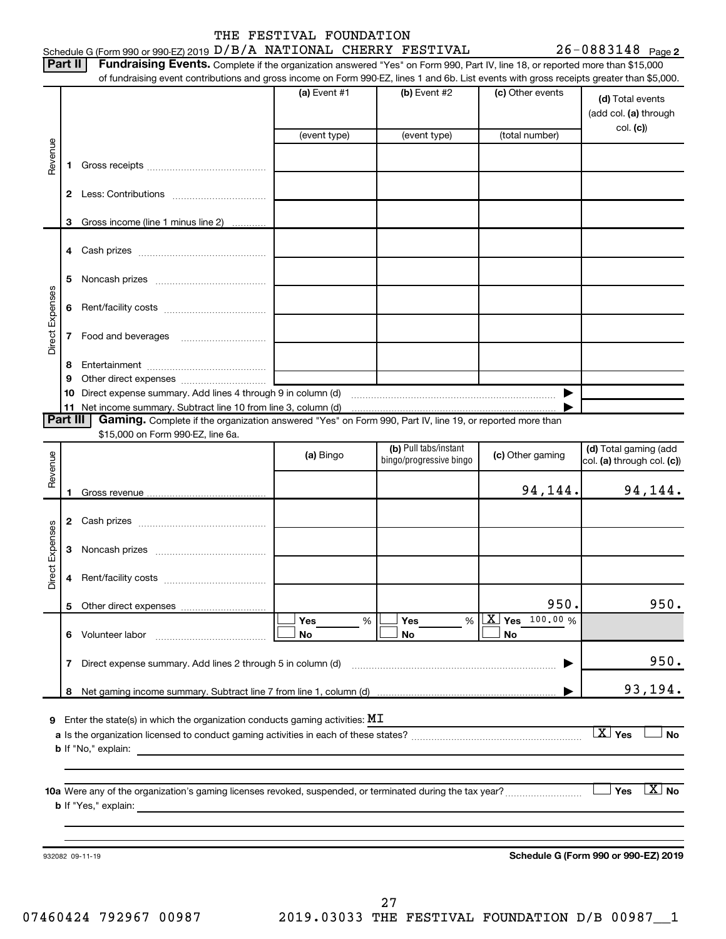|                    | Part II  | Fundraising Events. Complete if the organization answered "Yes" on Form 990, Part IV, line 18, or reported more than \$15,000<br>of fundraising event contributions and gross income on Form 990-EZ, lines 1 and 6b. List events with gross receipts greater than \$5,000. |                |                                                  |                        |                                                       |
|--------------------|----------|----------------------------------------------------------------------------------------------------------------------------------------------------------------------------------------------------------------------------------------------------------------------------|----------------|--------------------------------------------------|------------------------|-------------------------------------------------------|
|                    |          |                                                                                                                                                                                                                                                                            | (a) Event $#1$ | (b) Event #2                                     | (c) Other events       | (d) Total events<br>(add col. (a) through             |
|                    |          |                                                                                                                                                                                                                                                                            | (event type)   | (event type)                                     | (total number)         | col. (c)                                              |
| Revenue            | 1.       |                                                                                                                                                                                                                                                                            |                |                                                  |                        |                                                       |
|                    |          |                                                                                                                                                                                                                                                                            |                |                                                  |                        |                                                       |
|                    | 3        | Gross income (line 1 minus line 2)                                                                                                                                                                                                                                         |                |                                                  |                        |                                                       |
|                    |          |                                                                                                                                                                                                                                                                            |                |                                                  |                        |                                                       |
|                    | 5        |                                                                                                                                                                                                                                                                            |                |                                                  |                        |                                                       |
|                    | 6        |                                                                                                                                                                                                                                                                            |                |                                                  |                        |                                                       |
| Direct Expenses    | 7        |                                                                                                                                                                                                                                                                            |                |                                                  |                        |                                                       |
|                    | 8        |                                                                                                                                                                                                                                                                            |                |                                                  |                        |                                                       |
|                    | 9        |                                                                                                                                                                                                                                                                            |                |                                                  |                        |                                                       |
|                    | Part III | Gaming. Complete if the organization answered "Yes" on Form 990, Part IV, line 19, or reported more than                                                                                                                                                                   |                |                                                  |                        |                                                       |
|                    |          | \$15,000 on Form 990-EZ, line 6a.                                                                                                                                                                                                                                          |                |                                                  |                        |                                                       |
| Revenue            |          |                                                                                                                                                                                                                                                                            | (a) Bingo      | (b) Pull tabs/instant<br>bingo/progressive bingo | (c) Other gaming       | (d) Total gaming (add<br>col. (a) through col. (c))   |
|                    |          |                                                                                                                                                                                                                                                                            |                |                                                  |                        |                                                       |
|                    |          |                                                                                                                                                                                                                                                                            |                |                                                  | 94,144.                |                                                       |
|                    |          |                                                                                                                                                                                                                                                                            |                |                                                  |                        |                                                       |
|                    | 3        |                                                                                                                                                                                                                                                                            |                |                                                  |                        |                                                       |
|                    | 4        |                                                                                                                                                                                                                                                                            |                |                                                  |                        |                                                       |
| Expenses<br>Direct |          |                                                                                                                                                                                                                                                                            |                |                                                  | 950.                   | 94,144.<br>950.                                       |
|                    |          | 6 Volunteer labor                                                                                                                                                                                                                                                          | Yes<br>No      | Yes<br>%<br>%<br>No                              | $X$ Yes 100.00 %<br>No |                                                       |
|                    | 7        | Direct expense summary. Add lines 2 through 5 in column (d)                                                                                                                                                                                                                |                |                                                  |                        |                                                       |
|                    |          |                                                                                                                                                                                                                                                                            |                |                                                  |                        | 950.                                                  |
|                    |          |                                                                                                                                                                                                                                                                            |                |                                                  |                        |                                                       |
|                    |          | Enter the state(s) in which the organization conducts gaming activities: $\texttt{MI}$                                                                                                                                                                                     |                |                                                  |                        | $X$ Yes                                               |
|                    |          |                                                                                                                                                                                                                                                                            |                |                                                  |                        |                                                       |
| 9                  |          | 10a Were any of the organization's gaming licenses revoked, suspended, or terminated during the tax year?                                                                                                                                                                  |                |                                                  |                        | 93,194.<br><b>No</b><br>$\lfloor x \rfloor$ No<br>Yes |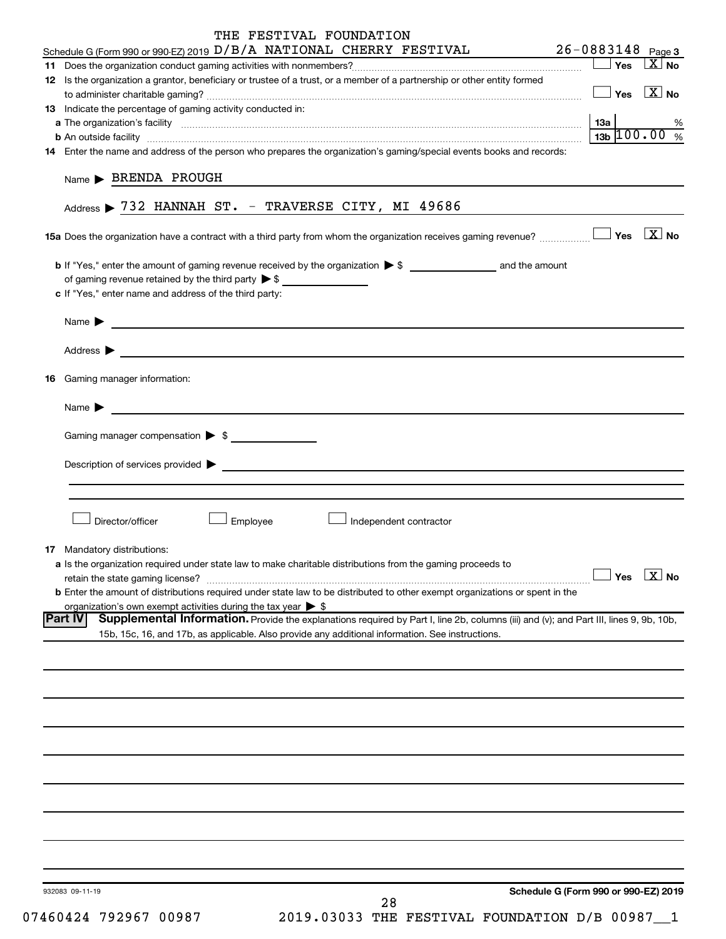| THE FESTIVAL FOUNDATION                                                                                                                                                                                                                                     |
|-------------------------------------------------------------------------------------------------------------------------------------------------------------------------------------------------------------------------------------------------------------|
| 26-0883148 Page 3<br>Schedule G (Form 990 or 990-EZ) 2019 D/B/A NATIONAL CHERRY FESTIVAL                                                                                                                                                                    |
| $ X $ No<br>Yes                                                                                                                                                                                                                                             |
| 12 Is the organization a grantor, beneficiary or trustee of a trust, or a member of a partnership or other entity formed<br>$\Box$ Yes $\boxed{\text{X}}$ No                                                                                                |
| 13 Indicate the percentage of gaming activity conducted in:                                                                                                                                                                                                 |
| 13а<br>℅                                                                                                                                                                                                                                                    |
| $13b$ 100.00 %<br><b>b</b> An outside facility <b>contained and the contract of the contract of the contract of the contract of the contract of the contract of the contract of the contract of the contract of the contract of the contract of the con</b> |
| 14 Enter the name and address of the person who prepares the organization's gaming/special events books and records:                                                                                                                                        |
| $Name \triangleright BRENDA PROUGH$                                                                                                                                                                                                                         |
| Address > 732 HANNAH ST. - TRAVERSE CITY, MI 49686                                                                                                                                                                                                          |
|                                                                                                                                                                                                                                                             |
| of gaming revenue retained by the third party $\triangleright$ \$<br>c If "Yes," enter name and address of the third party:                                                                                                                                 |
| <u> 1989 - Johann John Stone, Amerikaansk politiker (</u><br>Name $\blacktriangleright$                                                                                                                                                                     |
|                                                                                                                                                                                                                                                             |
| <b>16</b> Gaming manager information:                                                                                                                                                                                                                       |
| Name $\blacktriangleright$                                                                                                                                                                                                                                  |
| Gaming manager compensation > \$                                                                                                                                                                                                                            |
| Description of services provided states and the contract of the contract of the contract of the contract of the contract of the contract of the contract of the contract of the contract of the contract of the contract of th                              |
|                                                                                                                                                                                                                                                             |
| Director/officer<br>Employee<br>Independent contractor                                                                                                                                                                                                      |
| 17 Mandatory distributions:                                                                                                                                                                                                                                 |
| a Is the organization required under state law to make charitable distributions from the gaming proceeds to<br>Yes $\boxed{\mathbf{X}}$ No                                                                                                                  |
| retain the state gaming license?<br><b>b</b> Enter the amount of distributions required under state law to be distributed to other exempt organizations or spent in the                                                                                     |
| organization's own exempt activities during the tax year $\triangleright$ \$                                                                                                                                                                                |
| <b>Part IV</b><br>Supplemental Information. Provide the explanations required by Part I, line 2b, columns (iii) and (v); and Part III, lines 9, 9b, 10b,                                                                                                    |
| 15b, 15c, 16, and 17b, as applicable. Also provide any additional information. See instructions.                                                                                                                                                            |
|                                                                                                                                                                                                                                                             |
|                                                                                                                                                                                                                                                             |
|                                                                                                                                                                                                                                                             |
|                                                                                                                                                                                                                                                             |
|                                                                                                                                                                                                                                                             |
|                                                                                                                                                                                                                                                             |
|                                                                                                                                                                                                                                                             |
|                                                                                                                                                                                                                                                             |
|                                                                                                                                                                                                                                                             |
|                                                                                                                                                                                                                                                             |
|                                                                                                                                                                                                                                                             |
|                                                                                                                                                                                                                                                             |
|                                                                                                                                                                                                                                                             |
| Schedule G (Form 990 or 990-EZ) 2019<br>932083 09-11-19                                                                                                                                                                                                     |
| 28                                                                                                                                                                                                                                                          |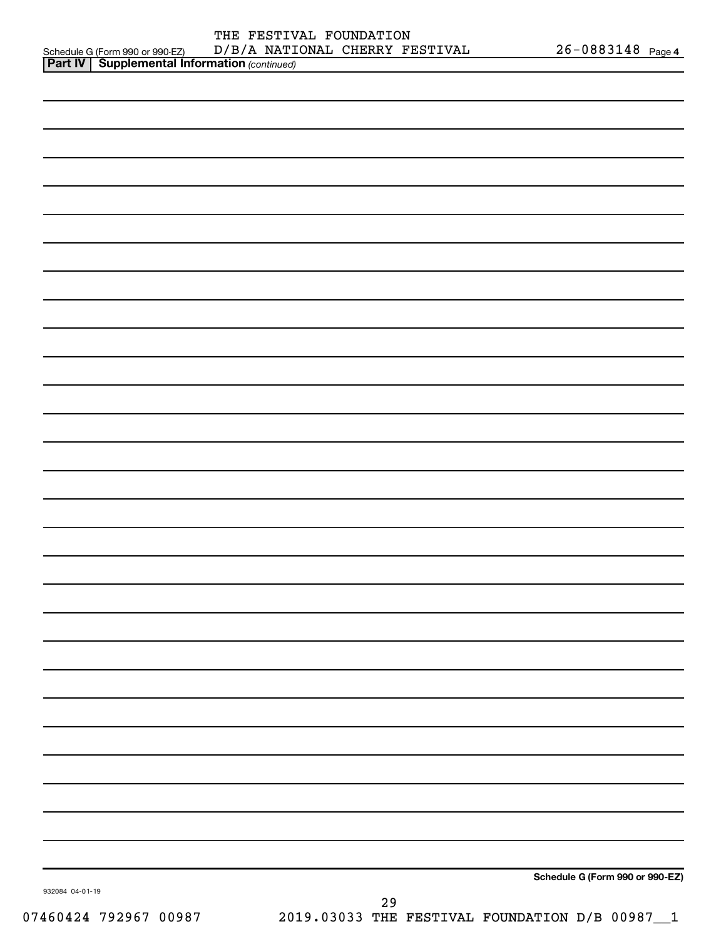|                                 | FOUNDATION<br>FESTIVAL<br>THE           |                      |
|---------------------------------|-----------------------------------------|----------------------|
| Schedule G (Form 990 or 990-EZ) | NATIONAL<br>CHERRY<br>FESTIVAL<br>D/B/A | 26-0883148<br>Page 4 |
| .                               |                                         |                      |

| <b>Part IV   Supplemental Information (continued)</b> |                                 |
|-------------------------------------------------------|---------------------------------|
|                                                       |                                 |
|                                                       |                                 |
|                                                       |                                 |
|                                                       |                                 |
|                                                       |                                 |
|                                                       |                                 |
|                                                       |                                 |
|                                                       |                                 |
|                                                       |                                 |
|                                                       |                                 |
|                                                       |                                 |
|                                                       |                                 |
|                                                       |                                 |
|                                                       |                                 |
|                                                       |                                 |
|                                                       |                                 |
|                                                       |                                 |
|                                                       |                                 |
|                                                       |                                 |
|                                                       |                                 |
|                                                       |                                 |
|                                                       |                                 |
|                                                       |                                 |
|                                                       |                                 |
|                                                       |                                 |
|                                                       |                                 |
|                                                       |                                 |
|                                                       |                                 |
| 932084 04-01-19                                       | Schedule G (Form 990 or 990-EZ) |
|                                                       | 29                              |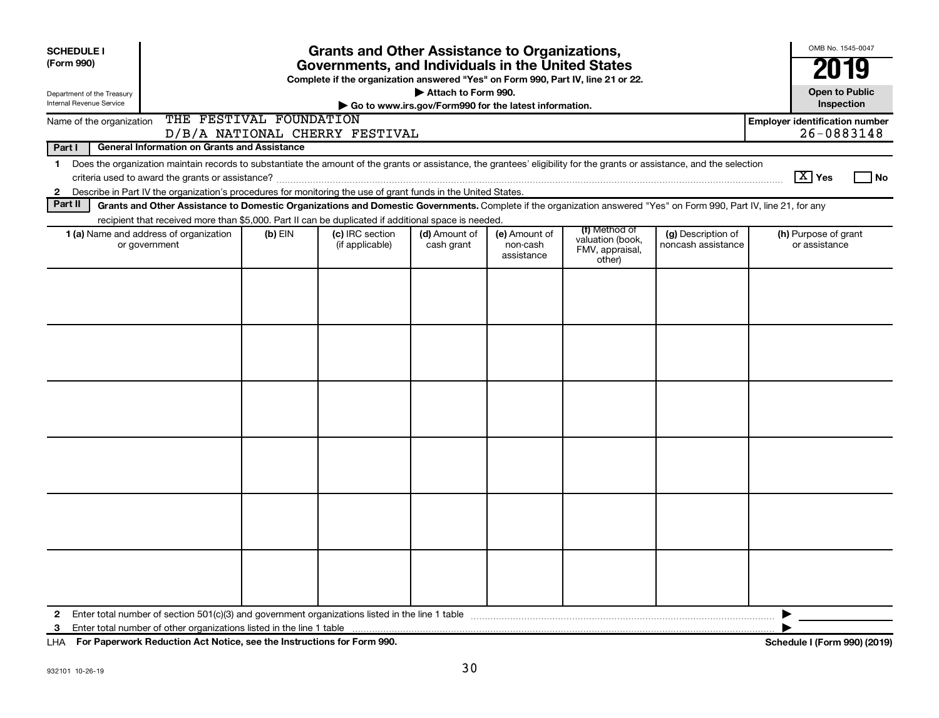| <b>SCHEDULE I</b><br>(Form 990)                                                                                                |                                                                                                                                                                                                                                                                                           |           | <b>Grants and Other Assistance to Organizations,</b><br>Governments, and Individuals in the United States |                                                                              |                                         |                                                                |                                          |                        | OMB No. 1545-0047<br>2019             |  |
|--------------------------------------------------------------------------------------------------------------------------------|-------------------------------------------------------------------------------------------------------------------------------------------------------------------------------------------------------------------------------------------------------------------------------------------|-----------|-----------------------------------------------------------------------------------------------------------|------------------------------------------------------------------------------|-----------------------------------------|----------------------------------------------------------------|------------------------------------------|------------------------|---------------------------------------|--|
| Department of the Treasury<br><b>Internal Revenue Service</b>                                                                  |                                                                                                                                                                                                                                                                                           |           | Complete if the organization answered "Yes" on Form 990, Part IV, line 21 or 22.                          | Attach to Form 990.<br>Go to www.irs.gov/Form990 for the latest information. |                                         |                                                                |                                          |                        | <b>Open to Public</b><br>Inspection   |  |
| THE FESTIVAL FOUNDATION<br><b>Employer identification number</b><br>Name of the organization<br>D/B/A NATIONAL CHERRY FESTIVAL |                                                                                                                                                                                                                                                                                           |           |                                                                                                           |                                                                              |                                         |                                                                |                                          |                        |                                       |  |
| Part I                                                                                                                         | General Information on Grants and Assistance                                                                                                                                                                                                                                              |           |                                                                                                           |                                                                              |                                         |                                                                |                                          |                        |                                       |  |
| $\mathbf 1$<br>$\mathbf{2}$                                                                                                    | Does the organization maintain records to substantiate the amount of the grants or assistance, the grantees' eligibility for the grants or assistance, and the selection<br>Describe in Part IV the organization's procedures for monitoring the use of grant funds in the United States. |           |                                                                                                           |                                                                              |                                         |                                                                |                                          | $\boxed{\text{X}}$ Yes | $\overline{\phantom{a}}$ No           |  |
| Part II                                                                                                                        | Grants and Other Assistance to Domestic Organizations and Domestic Governments. Complete if the organization answered "Yes" on Form 990, Part IV, line 21, for any                                                                                                                        |           |                                                                                                           |                                                                              |                                         |                                                                |                                          |                        |                                       |  |
|                                                                                                                                | recipient that received more than \$5,000. Part II can be duplicated if additional space is needed.                                                                                                                                                                                       |           |                                                                                                           |                                                                              |                                         |                                                                |                                          |                        |                                       |  |
|                                                                                                                                | 1 (a) Name and address of organization<br>or government                                                                                                                                                                                                                                   | $(b)$ EIN | (c) IRC section<br>(if applicable)                                                                        | (d) Amount of<br>cash grant                                                  | (e) Amount of<br>non-cash<br>assistance | (f) Method of<br>valuation (book,<br>FMV, appraisal,<br>other) | (g) Description of<br>noncash assistance |                        | (h) Purpose of grant<br>or assistance |  |
|                                                                                                                                |                                                                                                                                                                                                                                                                                           |           |                                                                                                           |                                                                              |                                         |                                                                |                                          |                        |                                       |  |
|                                                                                                                                |                                                                                                                                                                                                                                                                                           |           |                                                                                                           |                                                                              |                                         |                                                                |                                          |                        |                                       |  |
|                                                                                                                                |                                                                                                                                                                                                                                                                                           |           |                                                                                                           |                                                                              |                                         |                                                                |                                          |                        |                                       |  |
|                                                                                                                                |                                                                                                                                                                                                                                                                                           |           |                                                                                                           |                                                                              |                                         |                                                                |                                          |                        |                                       |  |
|                                                                                                                                |                                                                                                                                                                                                                                                                                           |           |                                                                                                           |                                                                              |                                         |                                                                |                                          |                        |                                       |  |
|                                                                                                                                |                                                                                                                                                                                                                                                                                           |           |                                                                                                           |                                                                              |                                         |                                                                |                                          |                        |                                       |  |
| $\mathbf{2}$                                                                                                                   | 3 Enter total number of other organizations listed in the line 1 table                                                                                                                                                                                                                    |           |                                                                                                           |                                                                              |                                         |                                                                |                                          |                        |                                       |  |
|                                                                                                                                |                                                                                                                                                                                                                                                                                           |           |                                                                                                           |                                                                              |                                         |                                                                |                                          |                        |                                       |  |

**For Paperwork Reduction Act Notice, see the Instructions for Form 990. Schedule I (Form 990) (2019)** LHA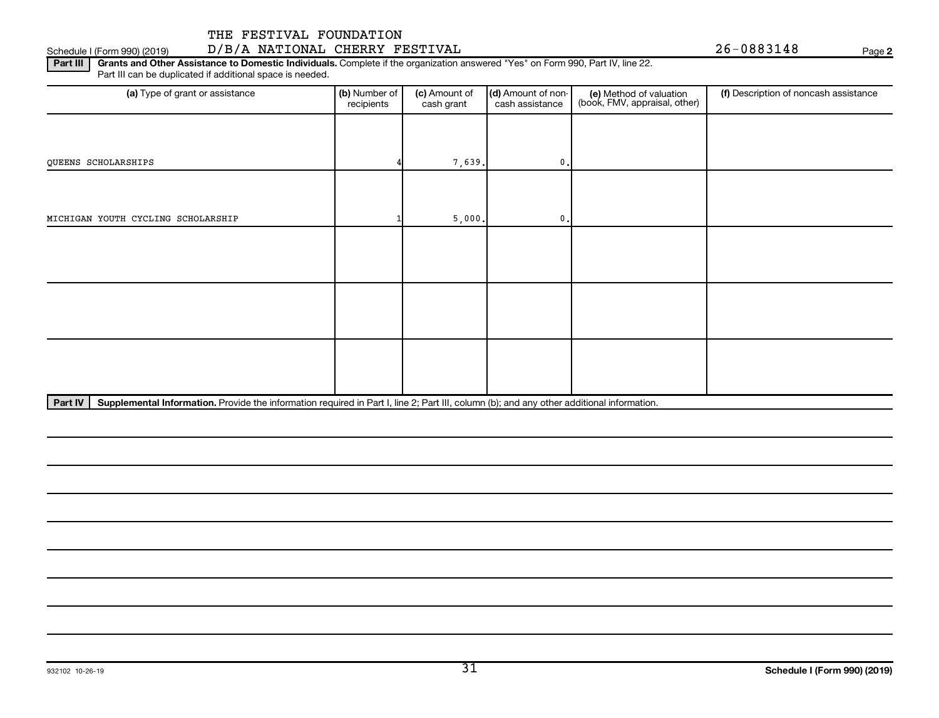## Schedule I (Form 990) (2019) D/B/A NATIONAL CHERRY FESTIVAL Page

**2**

Part III | Grants and Other Assistance to Domestic Individuals. Complete if the organization answered "Yes" on Form 990, Part IV, line 22. Part III can be duplicated if additional space is needed.

| (a) Type of grant or assistance    | (b) Number of<br>recipients | (c) Amount of<br>cash grant | (d) Amount of non-<br>cash assistance | (e) Method of valuation<br>(book, FMV, appraisal, other) | (f) Description of noncash assistance |
|------------------------------------|-----------------------------|-----------------------------|---------------------------------------|----------------------------------------------------------|---------------------------------------|
|                                    |                             |                             |                                       |                                                          |                                       |
| QUEENS SCHOLARSHIPS                |                             | 7,639.                      | 0.                                    |                                                          |                                       |
|                                    |                             |                             |                                       |                                                          |                                       |
| MICHIGAN YOUTH CYCLING SCHOLARSHIP |                             | 5,000.                      | 0.                                    |                                                          |                                       |
|                                    |                             |                             |                                       |                                                          |                                       |
|                                    |                             |                             |                                       |                                                          |                                       |
|                                    |                             |                             |                                       |                                                          |                                       |
|                                    |                             |                             |                                       |                                                          |                                       |
|                                    |                             |                             |                                       |                                                          |                                       |
|                                    |                             |                             |                                       |                                                          |                                       |

Part IV | Supplemental Information. Provide the information required in Part I, line 2; Part III, column (b); and any other additional information.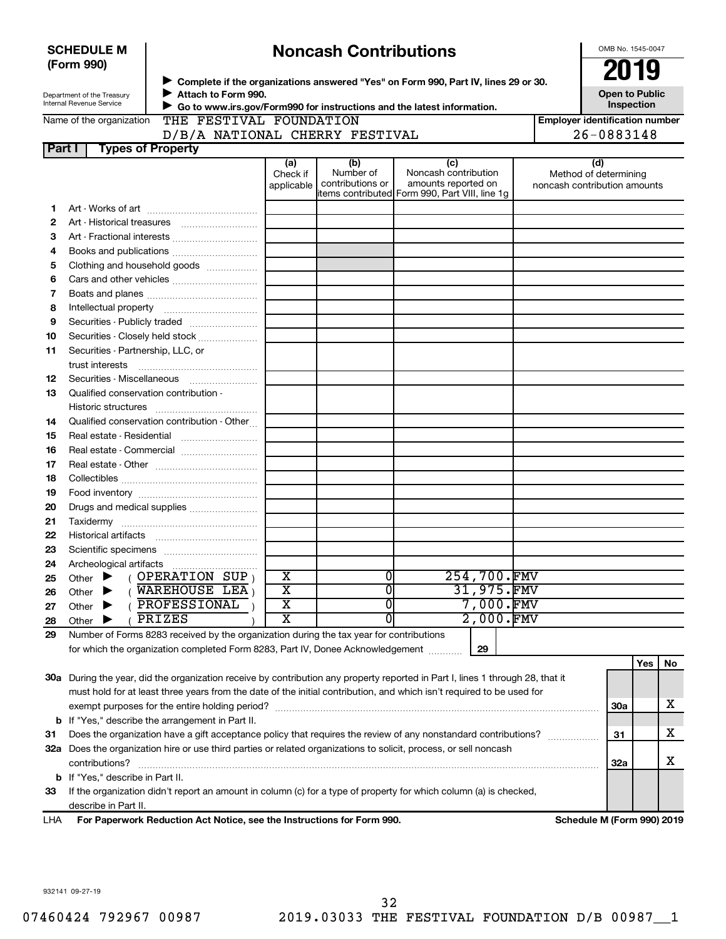|        | <b>SCHEDULE M</b>                                                                                                                                                      |                          |                                |                         |  |                               | <b>Noncash Contributions</b>                                                                   |                        |  |  |  |                                                       | OMB No. 1545-0047                   |    |
|--------|------------------------------------------------------------------------------------------------------------------------------------------------------------------------|--------------------------|--------------------------------|-------------------------|--|-------------------------------|------------------------------------------------------------------------------------------------|------------------------|--|--|--|-------------------------------------------------------|-------------------------------------|----|
|        | (Form 990)                                                                                                                                                             |                          |                                |                         |  |                               | ▶ Complete if the organizations answered "Yes" on Form 990, Part IV, lines 29 or 30.           |                        |  |  |  |                                                       | 2019                                |    |
|        | Department of the Treasury<br><b>Internal Revenue Service</b>                                                                                                          |                          | Attach to Form 990.            |                         |  |                               |                                                                                                |                        |  |  |  |                                                       | <b>Open to Public</b><br>Inspection |    |
|        | Go to www.irs.gov/Form990 for instructions and the latest information.<br>THE FESTIVAL FOUNDATION<br><b>Employer identification number</b><br>Name of the organization |                          |                                |                         |  |                               |                                                                                                |                        |  |  |  |                                                       |                                     |    |
|        |                                                                                                                                                                        |                          | D/B/A NATIONAL CHERRY FESTIVAL |                         |  |                               |                                                                                                |                        |  |  |  | 26-0883148                                            |                                     |    |
| Part I |                                                                                                                                                                        | <b>Types of Property</b> |                                |                         |  |                               |                                                                                                |                        |  |  |  |                                                       |                                     |    |
|        |                                                                                                                                                                        |                          |                                | (a)                     |  | (b)                           |                                                                                                | (c)                    |  |  |  | (d)                                                   |                                     |    |
|        |                                                                                                                                                                        |                          |                                | Check if<br>applicable  |  | Number of<br>contributions or | Noncash contribution<br>amounts reported on<br>litems contributed Form 990, Part VIII, line 1g |                        |  |  |  | Method of determining<br>noncash contribution amounts |                                     |    |
| 1      |                                                                                                                                                                        |                          |                                |                         |  |                               |                                                                                                |                        |  |  |  |                                                       |                                     |    |
| 2      |                                                                                                                                                                        |                          |                                |                         |  |                               |                                                                                                |                        |  |  |  |                                                       |                                     |    |
| з      |                                                                                                                                                                        |                          |                                |                         |  |                               |                                                                                                |                        |  |  |  |                                                       |                                     |    |
| 4      |                                                                                                                                                                        |                          |                                |                         |  |                               |                                                                                                |                        |  |  |  |                                                       |                                     |    |
| 5      | Clothing and household goods                                                                                                                                           |                          |                                |                         |  |                               |                                                                                                |                        |  |  |  |                                                       |                                     |    |
| 6      |                                                                                                                                                                        |                          |                                |                         |  |                               |                                                                                                |                        |  |  |  |                                                       |                                     |    |
| 7      |                                                                                                                                                                        |                          |                                |                         |  |                               |                                                                                                |                        |  |  |  |                                                       |                                     |    |
| 8      |                                                                                                                                                                        |                          |                                |                         |  |                               |                                                                                                |                        |  |  |  |                                                       |                                     |    |
| 9      |                                                                                                                                                                        |                          |                                |                         |  |                               |                                                                                                |                        |  |  |  |                                                       |                                     |    |
| 10     | Securities - Closely held stock                                                                                                                                        |                          |                                |                         |  |                               |                                                                                                |                        |  |  |  |                                                       |                                     |    |
| 11     | Securities - Partnership, LLC, or<br>trust interests                                                                                                                   |                          |                                |                         |  |                               |                                                                                                |                        |  |  |  |                                                       |                                     |    |
| 12     | Securities - Miscellaneous                                                                                                                                             |                          |                                |                         |  |                               |                                                                                                |                        |  |  |  |                                                       |                                     |    |
| 13     | Qualified conservation contribution -                                                                                                                                  |                          |                                |                         |  |                               |                                                                                                |                        |  |  |  |                                                       |                                     |    |
|        |                                                                                                                                                                        |                          |                                |                         |  |                               |                                                                                                |                        |  |  |  |                                                       |                                     |    |
| 14     | Qualified conservation contribution - Other                                                                                                                            |                          |                                |                         |  |                               |                                                                                                |                        |  |  |  |                                                       |                                     |    |
| 15     | Real estate - Residential                                                                                                                                              |                          |                                |                         |  |                               |                                                                                                |                        |  |  |  |                                                       |                                     |    |
| 16     | Real estate - Commercial                                                                                                                                               |                          |                                |                         |  |                               |                                                                                                |                        |  |  |  |                                                       |                                     |    |
| 17     |                                                                                                                                                                        |                          |                                |                         |  |                               |                                                                                                |                        |  |  |  |                                                       |                                     |    |
| 18     |                                                                                                                                                                        |                          |                                |                         |  |                               |                                                                                                |                        |  |  |  |                                                       |                                     |    |
| 19     |                                                                                                                                                                        |                          |                                |                         |  |                               |                                                                                                |                        |  |  |  |                                                       |                                     |    |
| 20     |                                                                                                                                                                        |                          |                                |                         |  |                               |                                                                                                |                        |  |  |  |                                                       |                                     |    |
| 21     |                                                                                                                                                                        |                          |                                |                         |  |                               |                                                                                                |                        |  |  |  |                                                       |                                     |    |
| 22     |                                                                                                                                                                        |                          |                                |                         |  |                               |                                                                                                |                        |  |  |  |                                                       |                                     |    |
| 23     |                                                                                                                                                                        |                          |                                |                         |  |                               |                                                                                                |                        |  |  |  |                                                       |                                     |    |
| 24     | Archeological artifacts                                                                                                                                                |                          |                                |                         |  |                               |                                                                                                |                        |  |  |  |                                                       |                                     |    |
| 25     | Other $\blacktriangleright$                                                                                                                                            | OPERATION SUP,           |                                | $\overline{\mathbf{X}}$ |  | $\overline{0}$                |                                                                                                | 254,700.FMV            |  |  |  |                                                       |                                     |    |
| 26     | Other                                                                                                                                                                  | WAREHOUSE LEA,           |                                | $\overline{\mathbf{x}}$ |  | 0                             |                                                                                                | 31,975.FMV             |  |  |  |                                                       |                                     |    |
| 27     | Other                                                                                                                                                                  | PROFESSIONAL             |                                | $\overline{\mathbf{X}}$ |  | $\overline{0}$                |                                                                                                | 7,000.FMV<br>2,000.FMV |  |  |  |                                                       |                                     |    |
| 28     | Other                                                                                                                                                                  | PRIZES                   |                                | x                       |  | 0                             |                                                                                                |                        |  |  |  |                                                       |                                     |    |
| 29     | Number of Forms 8283 received by the organization during the tax year for contributions                                                                                |                          |                                |                         |  |                               |                                                                                                |                        |  |  |  |                                                       |                                     |    |
|        | for which the organization completed Form 8283, Part IV, Donee Acknowledgement                                                                                         |                          |                                |                         |  |                               |                                                                                                | 29                     |  |  |  |                                                       |                                     |    |
|        |                                                                                                                                                                        |                          |                                |                         |  |                               |                                                                                                |                        |  |  |  |                                                       | Yes                                 | No |
|        | 30a During the year, did the organization receive by contribution any property reported in Part I, lines 1 through 28, that it                                         |                          |                                |                         |  |                               |                                                                                                |                        |  |  |  |                                                       |                                     |    |
|        | must hold for at least three years from the date of the initial contribution, and which isn't required to be used for                                                  |                          |                                |                         |  |                               |                                                                                                |                        |  |  |  |                                                       |                                     | x  |
|        | <b>b</b> If "Yes," describe the arrangement in Part II.                                                                                                                |                          |                                |                         |  |                               |                                                                                                |                        |  |  |  | <b>30a</b>                                            |                                     |    |
| 31     | Does the organization have a gift acceptance policy that requires the review of any nonstandard contributions?                                                         |                          |                                |                         |  |                               |                                                                                                |                        |  |  |  | 31                                                    |                                     | х  |
|        | 32a Does the organization hire or use third parties or related organizations to solicit, process, or sell noncash                                                      |                          |                                |                         |  |                               |                                                                                                |                        |  |  |  |                                                       |                                     |    |
|        | contributions?                                                                                                                                                         |                          |                                |                         |  |                               |                                                                                                |                        |  |  |  | <b>32a</b>                                            |                                     | x  |
|        | <b>b</b> If "Yes," describe in Part II.                                                                                                                                |                          |                                |                         |  |                               |                                                                                                |                        |  |  |  |                                                       |                                     |    |
| 33     | If the organization didn't report an amount in column (c) for a type of property for which column (a) is checked,                                                      |                          |                                |                         |  |                               |                                                                                                |                        |  |  |  |                                                       |                                     |    |
|        | describe in Part II.                                                                                                                                                   |                          |                                |                         |  |                               |                                                                                                |                        |  |  |  |                                                       |                                     |    |
| LHA    | For Paperwork Reduction Act Notice, see the Instructions for Form 990.                                                                                                 |                          |                                |                         |  |                               |                                                                                                |                        |  |  |  | Schedule M (Form 990) 2019                            |                                     |    |
|        |                                                                                                                                                                        |                          |                                |                         |  |                               |                                                                                                |                        |  |  |  |                                                       |                                     |    |

932141 09-27-19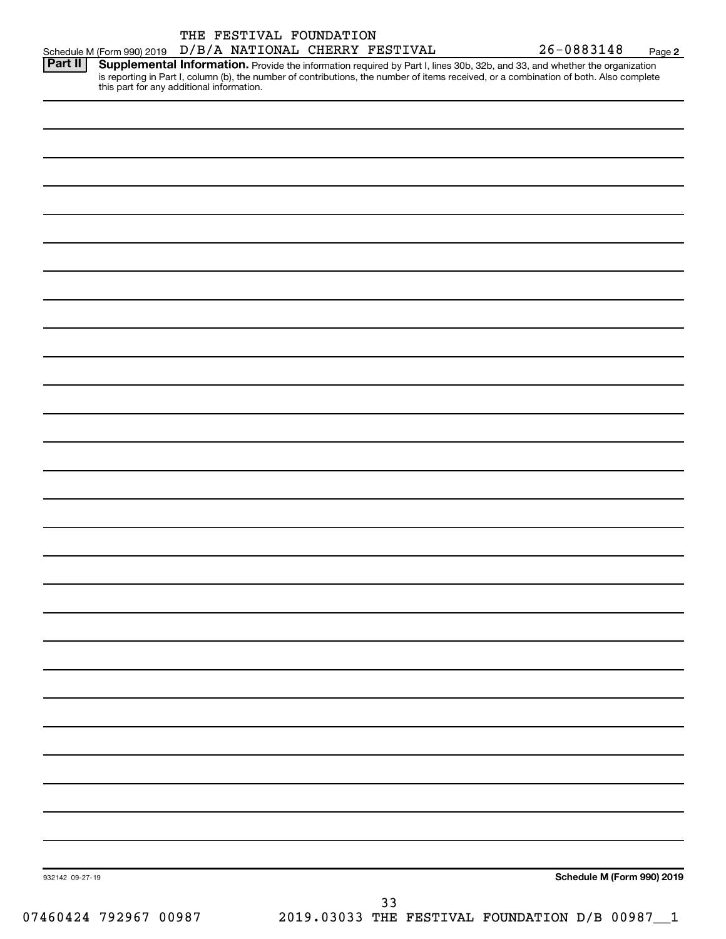|                 |                                                                                                                                                                                          | THE FESTIVAL FOUNDATION |  |    |                                                | 26-0883148 |                            |
|-----------------|------------------------------------------------------------------------------------------------------------------------------------------------------------------------------------------|-------------------------|--|----|------------------------------------------------|------------|----------------------------|
| Part II         | Schedule M (Form 990) 2019  D/B/A NATIONAL CHERRY FESTIVAL<br>Supplemental Information. Provide the information required by Part I, lines 30b, 32b, and 33, and whether the organization |                         |  |    |                                                |            | Page 2                     |
|                 | is reporting in Part I, column (b), the number of contributions, the number of items received, or a combination of both. Also complete this part for any additional information.         |                         |  |    |                                                |            |                            |
|                 |                                                                                                                                                                                          |                         |  |    |                                                |            |                            |
|                 |                                                                                                                                                                                          |                         |  |    |                                                |            |                            |
|                 |                                                                                                                                                                                          |                         |  |    |                                                |            |                            |
|                 |                                                                                                                                                                                          |                         |  |    |                                                |            |                            |
|                 |                                                                                                                                                                                          |                         |  |    |                                                |            |                            |
|                 |                                                                                                                                                                                          |                         |  |    |                                                |            |                            |
|                 |                                                                                                                                                                                          |                         |  |    |                                                |            |                            |
|                 |                                                                                                                                                                                          |                         |  |    |                                                |            |                            |
|                 |                                                                                                                                                                                          |                         |  |    |                                                |            |                            |
|                 |                                                                                                                                                                                          |                         |  |    |                                                |            |                            |
|                 |                                                                                                                                                                                          |                         |  |    |                                                |            |                            |
|                 |                                                                                                                                                                                          |                         |  |    |                                                |            |                            |
|                 |                                                                                                                                                                                          |                         |  |    |                                                |            |                            |
|                 |                                                                                                                                                                                          |                         |  |    |                                                |            |                            |
|                 |                                                                                                                                                                                          |                         |  |    |                                                |            |                            |
|                 |                                                                                                                                                                                          |                         |  |    |                                                |            |                            |
|                 |                                                                                                                                                                                          |                         |  |    |                                                |            |                            |
|                 |                                                                                                                                                                                          |                         |  |    |                                                |            |                            |
|                 |                                                                                                                                                                                          |                         |  |    |                                                |            |                            |
|                 |                                                                                                                                                                                          |                         |  |    |                                                |            |                            |
|                 |                                                                                                                                                                                          |                         |  |    |                                                |            |                            |
|                 |                                                                                                                                                                                          |                         |  |    |                                                |            |                            |
|                 |                                                                                                                                                                                          |                         |  |    |                                                |            |                            |
|                 |                                                                                                                                                                                          |                         |  |    |                                                |            |                            |
|                 |                                                                                                                                                                                          |                         |  |    |                                                |            |                            |
|                 |                                                                                                                                                                                          |                         |  |    |                                                |            |                            |
|                 |                                                                                                                                                                                          |                         |  |    |                                                |            |                            |
|                 |                                                                                                                                                                                          |                         |  |    |                                                |            |                            |
|                 |                                                                                                                                                                                          |                         |  |    |                                                |            |                            |
|                 |                                                                                                                                                                                          |                         |  |    |                                                |            |                            |
| 932142 09-27-19 |                                                                                                                                                                                          |                         |  |    |                                                |            | Schedule M (Form 990) 2019 |
|                 |                                                                                                                                                                                          |                         |  | 33 |                                                |            |                            |
|                 | 07460424 792967 00987                                                                                                                                                                    |                         |  |    | 2019.03033 THE FESTIVAL FOUNDATION D/B 00987_1 |            |                            |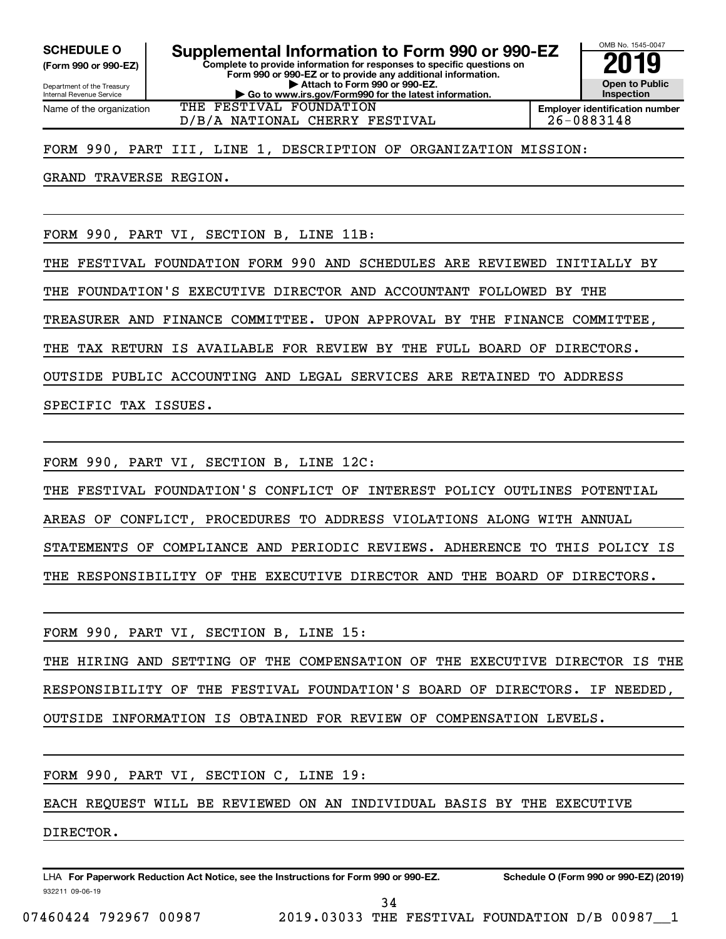**(Form 990 or 990-EZ)**

**Complete to provide information for responses to specific questions on Form 990 or 990-EZ or to provide any additional information. | Attach to Form 990 or 990-EZ. | Go to www.irs.gov/Form990 for the latest information. SCHEDULE O Supplemental Information to Form 990 or 990-EZ 2019** 

Department of the Treasury Internal Revenue Service Name of the organization

D/B/A NATIONAL CHERRY FESTIVAL 26-0883148

**Employer identification number**

OMB No. 1545-0047

**Open to Public Inspection**

FORM 990, PART III, LINE 1, DESCRIPTION OF ORGANIZATION MISSION:

THE FESTIVAL FOUNDATION

GRAND TRAVERSE REGION.

FORM 990, PART VI, SECTION B, LINE 11B:

THE FESTIVAL FOUNDATION FORM 990 AND SCHEDULES ARE REVIEWED INITIALLY BY

THE FOUNDATION'S EXECUTIVE DIRECTOR AND ACCOUNTANT FOLLOWED BY THE

TREASURER AND FINANCE COMMITTEE. UPON APPROVAL BY THE FINANCE COMMITTEE,

THE TAX RETURN IS AVAILABLE FOR REVIEW BY THE FULL BOARD OF DIRECTORS.

OUTSIDE PUBLIC ACCOUNTING AND LEGAL SERVICES ARE RETAINED TO ADDRESS

SPECIFIC TAX ISSUES.

FORM 990, PART VI, SECTION B, LINE 12C:

THE FESTIVAL FOUNDATION'S CONFLICT OF INTEREST POLICY OUTLINES POTENTIAL

AREAS OF CONFLICT, PROCEDURES TO ADDRESS VIOLATIONS ALONG WITH ANNUAL

STATEMENTS OF COMPLIANCE AND PERIODIC REVIEWS. ADHERENCE TO THIS POLICY IS

THE RESPONSIBILITY OF THE EXECUTIVE DIRECTOR AND THE BOARD OF DIRECTORS.

FORM 990, PART VI, SECTION B, LINE 15:

THE HIRING AND SETTING OF THE COMPENSATION OF THE EXECUTIVE DIRECTOR IS THE RESPONSIBILITY OF THE FESTIVAL FOUNDATION'S BOARD OF DIRECTORS. IF NEEDED, OUTSIDE INFORMATION IS OBTAINED FOR REVIEW OF COMPENSATION LEVELS.

FORM 990, PART VI, SECTION C, LINE 19:

EACH REQUEST WILL BE REVIEWED ON AN INDIVIDUAL BASIS BY THE EXECUTIVE

DIRECTOR.

932211 09-06-19 LHA For Paperwork Reduction Act Notice, see the Instructions for Form 990 or 990-EZ. Schedule O (Form 990 or 990-EZ) (2019)

34

07460424 792967 00987 2019.03033 THE FESTIVAL FOUNDATION D/B 00987\_\_1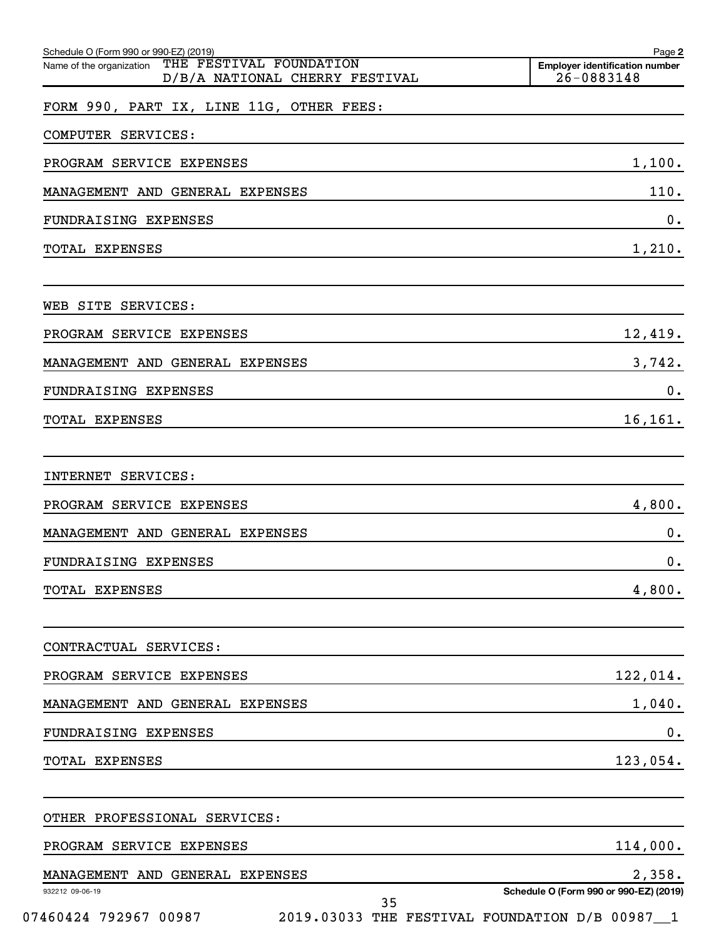|                                 |                         |                                                                             |                                | Page 2                                              |
|---------------------------------|-------------------------|-----------------------------------------------------------------------------|--------------------------------|-----------------------------------------------------|
|                                 |                         |                                                                             |                                | <b>Employer identification number</b><br>26-0883148 |
|                                 |                         |                                                                             |                                |                                                     |
|                                 |                         |                                                                             |                                |                                                     |
|                                 |                         |                                                                             |                                | 1,100.                                              |
| MANAGEMENT AND GENERAL EXPENSES |                         |                                                                             |                                | 110.                                                |
|                                 |                         |                                                                             |                                | 0.                                                  |
|                                 |                         |                                                                             |                                | 1,210.                                              |
|                                 |                         |                                                                             |                                |                                                     |
|                                 |                         |                                                                             |                                | 12,419.                                             |
| MANAGEMENT AND GENERAL EXPENSES |                         |                                                                             |                                | 3,742.                                              |
|                                 |                         |                                                                             |                                | 0.                                                  |
|                                 |                         |                                                                             |                                | 16,161.                                             |
|                                 |                         |                                                                             |                                |                                                     |
|                                 |                         |                                                                             |                                | 4,800.                                              |
| MANAGEMENT AND GENERAL EXPENSES |                         |                                                                             |                                | 0.                                                  |
|                                 |                         |                                                                             |                                | 0.                                                  |
|                                 |                         |                                                                             |                                | 4,800.                                              |
|                                 |                         |                                                                             |                                |                                                     |
|                                 |                         |                                                                             |                                | 122,014.                                            |
| MANAGEMENT AND GENERAL EXPENSES |                         |                                                                             |                                | 1,040.                                              |
|                                 |                         |                                                                             |                                | 0.                                                  |
|                                 |                         |                                                                             |                                | 123,054.                                            |
|                                 |                         |                                                                             |                                |                                                     |
|                                 |                         |                                                                             |                                | 114,000.                                            |
|                                 |                         |                                                                             |                                | 2,358.                                              |
|                                 |                         |                                                                             |                                | Schedule O (Form 990 or 990-EZ) (2019)              |
|                                 | THE FESTIVAL FOUNDATION | FORM 990, PART IX, LINE 11G, OTHER FEES:<br>MANAGEMENT AND GENERAL EXPENSES | D/B/A NATIONAL CHERRY FESTIVAL |                                                     |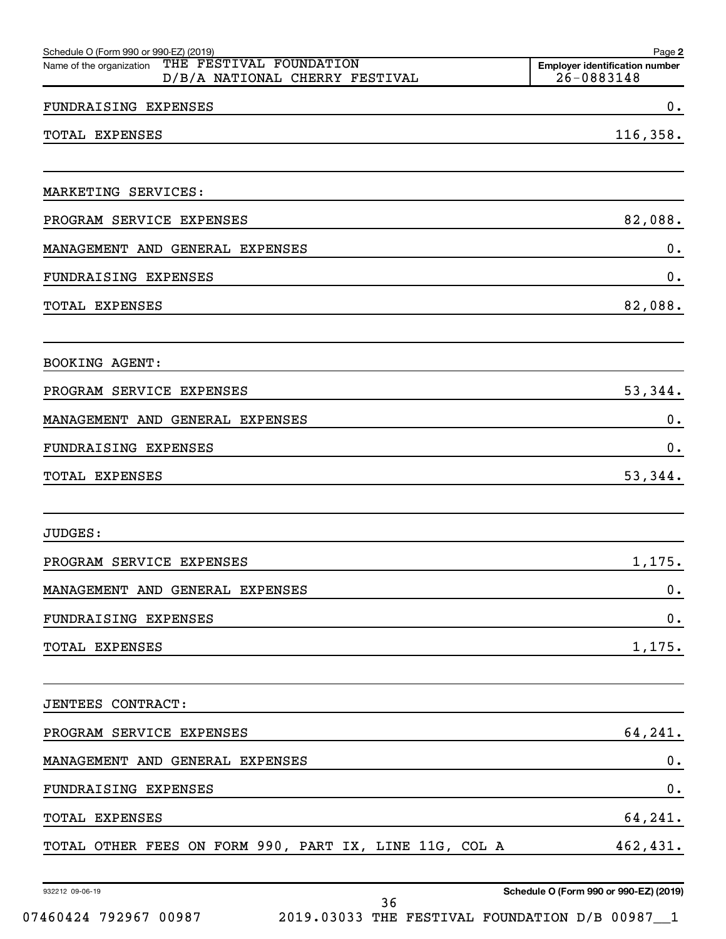| Schedule O (Form 990 or 990-EZ) (2019)                                                | Page 2                                              |
|---------------------------------------------------------------------------------------|-----------------------------------------------------|
| THE FESTIVAL FOUNDATION<br>Name of the organization<br>D/B/A NATIONAL CHERRY FESTIVAL | <b>Employer identification number</b><br>26-0883148 |
| FUNDRAISING EXPENSES                                                                  | 0.                                                  |
| TOTAL EXPENSES                                                                        | 116,358.                                            |
|                                                                                       |                                                     |
| MARKETING SERVICES:                                                                   |                                                     |
| PROGRAM SERVICE EXPENSES                                                              | 82,088.                                             |
| MANAGEMENT AND GENERAL EXPENSES                                                       | 0.                                                  |
| FUNDRAISING EXPENSES                                                                  | 0.                                                  |
| TOTAL EXPENSES                                                                        | 82,088.                                             |
|                                                                                       |                                                     |
| BOOKING AGENT:                                                                        |                                                     |
| PROGRAM SERVICE EXPENSES                                                              | 53,344.                                             |
| MANAGEMENT AND GENERAL EXPENSES                                                       | 0.                                                  |
| FUNDRAISING EXPENSES                                                                  | 0.                                                  |
| TOTAL EXPENSES                                                                        | 53,344.                                             |
|                                                                                       |                                                     |
| JUDGES:                                                                               |                                                     |
| PROGRAM SERVICE EXPENSES                                                              | 1,175.                                              |
| MANAGEMENT AND GENERAL EXPENSES                                                       | 0.                                                  |
| FUNDRAISING EXPENSES                                                                  | $\mathbf 0$ .                                       |
| TOTAL EXPENSES                                                                        | 1,175.                                              |
|                                                                                       |                                                     |
| JENTEES CONTRACT:                                                                     |                                                     |
| PROGRAM SERVICE EXPENSES                                                              | 64,241.                                             |
| MANAGEMENT AND GENERAL EXPENSES                                                       | 0.                                                  |
| FUNDRAISING EXPENSES                                                                  | $\mathbf 0$ .                                       |
| TOTAL EXPENSES                                                                        | 64,241.                                             |
| TOTAL OTHER FEES ON FORM 990, PART IX, LINE 11G, COL A                                | 462,431.                                            |
|                                                                                       |                                                     |

932212 09-06-19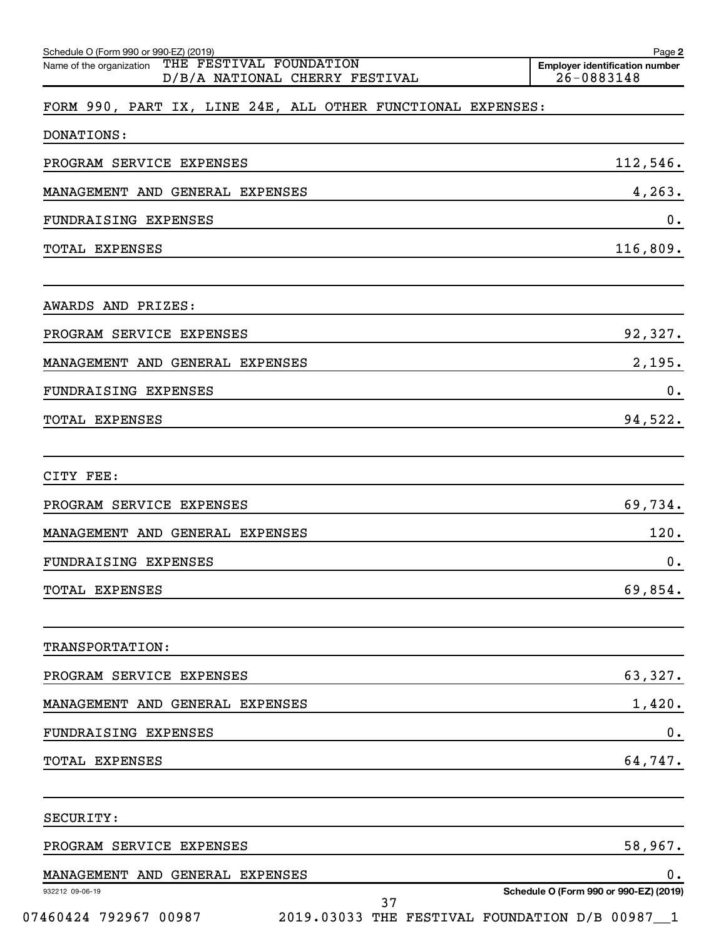| Schedule O (Form 990 or 990-EZ) (2019)<br>THE FESTIVAL FOUNDATION<br>Name of the organization | Page 2<br><b>Emplover identification number</b> |
|-----------------------------------------------------------------------------------------------|-------------------------------------------------|
| D/B/A NATIONAL CHERRY FESTIVAL                                                                | 26-0883148                                      |
| FORM 990, PART IX, LINE 24E, ALL OTHER FUNCTIONAL EXPENSES:                                   |                                                 |
| <b>DONATIONS:</b>                                                                             |                                                 |
| PROGRAM SERVICE EXPENSES                                                                      | 112,546.                                        |
| MANAGEMENT AND GENERAL EXPENSES                                                               | 4, 263.                                         |
| FUNDRAISING EXPENSES                                                                          | 0.                                              |
| TOTAL EXPENSES                                                                                | 116,809.                                        |
| AWARDS AND PRIZES:                                                                            |                                                 |
| PROGRAM SERVICE EXPENSES                                                                      | 92,327.                                         |
| MANAGEMENT AND GENERAL EXPENSES                                                               | 2,195.                                          |
| FUNDRAISING EXPENSES                                                                          | 0.                                              |
| TOTAL EXPENSES                                                                                | 94,522.                                         |
| CITY FEE:                                                                                     |                                                 |
| PROGRAM SERVICE EXPENSES                                                                      | 69,734.                                         |
| MANAGEMENT AND GENERAL EXPENSES                                                               | 120.                                            |
| FUNDRAISING EXPENSES                                                                          | 0.                                              |
| TOTAL EXPENSES                                                                                | 69,854.                                         |
| TRANSPORTATION:                                                                               |                                                 |
| PROGRAM SERVICE EXPENSES                                                                      | 63,327.                                         |
| MANAGEMENT AND GENERAL EXPENSES                                                               | 1,420.                                          |
| FUNDRAISING EXPENSES                                                                          | 0.                                              |
| TOTAL EXPENSES                                                                                | 64,747.                                         |
| SECURITY:                                                                                     |                                                 |
| PROGRAM SERVICE EXPENSES                                                                      | 58,967.                                         |
| MANAGEMENT AND GENERAL EXPENSES                                                               | 0.                                              |
| 932212 09-06-19<br>37                                                                         | Schedule O (Form 990 or 990-EZ) (2019)          |
| 07460424 792967 00987<br>2019.03033 THE FESTIVAL FOUNDATION D/B 00987_1                       |                                                 |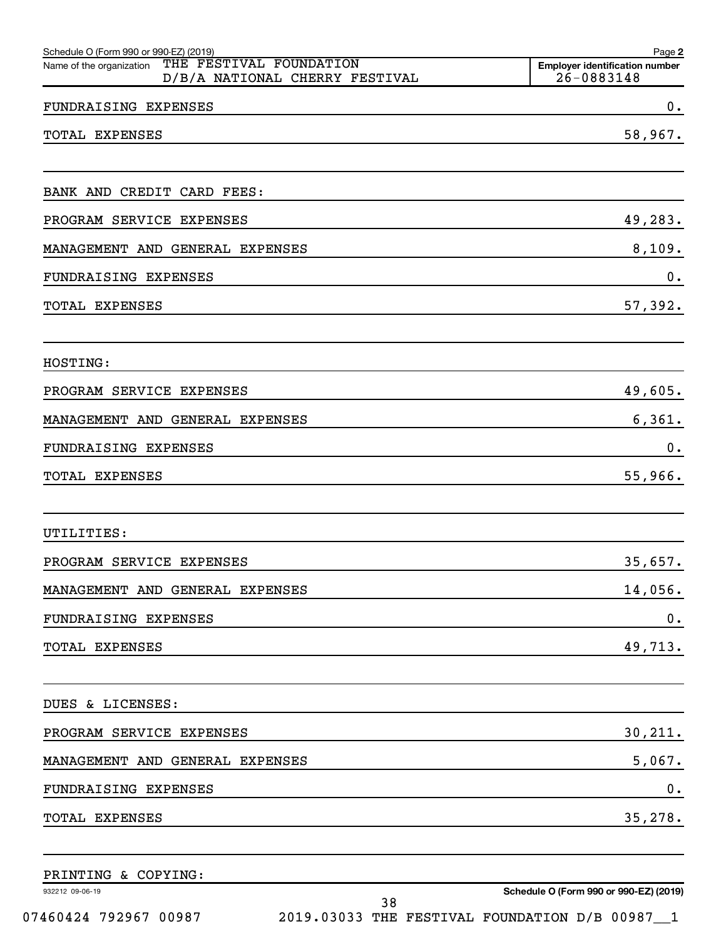| Schedule O (Form 990 or 990-EZ) (2019)                                                | Page 2                                              |
|---------------------------------------------------------------------------------------|-----------------------------------------------------|
| THE FESTIVAL FOUNDATION<br>Name of the organization<br>D/B/A NATIONAL CHERRY FESTIVAL | <b>Employer identification number</b><br>26-0883148 |
| FUNDRAISING EXPENSES                                                                  | 0.                                                  |
| TOTAL EXPENSES                                                                        | 58,967.                                             |
| BANK AND CREDIT CARD FEES:                                                            |                                                     |
| PROGRAM SERVICE EXPENSES                                                              | 49,283.                                             |
| MANAGEMENT AND GENERAL EXPENSES                                                       | 8,109.                                              |
| FUNDRAISING EXPENSES                                                                  | 0.                                                  |
| TOTAL EXPENSES                                                                        | 57,392.                                             |
| HOSTING:                                                                              |                                                     |
| PROGRAM SERVICE EXPENSES                                                              | 49,605.                                             |
| MANAGEMENT AND GENERAL EXPENSES                                                       | 6, 361.                                             |
| FUNDRAISING EXPENSES                                                                  | 0.                                                  |
| TOTAL EXPENSES                                                                        | 55,966.                                             |
| UTILITIES:                                                                            |                                                     |
| PROGRAM SERVICE EXPENSES                                                              | 35,657.                                             |
| MANAGEMENT AND GENERAL EXPENSES                                                       | 14,056.                                             |
| FUNDRAISING EXPENSES                                                                  | $\boldsymbol{0}$ .                                  |
| TOTAL EXPENSES                                                                        | 49,713.                                             |
| DUES & LICENSES:                                                                      |                                                     |
| PROGRAM SERVICE EXPENSES                                                              | 30, 211.                                            |
| MANAGEMENT AND GENERAL EXPENSES                                                       | 5,067.                                              |
| FUNDRAISING EXPENSES                                                                  | $\boldsymbol{0}$ .                                  |
| TOTAL EXPENSES                                                                        | 35,278.                                             |
|                                                                                       |                                                     |

PRINTING & COPYING:

932212 09-06-19

**Schedule O (Form 990 or 990-EZ) (2019)**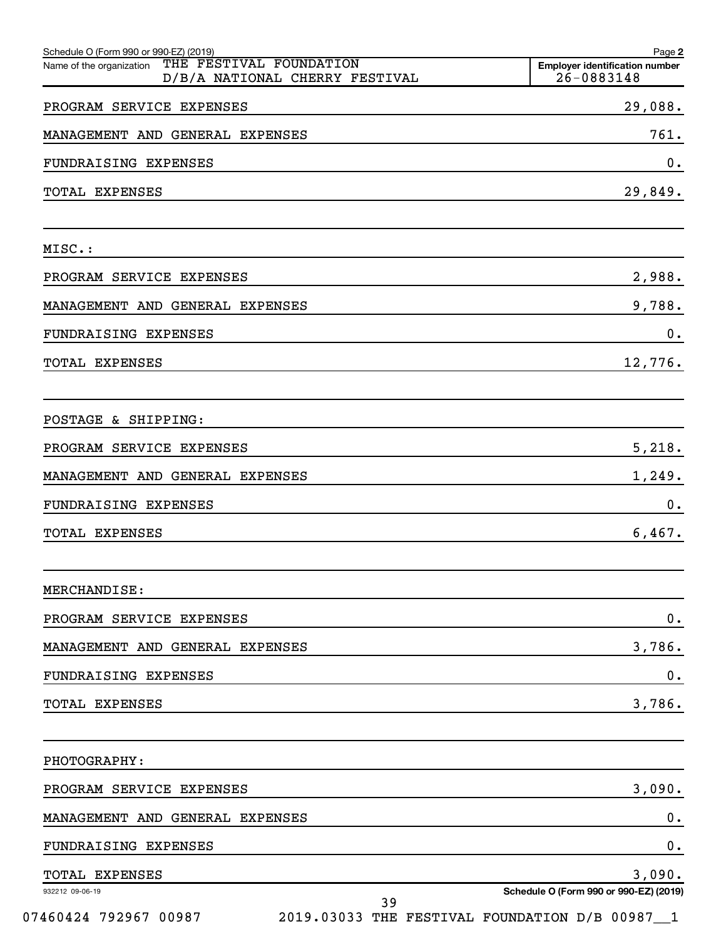| 26-0883148                                     |
|------------------------------------------------|
| 29,088.                                        |
| 761.                                           |
| 0.                                             |
| 29,849.                                        |
|                                                |
| 2,988.                                         |
| 9,788.                                         |
| 0.                                             |
| 12,776.                                        |
|                                                |
| 5,218.                                         |
| 1,249.                                         |
| 0.                                             |
| 6,467.                                         |
|                                                |
| $0$ .                                          |
| 3,786.                                         |
| $\mathbf 0$ .                                  |
| 3,786.                                         |
|                                                |
| 3,090.                                         |
| 0.                                             |
| 0.                                             |
| 3,090.                                         |
| Schedule O (Form 990 or 990-EZ) (2019)         |
| 2019.03033 THE FESTIVAL FOUNDATION D/B 00987 1 |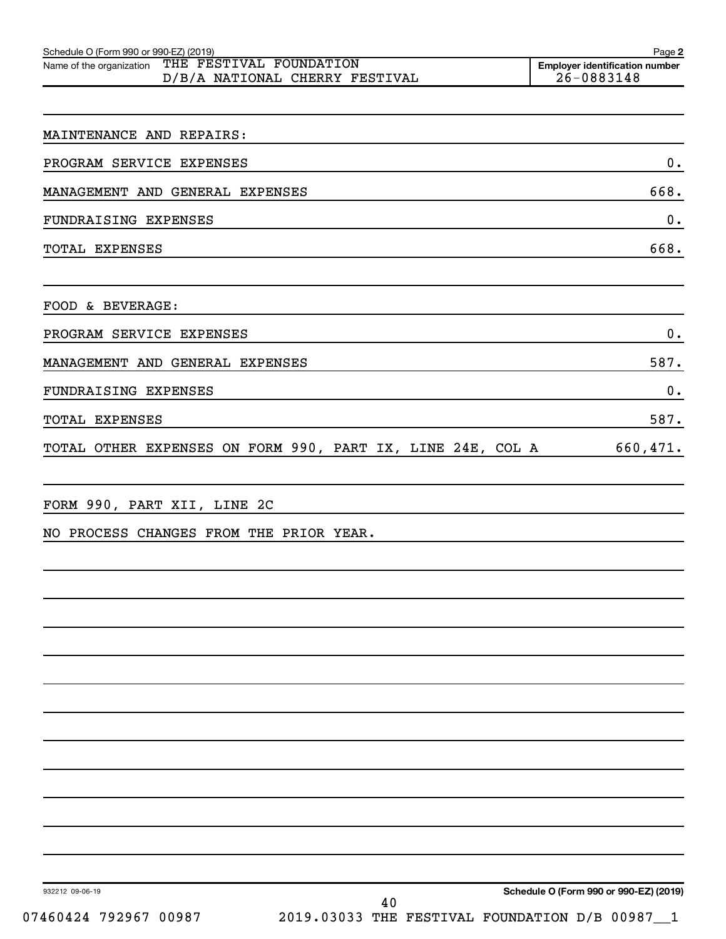| Schedule O (Form 990 or 990-EZ) (2019)                                                | Page 2                                                  |
|---------------------------------------------------------------------------------------|---------------------------------------------------------|
| THE FESTIVAL FOUNDATION<br>Name of the organization<br>D/B/A NATIONAL CHERRY FESTIVAL | <b>Employer identification number</b><br>$26 - 0883148$ |
|                                                                                       |                                                         |
| MAINTENANCE AND REPAIRS:                                                              |                                                         |
| PROGRAM SERVICE EXPENSES                                                              | 0.                                                      |
| MANAGEMENT AND GENERAL EXPENSES                                                       | 668.                                                    |
| FUNDRAISING EXPENSES                                                                  | 0.                                                      |
| TOTAL EXPENSES                                                                        | 668.                                                    |
| FOOD & BEVERAGE:                                                                      |                                                         |
| PROGRAM SERVICE EXPENSES                                                              | 0.                                                      |
| MANAGEMENT AND GENERAL EXPENSES                                                       | 587.                                                    |
| FUNDRAISING EXPENSES                                                                  | $0$ .                                                   |
| <b>TOTAL EXPENSES</b>                                                                 | 587.                                                    |
| TOTAL OTHER EXPENSES ON FORM 990, PART IX, LINE 24E, COL A                            | 660,471.                                                |
| FORM 990, PART XII, LINE 2C                                                           |                                                         |
| NO PROCESS CHANGES FROM THE PRIOR YEAR.                                               |                                                         |
|                                                                                       |                                                         |
|                                                                                       |                                                         |
|                                                                                       |                                                         |
|                                                                                       |                                                         |
|                                                                                       |                                                         |
|                                                                                       |                                                         |
|                                                                                       |                                                         |
|                                                                                       |                                                         |

932212 09-06-19

**Schedule O (Form 990 or 990-EZ) (2019)**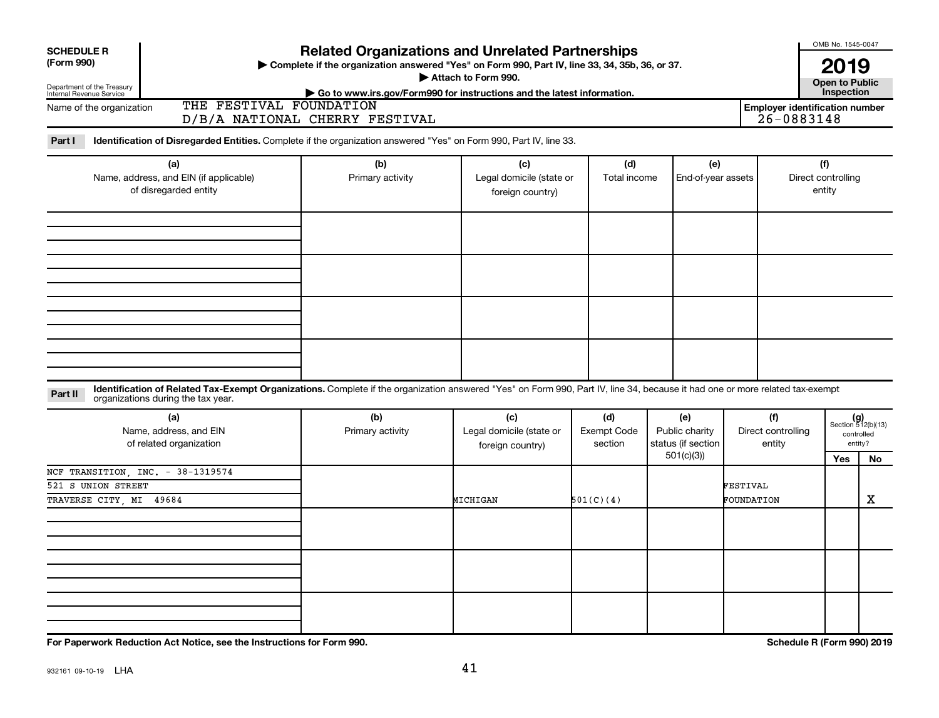| <b>Related Organizations and Unrelated Partnerships</b><br><b>SCHEDULE R</b> |                                                                                                                                                                                                                    |                                                                                                          |                                                     |                                      |                                                          |                                     |                                                     |                                                            |  |
|------------------------------------------------------------------------------|--------------------------------------------------------------------------------------------------------------------------------------------------------------------------------------------------------------------|----------------------------------------------------------------------------------------------------------|-----------------------------------------------------|--------------------------------------|----------------------------------------------------------|-------------------------------------|-----------------------------------------------------|------------------------------------------------------------|--|
| (Form 990)<br>Department of the Treasury<br>Internal Revenue Service         | Complete if the organization answered "Yes" on Form 990, Part IV, line 33, 34, 35b, 36, or 37.                                                                                                                     |                                                                                                          | 2019<br><b>Open to Public</b><br>Inspection         |                                      |                                                          |                                     |                                                     |                                                            |  |
| Name of the organization                                                     | THE FESTIVAL FOUNDATION                                                                                                                                                                                            | Go to www.irs.gov/Form990 for instructions and the latest information.<br>D/B/A NATIONAL CHERRY FESTIVAL |                                                     |                                      |                                                          |                                     | <b>Employer identification number</b><br>26-0883148 |                                                            |  |
| Part I                                                                       | Identification of Disregarded Entities. Complete if the organization answered "Yes" on Form 990, Part IV, line 33.                                                                                                 |                                                                                                          |                                                     |                                      |                                                          |                                     |                                                     |                                                            |  |
| (a)<br>Name, address, and EIN (if applicable)<br>of disregarded entity       |                                                                                                                                                                                                                    | (b)<br>Primary activity                                                                                  | (c)<br>Legal domicile (state or<br>foreign country) | (d)<br>Total income                  | (e)<br>End-of-year assets                                |                                     | (f)<br>Direct controlling<br>entity                 |                                                            |  |
|                                                                              |                                                                                                                                                                                                                    |                                                                                                          |                                                     |                                      |                                                          |                                     |                                                     |                                                            |  |
|                                                                              |                                                                                                                                                                                                                    |                                                                                                          |                                                     |                                      |                                                          |                                     |                                                     |                                                            |  |
| Part II                                                                      | Identification of Related Tax-Exempt Organizations. Complete if the organization answered "Yes" on Form 990, Part IV, line 34, because it had one or more related tax-exempt<br>organizations during the tax year. |                                                                                                          |                                                     |                                      |                                                          |                                     |                                                     |                                                            |  |
|                                                                              | (a)<br>Name, address, and EIN<br>of related organization                                                                                                                                                           | (b)<br>Primary activity                                                                                  | (c)<br>Legal domicile (state or<br>foreign country) | (d)<br><b>Exempt Code</b><br>section | (e)<br>Public charity<br>status (if section<br>501(c)(3) | (f)<br>Direct controlling<br>entity | Yes                                                 | $(g)$<br>Section 512(b)(13)<br>controlled<br>entity?<br>No |  |
| 521 S UNION STREET<br>TRAVERSE CITY, MI 49684                                | NCF TRANSITION, INC. - 38-1319574                                                                                                                                                                                  |                                                                                                          | MICHIGAN                                            | 501(C)(4)                            |                                                          | FESTIVAL<br>FOUNDATION              |                                                     | X                                                          |  |
|                                                                              |                                                                                                                                                                                                                    |                                                                                                          |                                                     |                                      |                                                          |                                     |                                                     |                                                            |  |
|                                                                              |                                                                                                                                                                                                                    |                                                                                                          |                                                     |                                      |                                                          |                                     |                                                     |                                                            |  |
|                                                                              | For Paperwork Reduction Act Notice, see the Instructions for Form 990.                                                                                                                                             |                                                                                                          |                                                     |                                      |                                                          |                                     | <b>Schedule R (Form 990) 2019</b>                   |                                                            |  |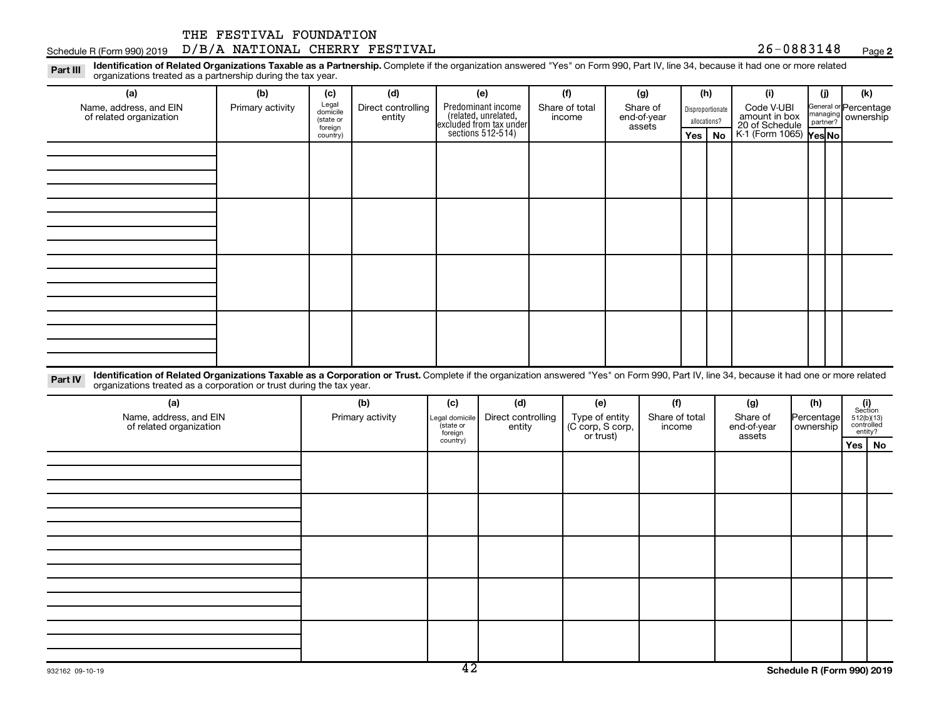#### $S$ chedule R (Form 990) 2019  $D/B/A$   $NATIONAL$   $CHERRY$   $FESTIVAL$   $26-0883148$   $Page$ THE FESTIVAL FOUNDATION

foreign country) **2**

**Yes No Yes No** K-1 (Form 1065)

20 of Schedule

assets

Disproportionate allocations? Legal domicile (state or General or Percentage managing partner? Part III Identification of Related Organizations Taxable as a Partnership. Complete if the organization answered "Yes" on Form 990, Part IV, line 34, because it had one or more related<br>Read to the organizations tracted as **(a) (b) (c) (d) (e) (f) (g) (h) (i) (j) (k)** Predominant income (related, unrelated, excluded from tax under organizations treated as a partnership during the tax year. Name, address, and EIN of related organization Primary activity  $\left| \begin{array}{c} \text{Legal} \\ \text{diamial} \end{array} \right|$  Direct controlling entity Share of total income Share of end-of-year Code V-UBI<br>amount in box ownership

sections 512-514)

| . The contract of the contract of the contract of the contract of the contract of the contract of the contract of the contract of the contract of the contract of the contract of the contract of the contract of the contrac |  |  |  |  |  | $\sim$ $\sim$ $\sim$ $\sim$ $\sim$ |
|-------------------------------------------------------------------------------------------------------------------------------------------------------------------------------------------------------------------------------|--|--|--|--|--|------------------------------------|

Part IV Identification of Related Organizations Taxable as a Corporation or Trust. Complete if the organization answered "Yes" on Form 990, Part IV, line 34, because it had one or more related organizations treated as a corporation or trust during the tax year.

| (a)<br>Name, address, and EIN<br>of related organization | (b)<br>Primary activity | (c)<br>Legal domicile<br>state or<br>foreign | (d)<br>Direct controlling<br>entity | (e)<br>Type of entity<br>(C corp, S corp,<br>or trust) | (f)<br>Share of total<br>income | (g)<br>Share of<br>end-of-year<br>assets | (h)<br>Percentage<br>ownership | $\begin{array}{c} \textbf{(i)}\\ \text{Section}\\ 512 \textcolor{black}{(b)} \textcolor{black}{(13)}\\ \text{controlled} \\ \text{entity?} \end{array}$ |
|----------------------------------------------------------|-------------------------|----------------------------------------------|-------------------------------------|--------------------------------------------------------|---------------------------------|------------------------------------------|--------------------------------|---------------------------------------------------------------------------------------------------------------------------------------------------------|
|                                                          |                         | country)                                     |                                     |                                                        |                                 |                                          |                                | Yes   $No$                                                                                                                                              |
|                                                          |                         |                                              |                                     |                                                        |                                 |                                          |                                |                                                                                                                                                         |
|                                                          |                         |                                              |                                     |                                                        |                                 |                                          |                                |                                                                                                                                                         |
|                                                          |                         |                                              |                                     |                                                        |                                 |                                          |                                |                                                                                                                                                         |
|                                                          |                         |                                              |                                     |                                                        |                                 |                                          |                                |                                                                                                                                                         |
|                                                          |                         |                                              |                                     |                                                        |                                 |                                          |                                |                                                                                                                                                         |
|                                                          |                         |                                              |                                     |                                                        |                                 |                                          |                                |                                                                                                                                                         |
|                                                          |                         |                                              |                                     |                                                        |                                 |                                          |                                |                                                                                                                                                         |
|                                                          |                         |                                              |                                     |                                                        |                                 |                                          |                                |                                                                                                                                                         |
|                                                          |                         |                                              |                                     |                                                        |                                 |                                          |                                |                                                                                                                                                         |
|                                                          |                         |                                              |                                     |                                                        |                                 |                                          |                                |                                                                                                                                                         |
|                                                          |                         |                                              |                                     |                                                        |                                 |                                          |                                |                                                                                                                                                         |
|                                                          |                         |                                              |                                     |                                                        |                                 |                                          |                                |                                                                                                                                                         |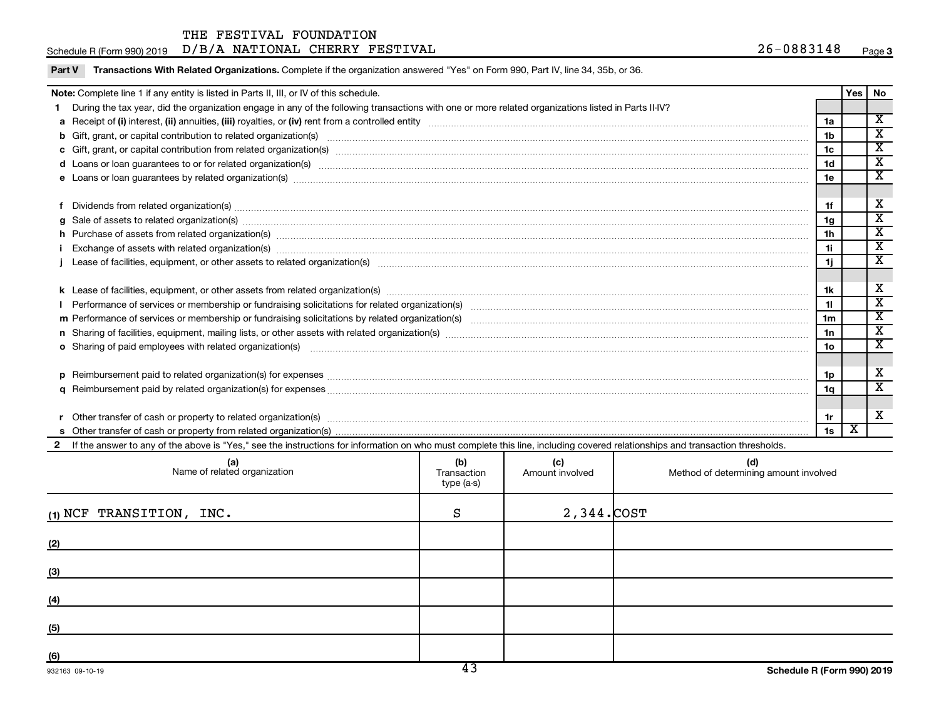| 26-<br>$-0883148$<br>D/B/A<br><b>NATIONAL</b><br>CHERRY FESTIVAL<br>Schedule R (Form 990) 2019<br>Paqe |
|--------------------------------------------------------------------------------------------------------|
|--------------------------------------------------------------------------------------------------------|

| Note: Complete line 1 if any entity is listed in Parts II, III, or IV of this schedule.                                                                                                                                        |                 | Yes | No                      |
|--------------------------------------------------------------------------------------------------------------------------------------------------------------------------------------------------------------------------------|-----------------|-----|-------------------------|
| 1 During the tax year, did the organization engage in any of the following transactions with one or more related organizations listed in Parts II-IV?                                                                          |                 |     |                         |
|                                                                                                                                                                                                                                | 1a              |     | $\overline{\mathbf{x}}$ |
|                                                                                                                                                                                                                                | 1 <sub>b</sub>  |     | $\overline{\mathbf{x}}$ |
|                                                                                                                                                                                                                                | 1 <sub>c</sub>  |     | $\overline{\mathbf{x}}$ |
| d Loans or loan guarantees to or for related organization(s) www.communities.com/www.communities.com/www.communities.com/www.communities.com/www.communities.com/www.communities.com/www.communities.com/www.communities.com/w | 1 <sub>d</sub>  |     | $\overline{\mathbf{x}}$ |
|                                                                                                                                                                                                                                | 1e              |     | $\overline{\texttt{x}}$ |
| f Dividends from related organization(s) manufactured and contract and contract or contract and contract and contract and contract and contract and contract and contract and contract and contract and contract and contract  | 1f              |     | х                       |
|                                                                                                                                                                                                                                | 1 <sub>q</sub>  |     | $\overline{\texttt{x}}$ |
| h Purchase of assets from related organization(s) manufactured manufactured manufactured manufactured manufactured manufactured manufactured manufactured manufactured manufactured manufactured manufactured manufactured man | 1 <sub>h</sub>  |     | $\overline{\texttt{x}}$ |
| Exchange of assets with related organization(s) www.array.com/www.array.com/www.array.com/www.array.com/www.array.com/www.array.com/www.array.com/www.array.com/www.array.com/www.array.com/www.array.com/www.array.com/www.ar | 11              |     | $\overline{\texttt{x}}$ |
|                                                                                                                                                                                                                                | 1j              |     | $\overline{\mathbf{x}}$ |
|                                                                                                                                                                                                                                | 1k              |     | х                       |
|                                                                                                                                                                                                                                | 11              |     | $\overline{\texttt{x}}$ |
|                                                                                                                                                                                                                                | 1 <sub>m</sub>  |     | $\overline{\texttt{x}}$ |
|                                                                                                                                                                                                                                | 1n              |     | $\overline{\texttt{x}}$ |
| o Sharing of paid employees with related organization(s) manufactured content to the state of paid employees with related organization(s) manufactured content to the state of the state of the state of the state of the stat | 10 <sub>o</sub> |     | $\overline{\texttt{x}}$ |
|                                                                                                                                                                                                                                | 1p              |     | х                       |
|                                                                                                                                                                                                                                | 1a              |     | $\overline{\texttt{x}}$ |
|                                                                                                                                                                                                                                | 1r              |     | х                       |
|                                                                                                                                                                                                                                | 1s              | X   |                         |

| (a)<br>Name of related organization | (b)<br>Transaction<br>type (a-s) | (c)<br>Amount involved | (d)<br>Method of determining amount involved |
|-------------------------------------|----------------------------------|------------------------|----------------------------------------------|
| $(1)$ NCF TRANSITION, INC.          | S                                | $2,344$ . $COST$       |                                              |
| (2)                                 |                                  |                        |                                              |
| (3)                                 |                                  |                        |                                              |
| (4)                                 |                                  |                        |                                              |
| (5)                                 |                                  |                        |                                              |
| (6)                                 |                                  |                        |                                              |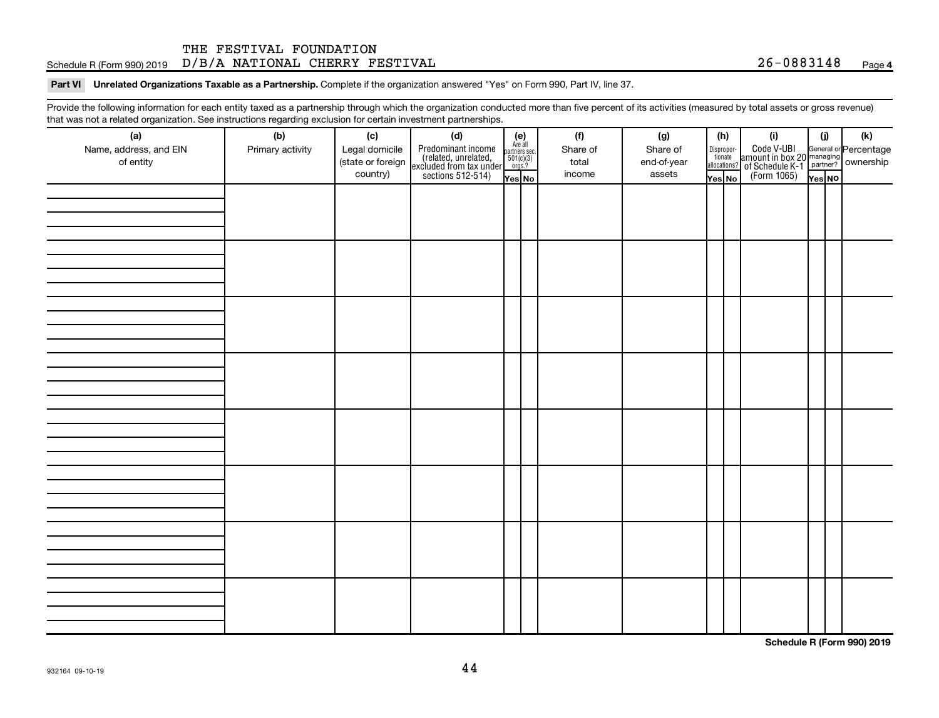#### $S$ chedule R (Form 990) 2019  $D/B/A$   $NATIONAL$   $CHERRY$   $FESTIVAL$   $26-0883148$   $Page$ THE FESTIVAL FOUNDATION

#### Part VI Unrelated Organizations Taxable as a Partnership. Complete if the organization answered "Yes" on Form 990, Part IV, line 37.

Provide the following information for each entity taxed as a partnership through which the organization conducted more than five percent of its activities (measured by total assets or gross revenue) that was not a related organization. See instructions regarding exclusion for certain investment partnerships.

| hat neo hot a rolatod organization. Ooo inotraotiono rogaranty oxolaolon for oortain invootmont partnolompo.<br>(a)<br>Name, address, and EIN | (b)<br>Primary activity | (c)<br>Legal domicile         | (d)                                                                                        | (e)<br>Are all<br>partners sec.<br>$501(c)(3)$<br>orgs.? | (f)<br>Share of | (g)<br>Share of       | (h)     |                                                                                          | (i)                                                                                                | (i)    | (k) |
|-----------------------------------------------------------------------------------------------------------------------------------------------|-------------------------|-------------------------------|--------------------------------------------------------------------------------------------|----------------------------------------------------------|-----------------|-----------------------|---------|------------------------------------------------------------------------------------------|----------------------------------------------------------------------------------------------------|--------|-----|
| of entity                                                                                                                                     |                         | (state or foreign<br>country) | Predominant income<br>(related, unrelated,<br>excluded from tax under<br>sections 512-514) | Yes No                                                   | total<br>income | end-of-year<br>assets | Yes│No│ | $\begin{array}{c} \text{Disproper} \\ \text{tionate} \\ \text{allocations?} \end{array}$ | Code V-UBI<br>amount in box 20 managing<br>of Schedule K-1<br>(Form 1065)<br>$\overline{V}$ ves No | Yes NO |     |
|                                                                                                                                               |                         |                               |                                                                                            |                                                          |                 |                       |         |                                                                                          |                                                                                                    |        |     |
|                                                                                                                                               |                         |                               |                                                                                            |                                                          |                 |                       |         |                                                                                          |                                                                                                    |        |     |
|                                                                                                                                               |                         |                               |                                                                                            |                                                          |                 |                       |         |                                                                                          |                                                                                                    |        |     |
|                                                                                                                                               |                         |                               |                                                                                            |                                                          |                 |                       |         |                                                                                          |                                                                                                    |        |     |
|                                                                                                                                               |                         |                               |                                                                                            |                                                          |                 |                       |         |                                                                                          |                                                                                                    |        |     |
|                                                                                                                                               |                         |                               |                                                                                            |                                                          |                 |                       |         |                                                                                          |                                                                                                    |        |     |
|                                                                                                                                               |                         |                               |                                                                                            |                                                          |                 |                       |         |                                                                                          |                                                                                                    |        |     |
|                                                                                                                                               |                         |                               |                                                                                            |                                                          |                 |                       |         |                                                                                          |                                                                                                    |        |     |
|                                                                                                                                               |                         |                               |                                                                                            |                                                          |                 |                       |         |                                                                                          |                                                                                                    |        |     |
|                                                                                                                                               |                         |                               |                                                                                            |                                                          |                 |                       |         |                                                                                          |                                                                                                    |        |     |
|                                                                                                                                               |                         |                               |                                                                                            |                                                          |                 |                       |         |                                                                                          |                                                                                                    |        |     |
|                                                                                                                                               |                         |                               |                                                                                            |                                                          |                 |                       |         |                                                                                          |                                                                                                    |        |     |
|                                                                                                                                               |                         |                               |                                                                                            |                                                          |                 |                       |         |                                                                                          |                                                                                                    |        |     |
|                                                                                                                                               |                         |                               |                                                                                            |                                                          |                 |                       |         |                                                                                          |                                                                                                    |        |     |
|                                                                                                                                               |                         |                               |                                                                                            |                                                          |                 |                       |         |                                                                                          |                                                                                                    |        |     |
|                                                                                                                                               |                         |                               |                                                                                            |                                                          |                 |                       |         |                                                                                          |                                                                                                    |        |     |
|                                                                                                                                               |                         |                               |                                                                                            |                                                          |                 |                       |         |                                                                                          |                                                                                                    |        |     |
|                                                                                                                                               |                         |                               |                                                                                            |                                                          |                 |                       |         |                                                                                          |                                                                                                    |        |     |
|                                                                                                                                               |                         |                               |                                                                                            |                                                          |                 |                       |         |                                                                                          |                                                                                                    |        |     |
|                                                                                                                                               |                         |                               |                                                                                            |                                                          |                 |                       |         |                                                                                          |                                                                                                    |        |     |
|                                                                                                                                               |                         |                               |                                                                                            |                                                          |                 |                       |         |                                                                                          |                                                                                                    |        |     |
|                                                                                                                                               |                         |                               |                                                                                            |                                                          |                 |                       |         |                                                                                          |                                                                                                    |        |     |
|                                                                                                                                               |                         |                               |                                                                                            |                                                          |                 |                       |         |                                                                                          |                                                                                                    |        |     |
|                                                                                                                                               |                         |                               |                                                                                            |                                                          |                 |                       |         |                                                                                          |                                                                                                    |        |     |
|                                                                                                                                               |                         |                               |                                                                                            |                                                          |                 |                       |         |                                                                                          |                                                                                                    |        |     |
|                                                                                                                                               |                         |                               |                                                                                            |                                                          |                 |                       |         |                                                                                          |                                                                                                    |        |     |
|                                                                                                                                               |                         |                               |                                                                                            |                                                          |                 |                       |         |                                                                                          |                                                                                                    |        |     |

**Schedule R (Form 990) 2019**